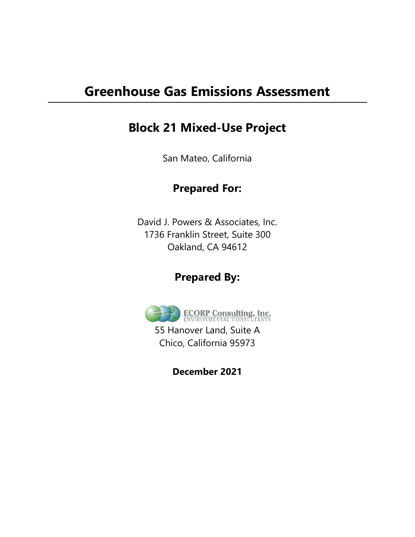# **Greenhouse Gas Emissions Assessment**

# **Block 21 Mixed-Use Project**

San Mateo, California

# **Prepared For:**

David J. Powers & Associates, Inc. 1736 Franklin Street, Suite 300 Oakland, CA 94612

# **Prepared By:**



55 Hanover Land, Suite A Chico, California 95973

**December 2021**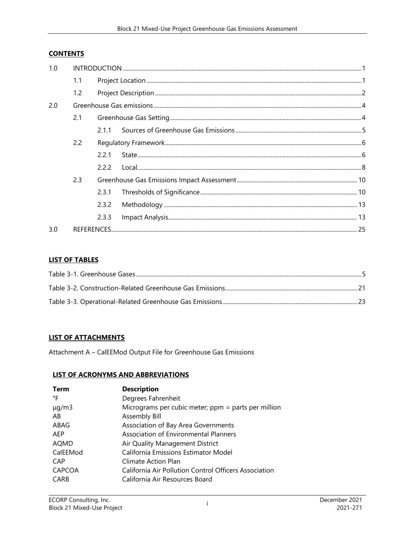### **CONTENTS**

| 1.0 |     |       |  |  |  |  |  |  |
|-----|-----|-------|--|--|--|--|--|--|
|     | 1.1 |       |  |  |  |  |  |  |
|     | 1.2 |       |  |  |  |  |  |  |
| 2.0 |     |       |  |  |  |  |  |  |
|     | 2.1 |       |  |  |  |  |  |  |
|     |     |       |  |  |  |  |  |  |
|     | 2.2 |       |  |  |  |  |  |  |
|     |     | 2.2.1 |  |  |  |  |  |  |
|     |     | 2.2.2 |  |  |  |  |  |  |
|     | 2.3 |       |  |  |  |  |  |  |
|     |     | 2.3.1 |  |  |  |  |  |  |
|     |     | 2.3.2 |  |  |  |  |  |  |
|     |     | 2.3.3 |  |  |  |  |  |  |
| 3.0 |     |       |  |  |  |  |  |  |

### **LIST OF TABLES**

#### **LIST OF ATTACHMENTS**

Attachment A – CalEEMod Output File for Greenhouse Gas Emissions

#### **LIST OF ACRONYMS AND ABBREVIATIONS**

| Term          | <b>Description</b>                                    |
|---------------|-------------------------------------------------------|
| °F            | Degrees Fahrenheit                                    |
| $\mu$ g/m3    | Micrograms per cubic meter; $ppm =$ parts per million |
| AB            | Assembly Bill                                         |
| ABAG          | Association of Bay Area Governments                   |
| AFP           | Association of Environmental Planners                 |
| AQMD          | Air Quality Management District                       |
| CalEEMod      | California Emissions Estimator Model                  |
| CAP           | Climate Action Plan                                   |
| <b>CAPCOA</b> | California Air Pollution Control Officers Association |
| CARB          | California Air Resources Board                        |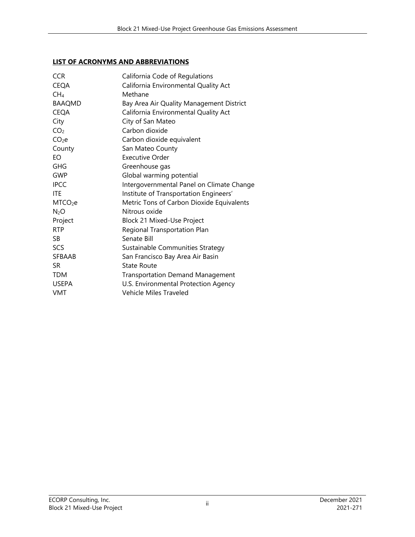### **LIST OF ACRONYMS AND ABBREVIATIONS**

| <b>CCR</b>          | California Code of Regulations            |
|---------------------|-------------------------------------------|
| <b>CEQA</b>         | California Environmental Quality Act      |
| CH <sub>4</sub>     | Methane                                   |
| <b>BAAQMD</b>       | Bay Area Air Quality Management District  |
| <b>CEQA</b>         | California Environmental Quality Act      |
| City                | City of San Mateo                         |
| CO <sub>2</sub>     | Carbon dioxide                            |
| CO <sub>2</sub> e   | Carbon dioxide equivalent                 |
| County              | San Mateo County                          |
| EΟ                  | <b>Executive Order</b>                    |
| GHG                 | Greenhouse gas                            |
| GWP                 | Global warming potential                  |
| <b>IPCC</b>         | Intergovernmental Panel on Climate Change |
| <b>ITF</b>          | Institute of Transportation Engineers'    |
| MTCO <sub>2</sub> e | Metric Tons of Carbon Dioxide Equivalents |
| N <sub>2</sub> O    | Nitrous oxide                             |
| Project             | Block 21 Mixed-Use Project                |
| <b>RTP</b>          | Regional Transportation Plan              |
| SB.                 | Senate Bill                               |
| <b>SCS</b>          | Sustainable Communities Strategy          |
| <b>SFBAAB</b>       | San Francisco Bay Area Air Basin          |
| SR.                 | State Route                               |
| <b>TDM</b>          | <b>Transportation Demand Management</b>   |
| <b>USEPA</b>        | U.S. Environmental Protection Agency      |
| <b>VMT</b>          | <b>Vehicle Miles Traveled</b>             |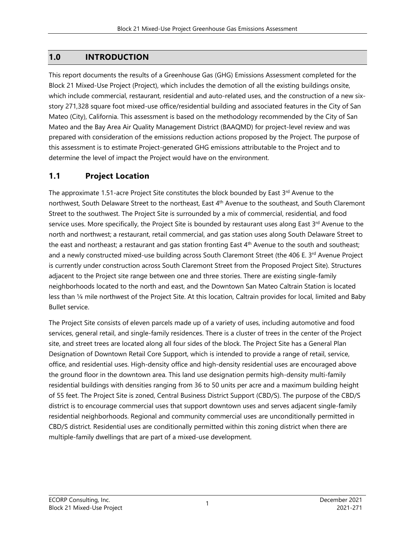## **1.0 INTRODUCTION**

This report documents the results of a Greenhouse Gas (GHG) Emissions Assessment completed for the Block 21 Mixed-Use Project (Project), which includes the demotion of all the existing buildings onsite, which include commercial, restaurant, residential and auto-related uses, and the construction of a new sixstory 271,328 square foot mixed-use office/residential building and associated features in the City of San Mateo (City), California. This assessment is based on the methodology recommended by the City of San Mateo and the Bay Area Air Quality Management District (BAAQMD) for project-level review and was prepared with consideration of the emissions reduction actions proposed by the Project. The purpose of this assessment is to estimate Project-generated GHG emissions attributable to the Project and to determine the level of impact the Project would have on the environment.

# **1.1 Project Location**

The approximate 1.51-acre Project Site constitutes the block bounded by East  $3<sup>rd</sup>$  Avenue to the northwest, South Delaware Street to the northeast, East 4<sup>th</sup> Avenue to the southeast, and South Claremont Street to the southwest. The Project Site is surrounded by a mix of commercial, residential, and food service uses. More specifically, the Project Site is bounded by restaurant uses along East 3rd Avenue to the north and northwest; a restaurant, retail commercial, and gas station uses along South Delaware Street to the east and northeast; a restaurant and gas station fronting East  $4<sup>th</sup>$  Avenue to the south and southeast; and a newly constructed mixed-use building across South Claremont Street (the 406 E. 3<sup>rd</sup> Avenue Project is currently under construction across South Claremont Street from the Proposed Project Site). Structures adjacent to the Project site range between one and three stories. There are existing single-family neighborhoods located to the north and east, and the Downtown San Mateo Caltrain Station is located less than ¼ mile northwest of the Project Site. At this location, Caltrain provides for local, limited and Baby Bullet service.

The Project Site consists of eleven parcels made up of a variety of uses, including automotive and food services, general retail, and single-family residences. There is a cluster of trees in the center of the Project site, and street trees are located along all four sides of the block. The Project Site has a General Plan Designation of Downtown Retail Core Support, which is intended to provide a range of retail, service, office, and residential uses. High-density office and high-density residential uses are encouraged above the ground floor in the downtown area. This land use designation permits high-density multi-family residential buildings with densities ranging from 36 to 50 units per acre and a maximum building height of 55 feet. The Project Site is zoned, Central Business District Support (CBD/S). The purpose of the CBD/S district is to encourage commercial uses that support downtown uses and serves adjacent single-family residential neighborhoods. Regional and community commercial uses are unconditionally permitted in CBD/S district. Residential uses are conditionally permitted within this zoning district when there are multiple-family dwellings that are part of a mixed-use development.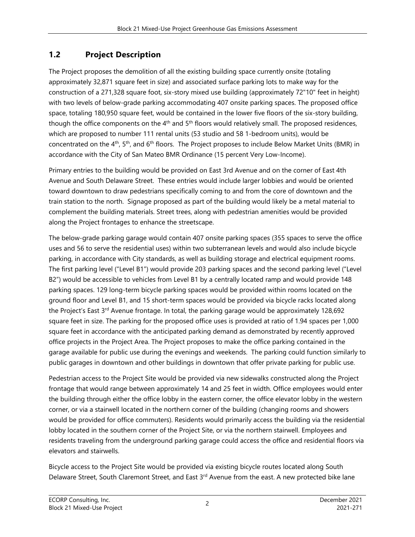# **1.2 Project Description**

The Project proposes the demolition of all the existing building space currently onsite (totaling approximately 32,871 square feet in size) and associated surface parking lots to make way for the construction of a 271,328 square foot, six-story mixed use building (approximately 72"10" feet in height) with two levels of below-grade parking accommodating 407 onsite parking spaces. The proposed office space, totaling 180,950 square feet, would be contained in the lower five floors of the six-story building, though the office components on the 4<sup>th</sup> and 5<sup>th</sup> floors would relatively small. The proposed residences, which are proposed to number 111 rental units (53 studio and 58 1-bedroom units), would be concentrated on the  $4<sup>th</sup>$ , 5<sup>th</sup>, and 6<sup>th</sup> floors. The Project proposes to include Below Market Units (BMR) in accordance with the City of San Mateo BMR Ordinance (15 percent Very Low-Income).

Primary entries to the building would be provided on East 3rd Avenue and on the corner of East 4th Avenue and South Delaware Street. These entries would include larger lobbies and would be oriented toward downtown to draw pedestrians specifically coming to and from the core of downtown and the train station to the north. Signage proposed as part of the building would likely be a metal material to complement the building materials. Street trees, along with pedestrian amenities would be provided along the Project frontages to enhance the streetscape.

The below-grade parking garage would contain 407 onsite parking spaces (355 spaces to serve the office uses and 56 to serve the residential uses) within two subterranean levels and would also include bicycle parking, in accordance with City standards, as well as building storage and electrical equipment rooms. The first parking level ("Level B1") would provide 203 parking spaces and the second parking level ("Level B2") would be accessible to vehicles from Level B1 by a centrally located ramp and would provide 148 parking spaces. 129 long-term bicycle parking spaces would be provided within rooms located on the ground floor and Level B1, and 15 short-term spaces would be provided via bicycle racks located along the Project's East 3<sup>rd</sup> Avenue frontage. In total, the parking garage would be approximately 128,692 square feet in size. The parking for the proposed office uses is provided at ratio of 1.94 spaces per 1,000 square feet in accordance with the anticipated parking demand as demonstrated by recently approved office projects in the Project Area. The Project proposes to make the office parking contained in the garage available for public use during the evenings and weekends. The parking could function similarly to public garages in downtown and other buildings in downtown that offer private parking for public use.

Pedestrian access to the Project Site would be provided via new sidewalks constructed along the Project frontage that would range between approximately 14 and 25 feet in width. Office employees would enter the building through either the office lobby in the eastern corner, the office elevator lobby in the western corner, or via a stairwell located in the northern corner of the building (changing rooms and showers would be provided for office commuters). Residents would primarily access the building via the residential lobby located in the southern corner of the Project Site, or via the northern stairwell. Employees and residents traveling from the underground parking garage could access the office and residential floors via elevators and stairwells.

Bicycle access to the Project Site would be provided via existing bicycle routes located along South Delaware Street, South Claremont Street, and East 3<sup>rd</sup> Avenue from the east. A new protected bike lane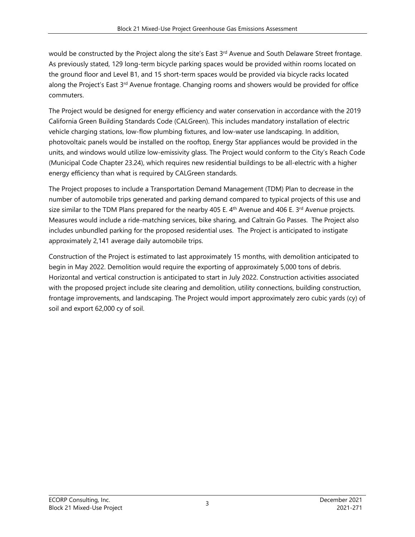would be constructed by the Project along the site's East 3<sup>rd</sup> Avenue and South Delaware Street frontage. As previously stated, 129 long-term bicycle parking spaces would be provided within rooms located on the ground floor and Level B1, and 15 short-term spaces would be provided via bicycle racks located along the Project's East 3rd Avenue frontage. Changing rooms and showers would be provided for office commuters.

The Project would be designed for energy efficiency and water conservation in accordance with the 2019 California Green Building Standards Code (CALGreen). This includes mandatory installation of electric vehicle charging stations, low-flow plumbing fixtures, and low-water use landscaping. In addition, photovoltaic panels would be installed on the rooftop, Energy Star appliances would be provided in the units, and windows would utilize low-emissivity glass. The Project would conform to the City's Reach Code (Municipal Code Chapter 23.24), which requires new residential buildings to be all-electric with a higher energy efficiency than what is required by CALGreen standards.

The Project proposes to include a Transportation Demand Management (TDM) Plan to decrease in the number of automobile trips generated and parking demand compared to typical projects of this use and size similar to the TDM Plans prepared for the nearby 405 E.  $4<sup>th</sup>$  Avenue and 406 E.  $3<sup>rd</sup>$  Avenue projects. Measures would include a ride-matching services, bike sharing, and Caltrain Go Passes. The Project also includes unbundled parking for the proposed residential uses. The Project is anticipated to instigate approximately 2,141 average daily automobile trips.

Construction of the Project is estimated to last approximately 15 months, with demolition anticipated to begin in May 2022. Demolition would require the exporting of approximately 5,000 tons of debris. Horizontal and vertical construction is anticipated to start in July 2022. Construction activities associated with the proposed project include site clearing and demolition, utility connections, building construction, frontage improvements, and landscaping. The Project would import approximately zero cubic yards (cy) of soil and export 62,000 cy of soil.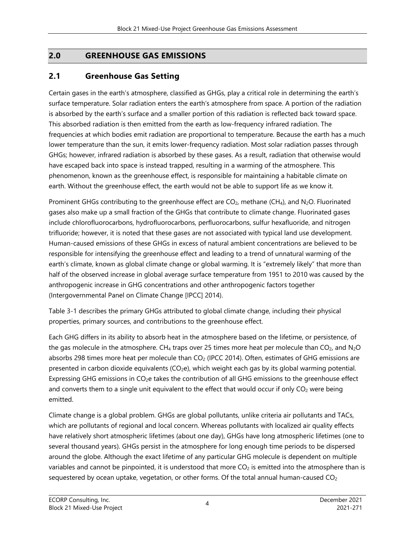# **2.0 GREENHOUSE GAS EMISSIONS**

### **2.1 Greenhouse Gas Setting**

Certain gases in the earth's atmosphere, classified as GHGs, play a critical role in determining the earth's surface temperature. Solar radiation enters the earth's atmosphere from space. A portion of the radiation is absorbed by the earth's surface and a smaller portion of this radiation is reflected back toward space. This absorbed radiation is then emitted from the earth as low-frequency infrared radiation. The frequencies at which bodies emit radiation are proportional to temperature. Because the earth has a much lower temperature than the sun, it emits lower-frequency radiation. Most solar radiation passes through GHGs; however, infrared radiation is absorbed by these gases. As a result, radiation that otherwise would have escaped back into space is instead trapped, resulting in a warming of the atmosphere. This phenomenon, known as the greenhouse effect, is responsible for maintaining a habitable climate on earth. Without the greenhouse effect, the earth would not be able to support life as we know it.

Prominent GHGs contributing to the greenhouse effect are  $CO<sub>2</sub>$ , methane (CH<sub>4</sub>), and N<sub>2</sub>O. Fluorinated gases also make up a small fraction of the GHGs that contribute to climate change. Fluorinated gases include chlorofluorocarbons, hydrofluorocarbons, perfluorocarbons, sulfur hexafluoride, and nitrogen trifluoride; however, it is noted that these gases are not associated with typical land use development. Human-caused emissions of these GHGs in excess of natural ambient concentrations are believed to be responsible for intensifying the greenhouse effect and leading to a trend of unnatural warming of the earth's climate, known as global climate change or global warming. It is "extremely likely" that more than half of the observed increase in global average surface temperature from 1951 to 2010 was caused by the anthropogenic increase in GHG concentrations and other anthropogenic factors together (Intergovernmental Panel on Climate Change [IPCC] 2014).

Table 3-1 describes the primary GHGs attributed to global climate change, including their physical properties, primary sources, and contributions to the greenhouse effect.

Each GHG differs in its ability to absorb heat in the atmosphere based on the lifetime, or persistence, of the gas molecule in the atmosphere. CH<sub>4</sub> traps over 25 times more heat per molecule than CO<sub>2</sub>, and N<sub>2</sub>O absorbs 298 times more heat per molecule than CO<sub>2</sub> (IPCC 2014). Often, estimates of GHG emissions are presented in carbon dioxide equivalents  $(CO<sub>2</sub>e)$ , which weight each gas by its global warming potential. Expressing GHG emissions in CO<sub>2</sub>e takes the contribution of all GHG emissions to the greenhouse effect and converts them to a single unit equivalent to the effect that would occur if only  $CO<sub>2</sub>$  were being emitted.

Climate change is a global problem. GHGs are global pollutants, unlike criteria air pollutants and TACs, which are pollutants of regional and local concern. Whereas pollutants with localized air quality effects have relatively short atmospheric lifetimes (about one day), GHGs have long atmospheric lifetimes (one to several thousand years). GHGs persist in the atmosphere for long enough time periods to be dispersed around the globe. Although the exact lifetime of any particular GHG molecule is dependent on multiple variables and cannot be pinpointed, it is understood that more  $CO<sub>2</sub>$  is emitted into the atmosphere than is sequestered by ocean uptake, vegetation, or other forms. Of the total annual human-caused  $CO<sub>2</sub>$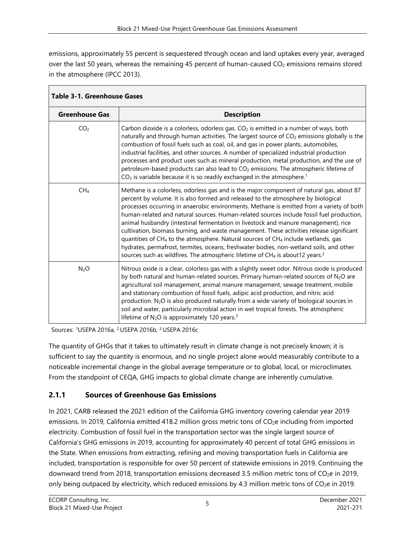emissions, approximately 55 percent is sequestered through ocean and land uptakes every year, averaged over the last 50 years, whereas the remaining 45 percent of human-caused  $CO<sub>2</sub>$  emissions remains stored in the atmosphere (IPCC 2013).

| <b>Table 3-1. Greenhouse Gases</b> |                                                                                                                                                                                                                                                                                                                                                                                                                                                                                                                                                                                                                                                                                                                                                                                                                                                                |
|------------------------------------|----------------------------------------------------------------------------------------------------------------------------------------------------------------------------------------------------------------------------------------------------------------------------------------------------------------------------------------------------------------------------------------------------------------------------------------------------------------------------------------------------------------------------------------------------------------------------------------------------------------------------------------------------------------------------------------------------------------------------------------------------------------------------------------------------------------------------------------------------------------|
| <b>Greenhouse Gas</b>              | <b>Description</b>                                                                                                                                                                                                                                                                                                                                                                                                                                                                                                                                                                                                                                                                                                                                                                                                                                             |
| CO <sub>2</sub>                    | Carbon dioxide is a colorless, odorless gas. $CO2$ is emitted in a number of ways, both<br>naturally and through human activities. The largest source of CO <sub>2</sub> emissions globally is the<br>combustion of fossil fuels such as coal, oil, and gas in power plants, automobiles,<br>industrial facilities, and other sources. A number of specialized industrial production<br>processes and product uses such as mineral production, metal production, and the use of<br>petroleum-based products can also lead to CO <sub>2</sub> emissions. The atmospheric lifetime of<br>$CO2$ is variable because it is so readily exchanged in the atmosphere. <sup>1</sup>                                                                                                                                                                                    |
| CH <sub>4</sub>                    | Methane is a colorless, odorless gas and is the major component of natural gas, about 87<br>percent by volume. It is also formed and released to the atmosphere by biological<br>processes occurring in anaerobic environments. Methane is emitted from a variety of both<br>human-related and natural sources. Human-related sources include fossil fuel production,<br>animal husbandry (intestinal fermentation in livestock and manure management), rice<br>cultivation, biomass burning, and waste management. These activities release significant<br>quantities of CH <sub>4</sub> to the atmosphere. Natural sources of CH <sub>4</sub> include wetlands, gas<br>hydrates, permafrost, termites, oceans, freshwater bodies, non-wetland soils, and other<br>sources such as wildfires. The atmospheric lifetime of CH4 is about 12 years. <sup>2</sup> |
| N <sub>2</sub> O                   | Nitrous oxide is a clear, colorless gas with a slightly sweet odor. Nitrous oxide is produced<br>by both natural and human-related sources. Primary human-related sources of N <sub>2</sub> O are<br>agricultural soil management, animal manure management, sewage treatment, mobile<br>and stationary combustion of fossil fuels, adipic acid production, and nitric acid<br>production. N <sub>2</sub> O is also produced naturally from a wide variety of biological sources in<br>soil and water, particularly microbial action in wet tropical forests. The atmospheric<br>lifetime of $N_2O$ is approximately 120 years. <sup>3</sup>                                                                                                                                                                                                                   |

Sources: 1USEPA 2016a, 2 USEPA 2016b, 3 USEPA 2016c

The quantity of GHGs that it takes to ultimately result in climate change is not precisely known; it is sufficient to say the quantity is enormous, and no single project alone would measurably contribute to a noticeable incremental change in the global average temperature or to global, local, or microclimates. From the standpoint of CEQA, GHG impacts to global climate change are inherently cumulative.

### **2.1.1 Sources of Greenhouse Gas Emissions**

In 2021, CARB released the 2021 edition of the California GHG inventory covering calendar year 2019 emissions. In 2019, California emitted 418.2 million gross metric tons of CO<sub>2</sub>e including from imported electricity. Combustion of fossil fuel in the transportation sector was the single largest source of California's GHG emissions in 2019, accounting for approximately 40 percent of total GHG emissions in the State. When emissions from extracting, refining and moving transportation fuels in California are included, transportation is responsible for over 50 percent of statewide emissions in 2019. Continuing the downward trend from 2018, transportation emissions decreased 3.5 million metric tons of CO<sub>2</sub>e in 2019, only being outpaced by electricity, which reduced emissions by 4.3 million metric tons of  $CO<sub>2</sub>e$  in 2019.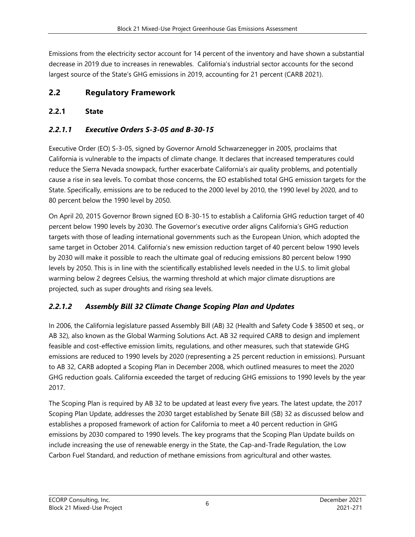Emissions from the electricity sector account for 14 percent of the inventory and have shown a substantial decrease in 2019 due to increases in renewables. California's industrial sector accounts for the second largest source of the State's GHG emissions in 2019, accounting for 21 percent (CARB 2021).

# **2.2 Regulatory Framework**

# **2.2.1 State**

# *2.2.1.1 Executive Orders S-3-05 and B-30-15*

Executive Order (EO) S-3-05, signed by Governor Arnold Schwarzenegger in 2005, proclaims that California is vulnerable to the impacts of climate change. It declares that increased temperatures could reduce the Sierra Nevada snowpack, further exacerbate California's air quality problems, and potentially cause a rise in sea levels. To combat those concerns, the EO established total GHG emission targets for the State. Specifically, emissions are to be reduced to the 2000 level by 2010, the 1990 level by 2020, and to 80 percent below the 1990 level by 2050.

On April 20, 2015 Governor Brown signed EO B-30-15 to establish a California GHG reduction target of 40 percent below 1990 levels by 2030. The Governor's executive order aligns California's GHG reduction targets with those of leading international governments such as the European Union, which adopted the same target in October 2014. California's new emission reduction target of 40 percent below 1990 levels by 2030 will make it possible to reach the ultimate goal of reducing emissions 80 percent below 1990 levels by 2050. This is in line with the scientifically established levels needed in the U.S. to limit global warming below 2 degrees Celsius, the warming threshold at which major climate disruptions are projected, such as super droughts and rising sea levels.

# *2.2.1.2 Assembly Bill 32 Climate Change Scoping Plan and Updates*

In 2006, the California legislature passed Assembly Bill (AB) 32 (Health and Safety Code § 38500 et seq., or AB 32), also known as the Global Warming Solutions Act. AB 32 required CARB to design and implement feasible and cost-effective emission limits, regulations, and other measures, such that statewide GHG emissions are reduced to 1990 levels by 2020 (representing a 25 percent reduction in emissions). Pursuant to AB 32, CARB adopted a Scoping Plan in December 2008, which outlined measures to meet the 2020 GHG reduction goals. California exceeded the target of reducing GHG emissions to 1990 levels by the year 2017.

The Scoping Plan is required by AB 32 to be updated at least every five years. The latest update, the 2017 Scoping Plan Update, addresses the 2030 target established by Senate Bill (SB) 32 as discussed below and establishes a proposed framework of action for California to meet a 40 percent reduction in GHG emissions by 2030 compared to 1990 levels. The key programs that the Scoping Plan Update builds on include increasing the use of renewable energy in the State, the Cap-and-Trade Regulation, the Low Carbon Fuel Standard, and reduction of methane emissions from agricultural and other wastes.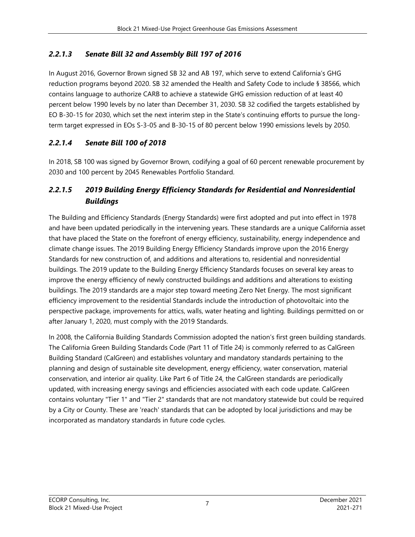### *2.2.1.3 Senate Bill 32 and Assembly Bill 197 of 2016*

In August 2016, Governor Brown signed SB 32 and AB 197, which serve to extend California's GHG reduction programs beyond 2020. SB 32 amended the Health and Safety Code to include § 38566, which contains language to authorize CARB to achieve a statewide GHG emission reduction of at least 40 percent below 1990 levels by no later than December 31, 2030. SB 32 codified the targets established by EO B-30-15 for 2030, which set the next interim step in the State's continuing efforts to pursue the longterm target expressed in EOs S-3-05 and B-30-15 of 80 percent below 1990 emissions levels by 2050.

### *2.2.1.4 Senate Bill 100 of 2018*

In 2018, SB 100 was signed by Governor Brown, codifying a goal of 60 percent renewable procurement by 2030 and 100 percent by 2045 Renewables Portfolio Standard.

# *2.2.1.5 2019 Building Energy Efficiency Standards for Residential and Nonresidential Buildings*

The Building and Efficiency Standards (Energy Standards) were first adopted and put into effect in 1978 and have been updated periodically in the intervening years. These standards are a unique California asset that have placed the State on the forefront of energy efficiency, sustainability, energy independence and climate change issues. The 2019 Building Energy Efficiency Standards improve upon the 2016 Energy Standards for new construction of, and additions and alterations to, residential and nonresidential buildings. The 2019 update to the Building Energy Efficiency Standards focuses on several key areas to improve the energy efficiency of newly constructed buildings and additions and alterations to existing buildings. The 2019 standards are a major step toward meeting Zero Net Energy. The most significant efficiency improvement to the residential Standards include the introduction of photovoltaic into the perspective package, improvements for attics, walls, water heating and lighting. Buildings permitted on or after January 1, 2020, must comply with the 2019 Standards.

In 2008, the California Building Standards Commission adopted the nation's first green building standards. The California Green Building Standards Code (Part 11 of Title 24) is commonly referred to as CalGreen Building Standard (CalGreen) and establishes voluntary and mandatory standards pertaining to the planning and design of sustainable site development, energy efficiency, water conservation, material conservation, and interior air quality. Like Part 6 of Title 24, the CalGreen standards are periodically updated, with increasing energy savings and efficiencies associated with each code update. CalGreen contains voluntary "Tier 1" and "Tier 2" standards that are not mandatory statewide but could be required by a City or County. These are 'reach' standards that can be adopted by local jurisdictions and may be incorporated as mandatory standards in future code cycles.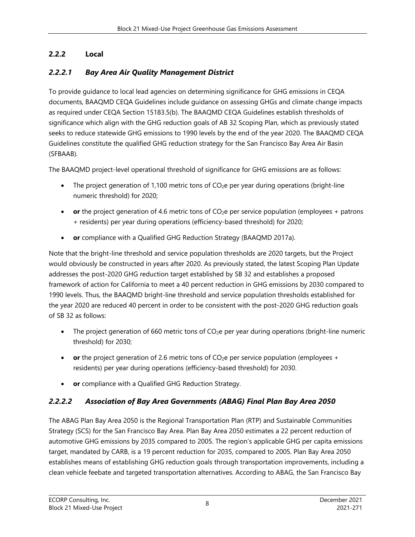# **2.2.2 Local**

# *2.2.2.1 Bay Area Air Quality Management District*

To provide guidance to local lead agencies on determining significance for GHG emissions in CEQA documents, BAAQMD CEQA Guidelines include guidance on assessing GHGs and climate change impacts as required under CEQA Section 15183.5(b). The BAAQMD CEQA Guidelines establish thresholds of significance which align with the GHG reduction goals of AB 32 Scoping Plan, which as previously stated seeks to reduce statewide GHG emissions to 1990 levels by the end of the year 2020. The BAAQMD CEQA Guidelines constitute the qualified GHG reduction strategy for the San Francisco Bay Area Air Basin (SFBAAB).

The BAAQMD project-level operational threshold of significance for GHG emissions are as follows:

- The project generation of 1,100 metric tons of  $CO<sub>2</sub>e$  per year during operations (bright-line numeric threshold) for 2020;
- **or** the project generation of 4.6 metric tons of CO<sub>2</sub>e per service population (employees + patrons + residents) per year during operations (efficiency-based threshold) for 2020;
- **or** compliance with a Qualified GHG Reduction Strategy (BAAQMD 2017a).

Note that the bright-line threshold and service population thresholds are 2020 targets, but the Project would obviously be constructed in years after 2020. As previously stated, the latest Scoping Plan Update addresses the post-2020 GHG reduction target established by SB 32 and establishes a proposed framework of action for California to meet a 40 percent reduction in GHG emissions by 2030 compared to 1990 levels. Thus, the BAAQMD bright-line threshold and service population thresholds established for the year 2020 are reduced 40 percent in order to be consistent with the post-2020 GHG reduction goals of SB 32 as follows:

- The project generation of 660 metric tons of  $CO<sub>2</sub>e$  per year during operations (bright-line numeric threshold) for 2030;
- **or** the project generation of 2.6 metric tons of CO<sub>2</sub>e per service population (employees + residents) per year during operations (efficiency-based threshold) for 2030.
- **or** compliance with a Qualified GHG Reduction Strategy.

# *2.2.2.2 Association of Bay Area Governments (ABAG) Final Plan Bay Area 2050*

The ABAG Plan Bay Area 2050 is the Regional Transportation Plan (RTP) and Sustainable Communities Strategy (SCS) for the San Francisco Bay Area. Plan Bay Area 2050 estimates a 22 percent reduction of automotive GHG emissions by 2035 compared to 2005. The region's applicable GHG per capita emissions target, mandated by CARB, is a 19 percent reduction for 2035, compared to 2005. Plan Bay Area 2050 establishes means of establishing GHG reduction goals through transportation improvements, including a clean vehicle feebate and targeted transportation alternatives. According to ABAG, the San Francisco Bay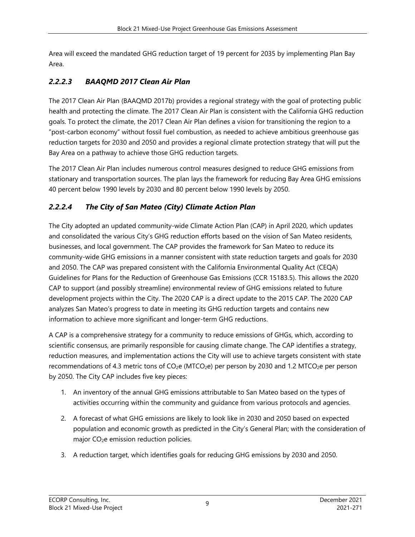Area will exceed the mandated GHG reduction target of 19 percent for 2035 by implementing Plan Bay Area.

## *2.2.2.3 BAAQMD 2017 Clean Air Plan*

The 2017 Clean Air Plan (BAAQMD 2017b) provides a regional strategy with the goal of protecting public health and protecting the climate. The 2017 Clean Air Plan is consistent with the California GHG reduction goals. To protect the climate, the 2017 Clean Air Plan defines a vision for transitioning the region to a "post-carbon economy" without fossil fuel combustion, as needed to achieve ambitious greenhouse gas reduction targets for 2030 and 2050 and provides a regional climate protection strategy that will put the Bay Area on a pathway to achieve those GHG reduction targets.

The 2017 Clean Air Plan includes numerous control measures designed to reduce GHG emissions from stationary and transportation sources. The plan lays the framework for reducing Bay Area GHG emissions 40 percent below 1990 levels by 2030 and 80 percent below 1990 levels by 2050.

### *2.2.2.4 The City of San Mateo (City) Climate Action Plan*

The City adopted an updated community-wide Climate Action Plan (CAP) in April 2020, which updates and consolidated the various City's GHG reduction efforts based on the vision of San Mateo residents, businesses, and local government. The CAP provides the framework for San Mateo to reduce its community-wide GHG emissions in a manner consistent with state reduction targets and goals for 2030 and 2050. The CAP was prepared consistent with the California Environmental Quality Act (CEQA) Guidelines for Plans for the Reduction of Greenhouse Gas Emissions (CCR 15183.5). This allows the 2020 CAP to support (and possibly streamline) environmental review of GHG emissions related to future development projects within the City. The 2020 CAP is a direct update to the 2015 CAP. The 2020 CAP analyzes San Mateo's progress to date in meeting its GHG reduction targets and contains new information to achieve more significant and longer-term GHG reductions.

A CAP is a comprehensive strategy for a community to reduce emissions of GHGs, which, according to scientific consensus, are primarily responsible for causing climate change. The CAP identifies a strategy, reduction measures, and implementation actions the City will use to achieve targets consistent with state recommendations of 4.3 metric tons of  $CO<sub>2</sub>e$  (MTCO<sub>2</sub>e) per person by 2030 and 1.2 MTCO<sub>2</sub>e per person by 2050. The City CAP includes five key pieces:

- 1. An inventory of the annual GHG emissions attributable to San Mateo based on the types of activities occurring within the community and guidance from various protocols and agencies.
- 2. A forecast of what GHG emissions are likely to look like in 2030 and 2050 based on expected population and economic growth as predicted in the City's General Plan; with the consideration of major CO<sub>2</sub>e emission reduction policies.
- 3. A reduction target, which identifies goals for reducing GHG emissions by 2030 and 2050.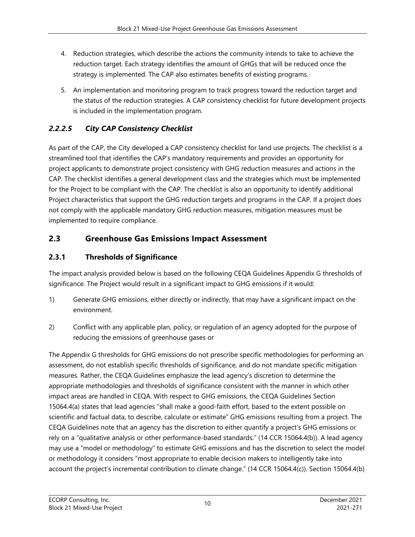- 4. Reduction strategies, which describe the actions the community intends to take to achieve the reduction target. Each strategy identifies the amount of GHGs that will be reduced once the strategy is implemented. The CAP also estimates benefits of existing programs.
- 5. An implementation and monitoring program to track progress toward the reduction target and the status of the reduction strategies. A CAP consistency checklist for future development projects is included in the implementation program.

### *2.2.2.5 City CAP Consistency Checklist*

As part of the CAP, the City developed a CAP consistency checklist for land use projects. The checklist is a streamlined tool that identifies the CAP's mandatory requirements and provides an opportunity for project applicants to demonstrate project consistency with GHG reduction measures and actions in the CAP. The checklist identifies a general development class and the strategies which must be implemented for the Project to be compliant with the CAP. The checklist is also an opportunity to identify additional Project characteristics that support the GHG reduction targets and programs in the CAP. If a project does not comply with the applicable mandatory GHG reduction measures, mitigation measures must be implemented to require compliance.

### **2.3 Greenhouse Gas Emissions Impact Assessment**

### **2.3.1 Thresholds of Significance**

The impact analysis provided below is based on the following CEQA Guidelines Appendix G thresholds of significance. The Project would result in a significant impact to GHG emissions if it would:

- 1) Generate GHG emissions, either directly or indirectly, that may have a significant impact on the environment.
- 2) Conflict with any applicable plan, policy, or regulation of an agency adopted for the purpose of reducing the emissions of greenhouse gases or

The Appendix G thresholds for GHG emissions do not prescribe specific methodologies for performing an assessment, do not establish specific thresholds of significance, and do not mandate specific mitigation measures. Rather, the CEQA Guidelines emphasize the lead agency's discretion to determine the appropriate methodologies and thresholds of significance consistent with the manner in which other impact areas are handled in CEQA. With respect to GHG emissions, the CEQA Guidelines Section 15064.4(a) states that lead agencies "shall make a good-faith effort, based to the extent possible on scientific and factual data, to describe, calculate or estimate" GHG emissions resulting from a project. The CEQA Guidelines note that an agency has the discretion to either quantify a project's GHG emissions or rely on a "qualitative analysis or other performance-based standards." (14 CCR 15064.4(b)). A lead agency may use a "model or methodology" to estimate GHG emissions and has the discretion to select the model or methodology it considers "most appropriate to enable decision makers to intelligently take into account the project's incremental contribution to climate change." (14 CCR 15064.4(c)). Section 15064.4(b)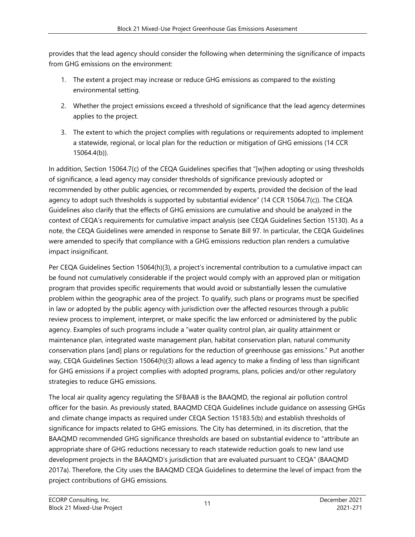provides that the lead agency should consider the following when determining the significance of impacts from GHG emissions on the environment:

- 1. The extent a project may increase or reduce GHG emissions as compared to the existing environmental setting.
- 2. Whether the project emissions exceed a threshold of significance that the lead agency determines applies to the project.
- 3. The extent to which the project complies with regulations or requirements adopted to implement a statewide, regional, or local plan for the reduction or mitigation of GHG emissions (14 CCR 15064.4(b)).

In addition, Section 15064.7(c) of the CEQA Guidelines specifies that "[w]hen adopting or using thresholds of significance, a lead agency may consider thresholds of significance previously adopted or recommended by other public agencies, or recommended by experts, provided the decision of the lead agency to adopt such thresholds is supported by substantial evidence" (14 CCR 15064.7(c)). The CEQA Guidelines also clarify that the effects of GHG emissions are cumulative and should be analyzed in the context of CEQA's requirements for cumulative impact analysis (see CEQA Guidelines Section 15130). As a note, the CEQA Guidelines were amended in response to Senate Bill 97. In particular, the CEQA Guidelines were amended to specify that compliance with a GHG emissions reduction plan renders a cumulative impact insignificant.

Per CEQA Guidelines Section 15064(h)(3), a project's incremental contribution to a cumulative impact can be found not cumulatively considerable if the project would comply with an approved plan or mitigation program that provides specific requirements that would avoid or substantially lessen the cumulative problem within the geographic area of the project. To qualify, such plans or programs must be specified in law or adopted by the public agency with jurisdiction over the affected resources through a public review process to implement, interpret, or make specific the law enforced or administered by the public agency. Examples of such programs include a "water quality control plan, air quality attainment or maintenance plan, integrated waste management plan, habitat conservation plan, natural community conservation plans [and] plans or regulations for the reduction of greenhouse gas emissions." Put another way, CEQA Guidelines Section 15064(h)(3) allows a lead agency to make a finding of less than significant for GHG emissions if a project complies with adopted programs, plans, policies and/or other regulatory strategies to reduce GHG emissions.

The local air quality agency regulating the SFBAAB is the BAAQMD, the regional air pollution control officer for the basin. As previously stated, BAAQMD CEQA Guidelines include guidance on assessing GHGs and climate change impacts as required under CEQA Section 15183.5(b) and establish thresholds of significance for impacts related to GHG emissions. The City has determined, in its discretion, that the BAAQMD recommended GHG significance thresholds are based on substantial evidence to "attribute an appropriate share of GHG reductions necessary to reach statewide reduction goals to new land use development projects in the BAAQMD's jurisdiction that are evaluated pursuant to CEQA" (BAAQMD 2017a). Therefore, the City uses the BAAQMD CEQA Guidelines to determine the level of impact from the project contributions of GHG emissions.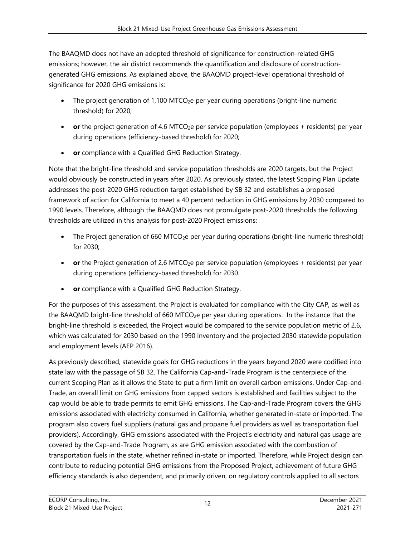The BAAQMD does not have an adopted threshold of significance for construction-related GHG emissions; however, the air district recommends the quantification and disclosure of constructiongenerated GHG emissions. As explained above, the BAAQMD project-level operational threshold of significance for 2020 GHG emissions is:

- The project generation of 1,100 MTCO<sub>2</sub>e per year during operations (bright-line numeric threshold) for 2020;
- **or** the project generation of 4.6 MTCO<sub>2</sub>e per service population (employees + residents) per year during operations (efficiency-based threshold) for 2020;
- **or** compliance with a Qualified GHG Reduction Strategy.

Note that the bright-line threshold and service population thresholds are 2020 targets, but the Project would obviously be constructed in years after 2020. As previously stated, the latest Scoping Plan Update addresses the post-2020 GHG reduction target established by SB 32 and establishes a proposed framework of action for California to meet a 40 percent reduction in GHG emissions by 2030 compared to 1990 levels. Therefore, although the BAAQMD does not promulgate post-2020 thresholds the following thresholds are utilized in this analysis for post-2020 Project emissions:

- The Project generation of 660 MTCO<sub>2</sub>e per year during operations (bright-line numeric threshold) for 2030;
- **or** the Project generation of 2.6 MTCO<sub>2</sub>e per service population (employees + residents) per year during operations (efficiency-based threshold) for 2030.
- **or** compliance with a Qualified GHG Reduction Strategy.

For the purposes of this assessment, the Project is evaluated for compliance with the City CAP, as well as the BAAQMD bright-line threshold of 660 MTCO<sub>2</sub>e per year during operations. In the instance that the bright-line threshold is exceeded, the Project would be compared to the service population metric of 2.6, which was calculated for 2030 based on the 1990 inventory and the projected 2030 statewide population and employment levels (AEP 2016).

As previously described, statewide goals for GHG reductions in the years beyond 2020 were codified into state law with the passage of SB 32. The California Cap-and-Trade Program is the centerpiece of the current Scoping Plan as it allows the State to put a firm limit on overall carbon emissions. Under Cap-and-Trade, an overall limit on GHG emissions from capped sectors is established and facilities subject to the cap would be able to trade permits to emit GHG emissions. The Cap-and-Trade Program covers the GHG emissions associated with electricity consumed in California, whether generated in-state or imported. The program also covers fuel suppliers (natural gas and propane fuel providers as well as transportation fuel providers). Accordingly, GHG emissions associated with the Project's electricity and natural gas usage are covered by the Cap-and-Trade Program, as are GHG emission associated with the combustion of transportation fuels in the state, whether refined in-state or imported. Therefore, while Project design can contribute to reducing potential GHG emissions from the Proposed Project, achievement of future GHG efficiency standards is also dependent, and primarily driven, on regulatory controls applied to all sectors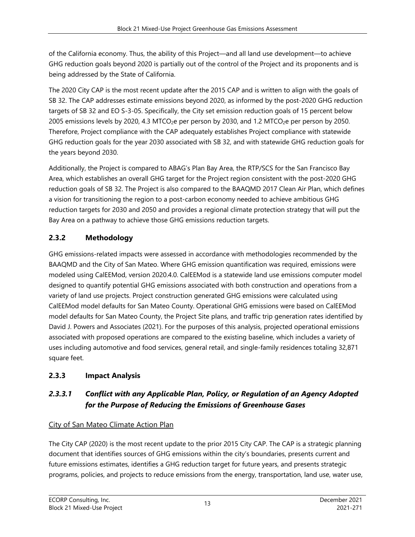of the California economy. Thus, the ability of this Project—and all land use development—to achieve GHG reduction goals beyond 2020 is partially out of the control of the Project and its proponents and is being addressed by the State of California.

The 2020 City CAP is the most recent update after the 2015 CAP and is written to align with the goals of SB 32. The CAP addresses estimate emissions beyond 2020, as informed by the post-2020 GHG reduction targets of SB 32 and EO S-3-05. Specifically, the City set emission reduction goals of 15 percent below 2005 emissions levels by 2020, 4.3 MTCO<sub>2</sub>e per person by 2030, and 1.2 MTCO<sub>2</sub>e per person by 2050. Therefore, Project compliance with the CAP adequately establishes Project compliance with statewide GHG reduction goals for the year 2030 associated with SB 32, and with statewide GHG reduction goals for the years beyond 2030.

Additionally, the Project is compared to ABAG's Plan Bay Area, the RTP/SCS for the San Francisco Bay Area, which establishes an overall GHG target for the Project region consistent with the post-2020 GHG reduction goals of SB 32. The Project is also compared to the BAAQMD 2017 Clean Air Plan, which defines a vision for transitioning the region to a post-carbon economy needed to achieve ambitious GHG reduction targets for 2030 and 2050 and provides a regional climate protection strategy that will put the Bay Area on a pathway to achieve those GHG emissions reduction targets.

# **2.3.2 Methodology**

GHG emissions-related impacts were assessed in accordance with methodologies recommended by the BAAQMD and the City of San Mateo. Where GHG emission quantification was required, emissions were modeled using CalEEMod, version 2020.4.0. CalEEMod is a statewide land use emissions computer model designed to quantify potential GHG emissions associated with both construction and operations from a variety of land use projects. Project construction generated GHG emissions were calculated using CalEEMod model defaults for San Mateo County. Operational GHG emissions were based on CalEEMod model defaults for San Mateo County, the Project Site plans, and traffic trip generation rates identified by David J. Powers and Associates (2021). For the purposes of this analysis, projected operational emissions associated with proposed operations are compared to the existing baseline, which includes a variety of uses including automotive and food services, general retail, and single-family residences totaling 32,871 square feet.

# **2.3.3 Impact Analysis**

# *2.3.3.1 Conflict with any Applicable Plan, Policy, or Regulation of an Agency Adopted for the Purpose of Reducing the Emissions of Greenhouse Gases*

# City of San Mateo Climate Action Plan

The City CAP (2020) is the most recent update to the prior 2015 City CAP. The CAP is a strategic planning document that identifies sources of GHG emissions within the city's boundaries, presents current and future emissions estimates, identifies a GHG reduction target for future years, and presents strategic programs, policies, and projects to reduce emissions from the energy, transportation, land use, water use,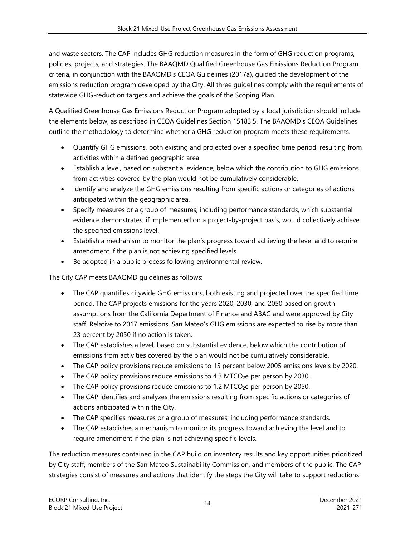and waste sectors. The CAP includes GHG reduction measures in the form of GHG reduction programs, policies, projects, and strategies. The BAAQMD Qualified Greenhouse Gas Emissions Reduction Program criteria, in conjunction with the BAAQMD's CEQA Guidelines (2017a), guided the development of the emissions reduction program developed by the City. All three guidelines comply with the requirements of statewide GHG-reduction targets and achieve the goals of the Scoping Plan.

A Qualified Greenhouse Gas Emissions Reduction Program adopted by a local jurisdiction should include the elements below, as described in CEQA Guidelines Section 15183.5. The BAAQMD's CEQA Guidelines outline the methodology to determine whether a GHG reduction program meets these requirements.

- Quantify GHG emissions, both existing and projected over a specified time period, resulting from activities within a defined geographic area.
- Establish a level, based on substantial evidence, below which the contribution to GHG emissions from activities covered by the plan would not be cumulatively considerable.
- Identify and analyze the GHG emissions resulting from specific actions or categories of actions anticipated within the geographic area.
- Specify measures or a group of measures, including performance standards, which substantial evidence demonstrates, if implemented on a project-by-project basis, would collectively achieve the specified emissions level.
- Establish a mechanism to monitor the plan's progress toward achieving the level and to require amendment if the plan is not achieving specified levels.
- Be adopted in a public process following environmental review.

The City CAP meets BAAQMD guidelines as follows:

- The CAP quantifies citywide GHG emissions, both existing and projected over the specified time period. The CAP projects emissions for the years 2020, 2030, and 2050 based on growth assumptions from the California Department of Finance and ABAG and were approved by City staff. Relative to 2017 emissions, San Mateo's GHG emissions are expected to rise by more than 23 percent by 2050 if no action is taken.
- The CAP establishes a level, based on substantial evidence, below which the contribution of emissions from activities covered by the plan would not be cumulatively considerable.
- The CAP policy provisions reduce emissions to 15 percent below 2005 emissions levels by 2020.
- $\bullet$  The CAP policy provisions reduce emissions to 4.3 MTCO<sub>2</sub>e per person by 2030.
- The CAP policy provisions reduce emissions to 1.2 MTCO $_2$ e per person by 2050.
- The CAP identifies and analyzes the emissions resulting from specific actions or categories of actions anticipated within the City.
- The CAP specifies measures or a group of measures, including performance standards.
- The CAP establishes a mechanism to monitor its progress toward achieving the level and to require amendment if the plan is not achieving specific levels.

The reduction measures contained in the CAP build on inventory results and key opportunities prioritized by City staff, members of the San Mateo Sustainability Commission, and members of the public. The CAP strategies consist of measures and actions that identify the steps the City will take to support reductions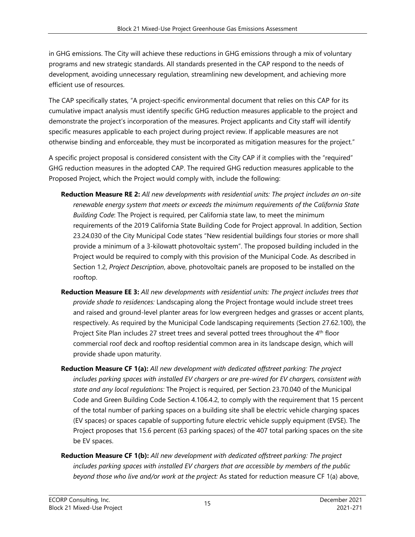in GHG emissions. The City will achieve these reductions in GHG emissions through a mix of voluntary programs and new strategic standards. All standards presented in the CAP respond to the needs of development, avoiding unnecessary regulation, streamlining new development, and achieving more efficient use of resources.

The CAP specifically states, "A project-specific environmental document that relies on this CAP for its cumulative impact analysis must identify specific GHG reduction measures applicable to the project and demonstrate the project's incorporation of the measures. Project applicants and City staff will identify specific measures applicable to each project during project review. If applicable measures are not otherwise binding and enforceable, they must be incorporated as mitigation measures for the project."

A specific project proposal is considered consistent with the City CAP if it complies with the "required" GHG reduction measures in the adopted CAP. The required GHG reduction measures applicable to the Proposed Project, which the Project would comply with, include the following:

- **Reduction Measure RE 2:** *All new developments with residential units: The project includes an on-site renewable energy system that meets or exceeds the minimum requirements of the California State Building Code*: The Project is required, per California state law, to meet the minimum requirements of the 2019 California State Building Code for Project approval. In addition, Section 23.24.030 of the City Municipal Code states "New residential buildings four stories or more shall provide a minimum of a 3-kilowatt photovoltaic system". The proposed building included in the Project would be required to comply with this provision of the Municipal Code. As described in Section 1.2, *Project Description*, above, photovoltaic panels are proposed to be installed on the rooftop.
- **Reduction Measure EE 3:** *All new developments with residential units: The project includes trees that provide shade to residences:* Landscaping along the Project frontage would include street trees and raised and ground-level planter areas for low evergreen hedges and grasses or accent plants, respectively. As required by the Municipal Code landscaping requirements (Section 27.62.100), the Project Site Plan includes 27 street trees and several potted trees throughout the 4<sup>th</sup> floor commercial roof deck and rooftop residential common area in its landscape design, which will provide shade upon maturity.
- **Reduction Measure CF 1(a):** *All new development with dedicated offstreet parking: The project includes parking spaces with installed EV chargers or are pre-wired for EV chargers, consistent with state and any local regulations:* The Project is required, per Section 23.70.040 of the Municipal Code and Green Building Code Section 4.106.4.2, to comply with the requirement that 15 percent of the total number of parking spaces on a building site shall be electric vehicle charging spaces (EV spaces) or spaces capable of supporting future electric vehicle supply equipment (EVSE). The Project proposes that 15.6 percent (63 parking spaces) of the 407 total parking spaces on the site be EV spaces.
- **Reduction Measure CF 1(b):** *All new development with dedicated offstreet parking: The project includes parking spaces with installed EV chargers that are accessible by members of the public beyond those who live and/or work at the project:* As stated for reduction measure CF 1(a) above,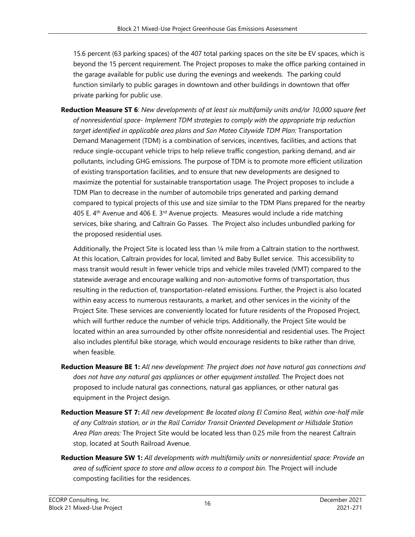15.6 percent (63 parking spaces) of the 407 total parking spaces on the site be EV spaces, which is beyond the 15 percent requirement. The Project proposes to make the office parking contained in the garage available for public use during the evenings and weekends. The parking could function similarly to public garages in downtown and other buildings in downtown that offer private parking for public use.

**Reduction Measure ST 6**: *New developments of at least six multifamily units and/or 10,000 square feet of nonresidential space- Implement TDM strategies to comply with the appropriate trip reduction*  target identified in applicable area plans and San Mateo Citywide TDM Plan: Transportation Demand Management (TDM) is a combination of services, incentives, facilities, and actions that reduce single-occupant vehicle trips to help relieve traffic congestion, parking demand, and air pollutants, including GHG emissions. The purpose of TDM is to promote more efficient utilization of existing transportation facilities, and to ensure that new developments are designed to maximize the potential for sustainable transportation usage. The Project proposes to include a TDM Plan to decrease in the number of automobile trips generated and parking demand compared to typical projects of this use and size similar to the TDM Plans prepared for the nearby 405 E.  $4<sup>th</sup>$  Avenue and 406 E. 3<sup>rd</sup> Avenue projects. Measures would include a ride matching services, bike sharing, and Caltrain Go Passes. The Project also includes unbundled parking for the proposed residential uses.

Additionally, the Project Site is located less than 1/4 mile from a Caltrain station to the northwest. At this location, Caltrain provides for local, limited and Baby Bullet service. This accessibility to mass transit would result in fewer vehicle trips and vehicle miles traveled (VMT) compared to the statewide average and encourage walking and non-automotive forms of transportation, thus resulting in the reduction of, transportation-related emissions. Further, the Project is also located within easy access to numerous restaurants, a market, and other services in the vicinity of the Project Site. These services are conveniently located for future residents of the Proposed Project, which will further reduce the number of vehicle trips. Additionally, the Project Site would be located within an area surrounded by other offsite nonresidential and residential uses. The Project also includes plentiful bike storage, which would encourage residents to bike rather than drive, when feasible.

- **Reduction Measure BE 1:** *All new development: The project does not have natural gas connections and does not have any natural gas appliances or other equipment installed.* The Project does not proposed to include natural gas connections, natural gas appliances, or other natural gas equipment in the Project design.
- **Reduction Measure ST 7:** *All new development: Be located along El Camino Real, within one-half mile of any Caltrain station, or in the Rail Corridor Transit Oriented Development or Hillsdale Station Area Plan areas:* The Project Site would be located less than 0.25 mile from the nearest Caltrain stop, located at South Railroad Avenue.
- **Reduction Measure SW 1:** *All developments with multifamily units or nonresidential space: Provide an area of sufficient space to store and allow access to a compost bin.* The Project will include composting facilities for the residences.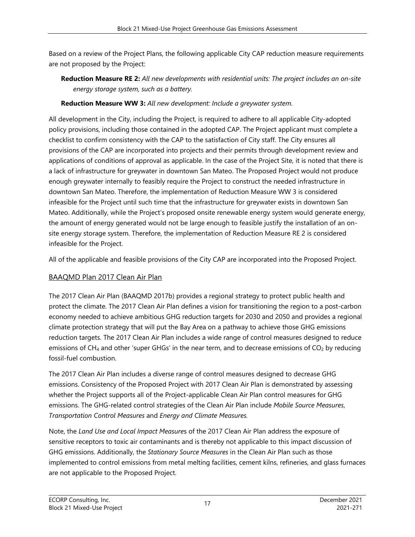Based on a review of the Project Plans, the following applicable City CAP reduction measure requirements are not proposed by the Project:

**Reduction Measure RE 2:** *All new developments with residential units: The project includes an on-site energy storage system, such as a battery.* 

### **Reduction Measure WW 3:** *All new development: Include a greywater system.*

All development in the City, including the Project, is required to adhere to all applicable City-adopted policy provisions, including those contained in the adopted CAP. The Project applicant must complete a checklist to confirm consistency with the CAP to the satisfaction of City staff. The City ensures all provisions of the CAP are incorporated into projects and their permits through development review and applications of conditions of approval as applicable. In the case of the Project Site, it is noted that there is a lack of infrastructure for greywater in downtown San Mateo. The Proposed Project would not produce enough greywater internally to feasibly require the Project to construct the needed infrastructure in downtown San Mateo. Therefore, the implementation of Reduction Measure WW 3 is considered infeasible for the Project until such time that the infrastructure for greywater exists in downtown San Mateo. Additionally, while the Project's proposed onsite renewable energy system would generate energy, the amount of energy generated would not be large enough to feasible justify the installation of an onsite energy storage system. Therefore, the implementation of Reduction Measure RE 2 is considered infeasible for the Project.

All of the applicable and feasible provisions of the City CAP are incorporated into the Proposed Project.

### BAAQMD Plan 2017 Clean Air Plan

The 2017 Clean Air Plan (BAAQMD 2017b) provides a regional strategy to protect public health and protect the climate. The 2017 Clean Air Plan defines a vision for transitioning the region to a post-carbon economy needed to achieve ambitious GHG reduction targets for 2030 and 2050 and provides a regional climate protection strategy that will put the Bay Area on a pathway to achieve those GHG emissions reduction targets. The 2017 Clean Air Plan includes a wide range of control measures designed to reduce emissions of  $CH_4$  and other 'super GHGs' in the near term, and to decrease emissions of  $CO_2$  by reducing fossil-fuel combustion.

The 2017 Clean Air Plan includes a diverse range of control measures designed to decrease GHG emissions. Consistency of the Proposed Project with 2017 Clean Air Plan is demonstrated by assessing whether the Project supports all of the Project-applicable Clean Air Plan control measures for GHG emissions. The GHG-related control strategies of the Clean Air Plan include *Mobile Source Measures*, *Transportation Control Measures* and *Energy and Climate Measures.* 

Note, the *Land Use and Local Impact Measure*s of the 2017 Clean Air Plan address the exposure of sensitive receptors to toxic air contaminants and is thereby not applicable to this impact discussion of GHG emissions. Additionally, the *Stationary Source Measures* in the Clean Air Plan such as those implemented to control emissions from metal melting facilities, cement kilns, refineries, and glass furnaces are not applicable to the Proposed Project.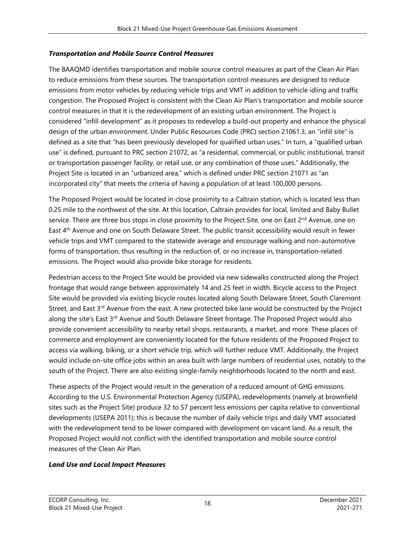### *Transportation and Mobile Source Control Measures*

The BAAQMD identifies transportation and mobile source control measures as part of the Clean Air Plan to reduce emissions from these sources. The transportation control measures are designed to reduce emissions from motor vehicles by reducing vehicle trips and VMT in addition to vehicle idling and traffic congestion. The Proposed Project is consistent with the Clean Air Plan's transportation and mobile source control measures in that it is the redevelopment of an existing urban environment. The Project is considered "infill development" as it proposes to redevelop a build-out property and enhance the physical design of the urban environment. Under Public Resources Code (PRC) section 21061.3, an "infill site" is defined as a site that "has been previously developed for qualified urban uses." In turn, a "qualified urban use" is defined, pursuant to PRC section 21072, as "a residential, commercial, or public institutional, transit or transportation passenger facility, or retail use, or any combination of those uses." Additionally, the Project Site is located in an "urbanized area," which is defined under PRC section 21071 as "an incorporated city" that meets the criteria of having a population of at least 100,000 persons.

The Proposed Project would be located in close proximity to a Caltrain station, which is located less than 0.25 mile to the northwest of the site. At this location, Caltrain provides for local, limited and Baby Bullet service. There are three bus stops in close proximity to the Project Site, one on East 2<sup>nd</sup> Avenue, one on East 4th Avenue and one on South Delaware Street. The public transit accessibility would result in fewer vehicle trips and VMT compared to the statewide average and encourage walking and non-automotive forms of transportation, thus resulting in the reduction of, or no increase in, transportation-related emissions. The Project would also provide bike storage for residents.

Pedestrian access to the Project Site would be provided via new sidewalks constructed along the Project frontage that would range between approximately 14 and 25 feet in width. Bicycle access to the Project Site would be provided via existing bicycle routes located along South Delaware Street, South Claremont Street, and East  $3^{rd}$  Avenue from the east. A new protected bike lane would be constructed by the Project along the site's East 3<sup>rd</sup> Avenue and South Delaware Street frontage. The Proposed Project would also provide convenient accessibility to nearby retail shops, restaurants, a market, and more. These places of commerce and employment are conveniently located for the future residents of the Proposed Project to access via walking, biking, or a short vehicle trip, which will further reduce VMT. Additionally, the Project would include on-site office jobs within an area built with large numbers of residential uses, notably to the south of the Project. There are also existing single-family neighborhoods located to the north and east.

These aspects of the Project would result in the generation of a reduced amount of GHG emissions. According to the U.S. Environmental Protection Agency (USEPA), redevelopments (namely at brownfield sites such as the Project Site) produce 32 to 57 percent less emissions per capita relative to conventional developments (USEPA 2011); this is because the number of daily vehicle trips and daily VMT associated with the redevelopment tend to be lower compared with development on vacant land. As a result, the Proposed Project would not conflict with the identified transportation and mobile source control measures of the Clean Air Plan.

### *Land Use and Local Impact Measures*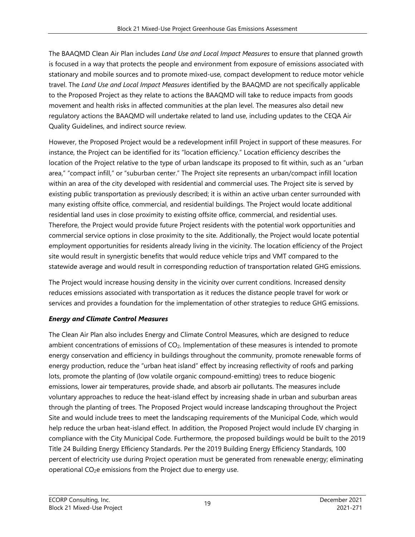The BAAQMD Clean Air Plan includes *Land Use and Local Impact Measures* to ensure that planned growth is focused in a way that protects the people and environment from exposure of emissions associated with stationary and mobile sources and to promote mixed-use, compact development to reduce motor vehicle travel. The *Land Use and Local Impact Measures* identified by the BAAQMD are not specifically applicable to the Proposed Project as they relate to actions the BAAQMD will take to reduce impacts from goods movement and health risks in affected communities at the plan level. The measures also detail new regulatory actions the BAAQMD will undertake related to land use, including updates to the CEQA Air Quality Guidelines, and indirect source review.

However, the Proposed Project would be a redevelopment infill Project in support of these measures. For instance, the Project can be identified for its "location efficiency." Location efficiency describes the location of the Project relative to the type of urban landscape its proposed to fit within, such as an "urban area," "compact infill," or "suburban center." The Project site represents an urban/compact infill location within an area of the city developed with residential and commercial uses. The Project site is served by existing public transportation as previously described; it is within an active urban center surrounded with many existing offsite office, commercial, and residential buildings. The Project would locate additional residential land uses in close proximity to existing offsite office, commercial, and residential uses. Therefore, the Project would provide future Project residents with the potential work opportunities and commercial service options in close proximity to the site. Additionally, the Project would locate potential employment opportunities for residents already living in the vicinity. The location efficiency of the Project site would result in synergistic benefits that would reduce vehicle trips and VMT compared to the statewide average and would result in corresponding reduction of transportation related GHG emissions.

The Project would increase housing density in the vicinity over current conditions. Increased density reduces emissions associated with transportation as it reduces the distance people travel for work or services and provides a foundation for the implementation of other strategies to reduce GHG emissions.

### *Energy and Climate Control Measures*

The Clean Air Plan also includes Energy and Climate Control Measures, which are designed to reduce ambient concentrations of emissions of CO<sub>2</sub>. Implementation of these measures is intended to promote energy conservation and efficiency in buildings throughout the community, promote renewable forms of energy production, reduce the "urban heat island" effect by increasing reflectivity of roofs and parking lots, promote the planting of (low volatile organic compound-emitting) trees to reduce biogenic emissions, lower air temperatures, provide shade, and absorb air pollutants. The measures include voluntary approaches to reduce the heat-island effect by increasing shade in urban and suburban areas through the planting of trees. The Proposed Project would increase landscaping throughout the Project Site and would include trees to meet the landscaping requirements of the Municipal Code, which would help reduce the urban heat-island effect. In addition, the Proposed Project would include EV charging in compliance with the City Municipal Code. Furthermore, the proposed buildings would be built to the 2019 Title 24 Building Energy Efficiency Standards. Per the 2019 Building Energy Efficiency Standards, 100 percent of electricity use during Project operation must be generated from renewable energy; eliminating operational CO<sub>2</sub>e emissions from the Project due to energy use.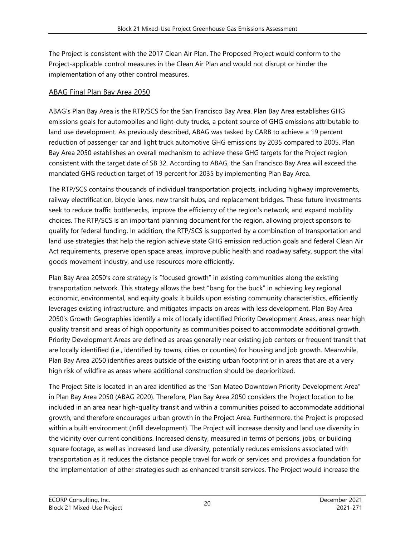The Project is consistent with the 2017 Clean Air Plan. The Proposed Project would conform to the Project-applicable control measures in the Clean Air Plan and would not disrupt or hinder the implementation of any other control measures.

### ABAG Final Plan Bay Area 2050

ABAG's Plan Bay Area is the RTP/SCS for the San Francisco Bay Area. Plan Bay Area establishes GHG emissions goals for automobiles and light-duty trucks, a potent source of GHG emissions attributable to land use development. As previously described, ABAG was tasked by CARB to achieve a 19 percent reduction of passenger car and light truck automotive GHG emissions by 2035 compared to 2005. Plan Bay Area 2050 establishes an overall mechanism to achieve these GHG targets for the Project region consistent with the target date of SB 32. According to ABAG, the San Francisco Bay Area will exceed the mandated GHG reduction target of 19 percent for 2035 by implementing Plan Bay Area.

The RTP/SCS contains thousands of individual transportation projects, including highway improvements, railway electrification, bicycle lanes, new transit hubs, and replacement bridges. These future investments seek to reduce traffic bottlenecks, improve the efficiency of the region's network, and expand mobility choices. The RTP/SCS is an important planning document for the region, allowing project sponsors to qualify for federal funding. In addition, the RTP/SCS is supported by a combination of transportation and land use strategies that help the region achieve state GHG emission reduction goals and federal Clean Air Act requirements, preserve open space areas, improve public health and roadway safety, support the vital goods movement industry, and use resources more efficiently.

Plan Bay Area 2050's core strategy is "focused growth" in existing communities along the existing transportation network. This strategy allows the best "bang for the buck" in achieving key regional economic, environmental, and equity goals: it builds upon existing community characteristics, efficiently leverages existing infrastructure, and mitigates impacts on areas with less development. Plan Bay Area 2050's Growth Geographies identify a mix of locally identified Priority Development Areas, areas near high quality transit and areas of high opportunity as communities poised to accommodate additional growth. Priority Development Areas are defined as areas generally near existing job centers or frequent transit that are locally identified (i.e., identified by towns, cities or counties) for housing and job growth. Meanwhile, Plan Bay Area 2050 identifies areas outside of the existing urban footprint or in areas that are at a very high risk of wildfire as areas where additional construction should be deprioritized.

The Project Site is located in an area identified as the "San Mateo Downtown Priority Development Area" in Plan Bay Area 2050 (ABAG 2020). Therefore, Plan Bay Area 2050 considers the Project location to be included in an area near high-quality transit and within a communities poised to accommodate additional growth, and therefore encourages urban growth in the Project Area. Furthermore, the Project is proposed within a built environment (infill development). The Project will increase density and land use diversity in the vicinity over current conditions. Increased density, measured in terms of persons, jobs, or building square footage, as well as increased land use diversity, potentially reduces emissions associated with transportation as it reduces the distance people travel for work or services and provides a foundation for the implementation of other strategies such as enhanced transit services. The Project would increase the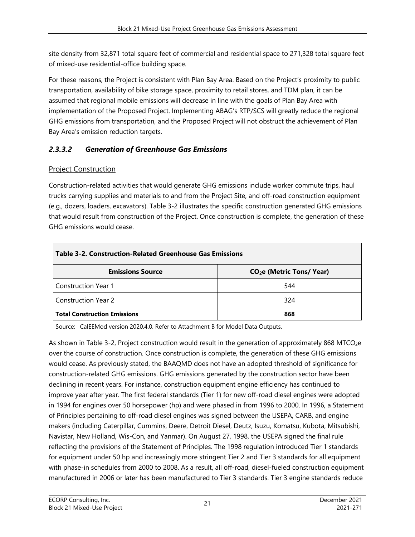site density from 32,871 total square feet of commercial and residential space to 271,328 total square feet of mixed-use residential-office building space.

For these reasons, the Project is consistent with Plan Bay Area. Based on the Project's proximity to public transportation, availability of bike storage space, proximity to retail stores, and TDM plan, it can be assumed that regional mobile emissions will decrease in line with the goals of Plan Bay Area with implementation of the Proposed Project. Implementing ABAG's RTP/SCS will greatly reduce the regional GHG emissions from transportation, and the Proposed Project will not obstruct the achievement of Plan Bay Area's emission reduction targets.

# *2.3.3.2 Generation of Greenhouse Gas Emissions*

### Project Construction

Construction-related activities that would generate GHG emissions include worker commute trips, haul trucks carrying supplies and materials to and from the Project Site, and off-road construction equipment (e.g., dozers, loaders, excavators). Table 3-2 illustrates the specific construction generated GHG emissions that would result from construction of the Project. Once construction is complete, the generation of these GHG emissions would cease.

| Table 3-2. Construction-Related Greenhouse Gas Emissions |                                       |  |  |  |  |  |  |  |
|----------------------------------------------------------|---------------------------------------|--|--|--|--|--|--|--|
| <b>Emissions Source</b>                                  | CO <sub>2</sub> e (Metric Tons/ Year) |  |  |  |  |  |  |  |
| <b>Construction Year 1</b>                               | 544                                   |  |  |  |  |  |  |  |
| <b>Construction Year 2</b>                               | 324                                   |  |  |  |  |  |  |  |
| <b>Total Construction Emissions</b>                      | 868                                   |  |  |  |  |  |  |  |

Source: CalEEMod version 2020.4.0. Refer to Attachment B for Model Data Outputs.

As shown in Table 3-2, Project construction would result in the generation of approximately 868 MTCO<sub>2</sub>e over the course of construction. Once construction is complete, the generation of these GHG emissions would cease. As previously stated, the BAAQMD does not have an adopted threshold of significance for construction-related GHG emissions. GHG emissions generated by the construction sector have been declining in recent years. For instance, construction equipment engine efficiency has continued to improve year after year. The first federal standards (Tier 1) for new off-road diesel engines were adopted in 1994 for engines over 50 horsepower (hp) and were phased in from 1996 to 2000. In 1996, a Statement of Principles pertaining to off-road diesel engines was signed between the USEPA, CARB, and engine makers (including Caterpillar, Cummins, Deere, Detroit Diesel, Deutz, Isuzu, Komatsu, Kubota, Mitsubishi, Navistar, New Holland, Wis-Con, and Yanmar). On August 27, 1998, the USEPA signed the final rule reflecting the provisions of the Statement of Principles. The 1998 regulation introduced Tier 1 standards for equipment under 50 hp and increasingly more stringent Tier 2 and Tier 3 standards for all equipment with phase-in schedules from 2000 to 2008. As a result, all off-road, diesel-fueled construction equipment manufactured in 2006 or later has been manufactured to Tier 3 standards. Tier 3 engine standards reduce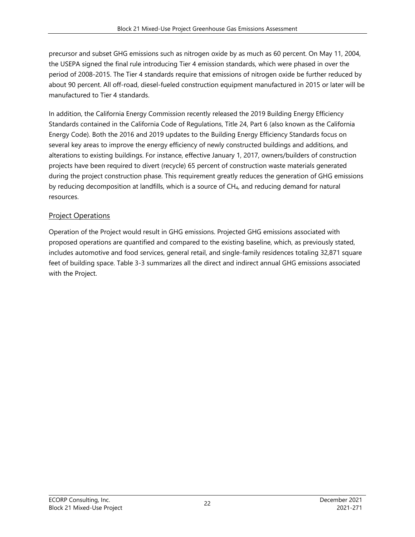precursor and subset GHG emissions such as nitrogen oxide by as much as 60 percent. On May 11, 2004, the USEPA signed the final rule introducing Tier 4 emission standards, which were phased in over the period of 2008-2015. The Tier 4 standards require that emissions of nitrogen oxide be further reduced by about 90 percent. All off-road, diesel-fueled construction equipment manufactured in 2015 or later will be manufactured to Tier 4 standards.

In addition, the California Energy Commission recently released the 2019 Building Energy Efficiency Standards contained in the California Code of Regulations, Title 24, Part 6 (also known as the California Energy Code). Both the 2016 and 2019 updates to the Building Energy Efficiency Standards focus on several key areas to improve the energy efficiency of newly constructed buildings and additions, and alterations to existing buildings. For instance, effective January 1, 2017, owners/builders of construction projects have been required to divert (recycle) 65 percent of construction waste materials generated during the project construction phase. This requirement greatly reduces the generation of GHG emissions by reducing decomposition at landfills, which is a source of CH4, and reducing demand for natural resources.

### Project Operations

Operation of the Project would result in GHG emissions. Projected GHG emissions associated with proposed operations are quantified and compared to the existing baseline, which, as previously stated, includes automotive and food services, general retail, and single-family residences totaling 32,871 square feet of building space. Table 3-3 summarizes all the direct and indirect annual GHG emissions associated with the Project.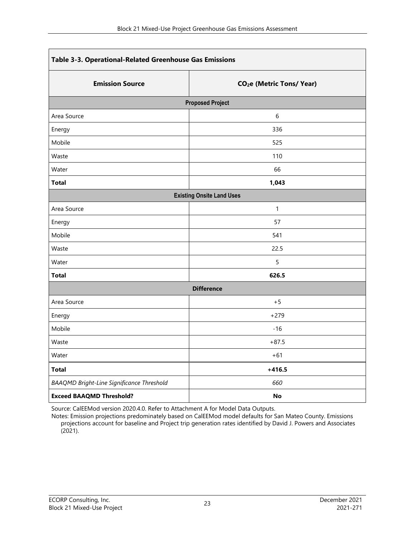| Table 3-3. Operational-Related Greenhouse Gas Emissions |                                       |  |  |  |  |  |  |
|---------------------------------------------------------|---------------------------------------|--|--|--|--|--|--|
| <b>Emission Source</b>                                  | CO <sub>2</sub> e (Metric Tons/ Year) |  |  |  |  |  |  |
|                                                         | <b>Proposed Project</b>               |  |  |  |  |  |  |
| Area Source                                             | 6                                     |  |  |  |  |  |  |
| Energy                                                  | 336                                   |  |  |  |  |  |  |
| Mobile                                                  | 525                                   |  |  |  |  |  |  |
| Waste                                                   | 110                                   |  |  |  |  |  |  |
| Water                                                   | 66                                    |  |  |  |  |  |  |
| <b>Total</b>                                            | 1,043                                 |  |  |  |  |  |  |
|                                                         | <b>Existing Onsite Land Uses</b>      |  |  |  |  |  |  |
| Area Source                                             | $\mathbf{1}$                          |  |  |  |  |  |  |
| Energy                                                  | 57                                    |  |  |  |  |  |  |
| Mobile                                                  | 541                                   |  |  |  |  |  |  |
| Waste                                                   | 22.5                                  |  |  |  |  |  |  |
| Water                                                   | 5                                     |  |  |  |  |  |  |
| <b>Total</b>                                            | 626.5                                 |  |  |  |  |  |  |
|                                                         | <b>Difference</b>                     |  |  |  |  |  |  |
| Area Source                                             | $+5$                                  |  |  |  |  |  |  |
| Energy                                                  | $+279$                                |  |  |  |  |  |  |
| Mobile                                                  | $-16$                                 |  |  |  |  |  |  |
| Waste                                                   | $+87.5$                               |  |  |  |  |  |  |
| Water                                                   | $+61$                                 |  |  |  |  |  |  |
| <b>Total</b>                                            | $+416.5$                              |  |  |  |  |  |  |
| <b>BAAQMD Bright-Line Significance Threshold</b>        | 660                                   |  |  |  |  |  |  |
| <b>Exceed BAAQMD Threshold?</b>                         | No                                    |  |  |  |  |  |  |

Source: CalEEMod version 2020.4.0. Refer to Attachment A for Model Data Outputs.

Notes: Emission projections predominately based on CalEEMod model defaults for San Mateo County. Emissions projections account for baseline and Project trip generation rates identified by David J. Powers and Associates  $(2021)$ .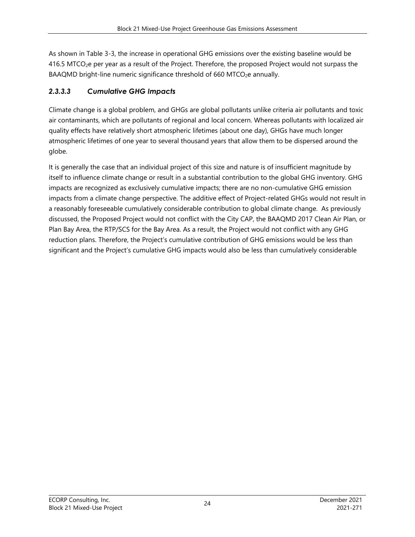As shown in Table 3-3, the increase in operational GHG emissions over the existing baseline would be 416.5 MTCO2e per year as a result of the Project. Therefore, the proposed Project would not surpass the BAAQMD bright-line numeric significance threshold of 660 MTCO<sub>2</sub>e annually.

### *2.3.3.3 Cumulative GHG Impacts*

Climate change is a global problem, and GHGs are global pollutants unlike criteria air pollutants and toxic air contaminants, which are pollutants of regional and local concern. Whereas pollutants with localized air quality effects have relatively short atmospheric lifetimes (about one day), GHGs have much longer atmospheric lifetimes of one year to several thousand years that allow them to be dispersed around the globe.

It is generally the case that an individual project of this size and nature is of insufficient magnitude by itself to influence climate change or result in a substantial contribution to the global GHG inventory. GHG impacts are recognized as exclusively cumulative impacts; there are no non-cumulative GHG emission impacts from a climate change perspective. The additive effect of Project-related GHGs would not result in a reasonably foreseeable cumulatively considerable contribution to global climate change. As previously discussed, the Proposed Project would not conflict with the City CAP, the BAAQMD 2017 Clean Air Plan, or Plan Bay Area, the RTP/SCS for the Bay Area. As a result, the Project would not conflict with any GHG reduction plans. Therefore, the Project's cumulative contribution of GHG emissions would be less than significant and the Project's cumulative GHG impacts would also be less than cumulatively considerable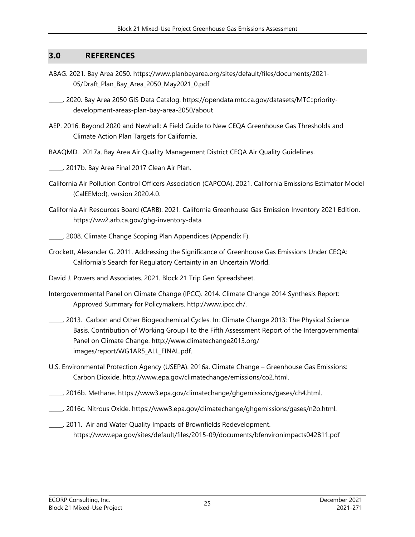### **3.0 REFERENCES**

- ABAG. 2021. Bay Area 2050. https://www.planbayarea.org/sites/default/files/documents/2021- 05/Draft\_Plan\_Bay\_Area\_2050\_May2021\_0.pdf
- \_\_\_\_\_. 2020. Bay Area 2050 GIS Data Catalog. https://opendata.mtc.ca.gov/datasets/MTC::prioritydevelopment-areas-plan-bay-area-2050/about
- AEP. 2016. Beyond 2020 and Newhall: A Field Guide to New CEQA Greenhouse Gas Thresholds and Climate Action Plan Targets for California.
- BAAQMD. 2017a. Bay Area Air Quality Management District CEQA Air Quality Guidelines.
- \_\_\_\_\_. 2017b. Bay Area Final 2017 Clean Air Plan.
- California Air Pollution Control Officers Association (CAPCOA). 2021. California Emissions Estimator Model (CalEEMod), version 2020.4.0.
- California Air Resources Board (CARB). 2021. California Greenhouse Gas Emission Inventory 2021 Edition. https://ww2.arb.ca.gov/ghg-inventory-data
- \_\_\_\_\_. 2008. Climate Change Scoping Plan Appendices (Appendix F).
- Crockett, Alexander G. 2011. Addressing the Significance of Greenhouse Gas Emissions Under CEQA: California's Search for Regulatory Certainty in an Uncertain World.
- David J. Powers and Associates. 2021. Block 21 Trip Gen Spreadsheet.
- Intergovernmental Panel on Climate Change (IPCC). 2014. Climate Change 2014 Synthesis Report: Approved Summary for Policymakers. http://www.ipcc.ch/.
- \_\_\_\_\_. 2013. Carbon and Other Biogeochemical Cycles. In: Climate Change 2013: The Physical Science Basis. Contribution of Working Group I to the Fifth Assessment Report of the Intergovernmental Panel on Climate Change. http://www.climatechange2013.org/ images/report/WG1AR5\_ALL\_FINAL.pdf.
- U.S. Environmental Protection Agency (USEPA). 2016a. Climate Change Greenhouse Gas Emissions: Carbon Dioxide. http://www.epa.gov/climatechange/emissions/co2.html.
- \_\_\_\_\_. 2016b. Methane. https://www3.epa.gov/climatechange/ghgemissions/gases/ch4.html.
- \_\_\_\_\_. 2016c. Nitrous Oxide. https://www3.epa.gov/climatechange/ghgemissions/gases/n2o.html.
- \_\_\_\_\_. 2011. Air and Water Quality Impacts of Brownfields Redevelopment. https://www.epa.gov/sites/default/files/2015-09/documents/bfenvironimpacts042811.pdf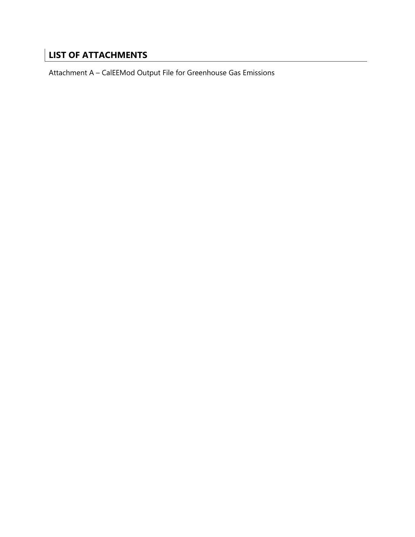# **LIST OF ATTACHMENTS**

Attachment A – CalEEMod Output File for Greenhouse Gas Emissions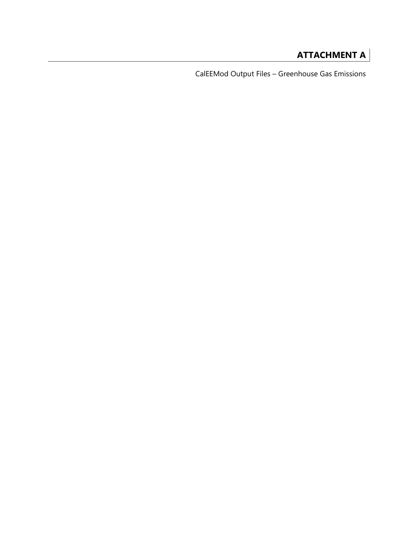# **ATTACHMENT A**

CalEEMod Output Files – Greenhouse Gas Emissions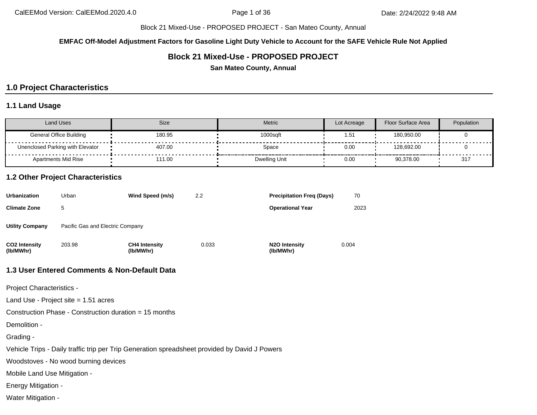**EMFAC Off-Model Adjustment Factors for Gasoline Light Duty Vehicle to Account for the SAFE Vehicle Rule Not Applied**

### **Block 21 Mixed-Use - PROPOSED PROJECT**

**San Mateo County, Annual**

### **1.0 Project Characteristics**

#### **1.1 Land Usage**

| <b>Land Uses</b>                 | <b>Size</b> | <b>Metric</b> | Lot Acreage      | Floor Surface Area | Population |
|----------------------------------|-------------|---------------|------------------|--------------------|------------|
| <b>General Office Building</b>   | 180.95      | 1000sqft      | 1.5 <sup>4</sup> | 180,950.00         |            |
| Unenclosed Parking with Elevator | 407.00      | Space         | 0.00             | 128.692.00         |            |
| Apartments Mid Rise              | 111.00      | Dwelling Unit | 0.00             | 90,378.00          | 317        |

#### **1.2 Other Project Characteristics**

| Urbanization               | Urban                            | Wind Speed (m/s)                  | 2.2   | <b>Precipitation Freg (Days)</b>        | 70    |
|----------------------------|----------------------------------|-----------------------------------|-------|-----------------------------------------|-------|
| <b>Climate Zone</b>        | 5                                |                                   |       | <b>Operational Year</b>                 | 2023  |
| Utility Company            | Pacific Gas and Electric Company |                                   |       |                                         |       |
| CO2 Intensity<br>(lb/MWhr) | 203.98                           | <b>CH4 Intensity</b><br>(lb/MWhr) | 0.033 | N <sub>2</sub> O Intensity<br>(lb/MWhr) | 0.004 |

#### **1.3 User Entered Comments & Non-Default Data**

Project Characteristics -

Land Use - Project site = 1.51 acres

Construction Phase - Construction duration = 15 months

Demolition -

Grading -

Vehicle Trips - Daily traffic trip per Trip Generation spreadsheet provided by David J Powers

Woodstoves - No wood burning devices

Mobile Land Use Mitigation -

Energy Mitigation -

Water Mitigation -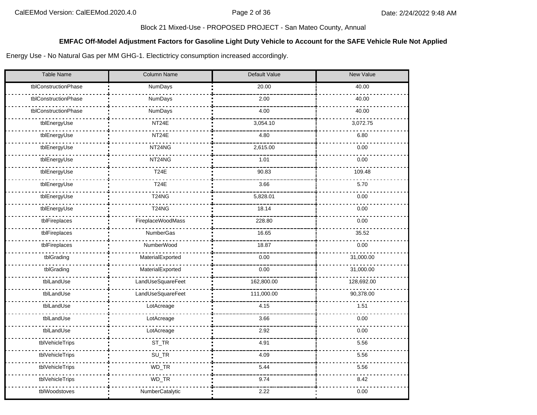#### **EMFAC Off-Model Adjustment Factors for Gasoline Light Duty Vehicle to Account for the SAFE Vehicle Rule Not Applied**

Energy Use - No Natural Gas per MM GHG-1. Electictricy consumption increased accordingly.

| <b>Table Name</b>    | Column Name       | Default Value | <b>New Value</b> |  |  |
|----------------------|-------------------|---------------|------------------|--|--|
| tblConstructionPhase | NumDays           | 20.00         | 40.00            |  |  |
| tblConstructionPhase | NumDays           | 2.00          | 40.00            |  |  |
| tblConstructionPhase | NumDays           | 4.00          | 40.00            |  |  |
| tblEnergyUse         | NT24E             | 3,054.10      | 3,072.75         |  |  |
| tblEnergyUse         | NT24E             | 4.80          | 6.80             |  |  |
| tblEnergyUse         | NT24NG            | 2,615.00      | 0.00             |  |  |
| tblEnergyUse         | NT24NG            | 1.01          | 0.00             |  |  |
| tblEnergyUse         | <b>T24E</b>       | 90.83         | 109.48           |  |  |
| tblEnergyUse         | <b>T24E</b>       | 3.66          | 5.70             |  |  |
| tblEnergyUse         | <b>T24NG</b>      | 5,828.01      | 0.00             |  |  |
| tblEnergyUse         | <b>T24NG</b>      | 18.14         | 0.00             |  |  |
| tblFireplaces        | FireplaceWoodMass | 228.80        | 0.00             |  |  |
| tblFireplaces        | NumberGas         | 16.65         | 35.52            |  |  |
| tblFireplaces        | NumberWood        | 18.87         | 0.00             |  |  |
| tblGrading           | MaterialExported  | 0.00          | 31,000.00        |  |  |
| tblGrading           | MaterialExported  | 0.00          | 31,000.00        |  |  |
| tblLandUse           | LandUseSquareFeet | 162,800.00    | 128,692.00       |  |  |
| tblLandUse           | LandUseSquareFeet | 111,000.00    | 90,378.00        |  |  |
| tblLandUse           | LotAcreage        | 4.15          | 1.51             |  |  |
| tblLandUse           | LotAcreage        | 3.66          | 0.00             |  |  |
| tblLandUse           | LotAcreage        | 2.92          | 0.00             |  |  |
| tblVehicleTrips      | ST_TR             | 4.91          | 5.56             |  |  |
| tblVehicleTrips      | SU_TR             | 4.09          | 5.56             |  |  |
| tblVehicleTrips      | WD_TR             | 5.44          | 5.56             |  |  |
| tblVehicleTrips      | $WD_TR$           | 9.74          | 8.42             |  |  |
| tblWoodstoves        | NumberCatalytic   | 2.22          | 0.00             |  |  |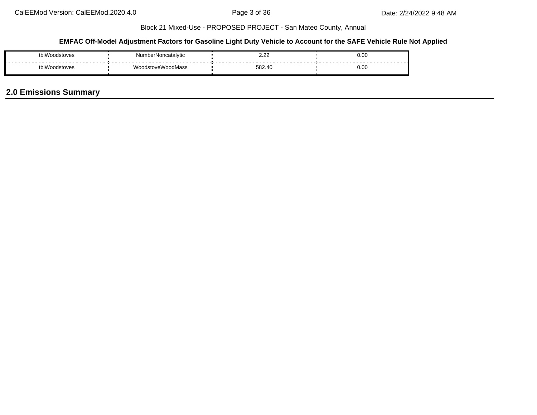#### **EMFAC Off-Model Adjustment Factors for Gasoline Light Duty Vehicle to Account for the SAFE Vehicle Rule Not Applied**

| rhIV <sup>.</sup><br>nnastaves | NumberNoncata     | $\sim$<br><u>.</u> | 0.00 |  |  |
|--------------------------------|-------------------|--------------------|------|--|--|
| tblW<br>'nndstnyes             | WoodstoveWoodMass | 582.40             | 0.00 |  |  |

### **2.0 Emissions Summary**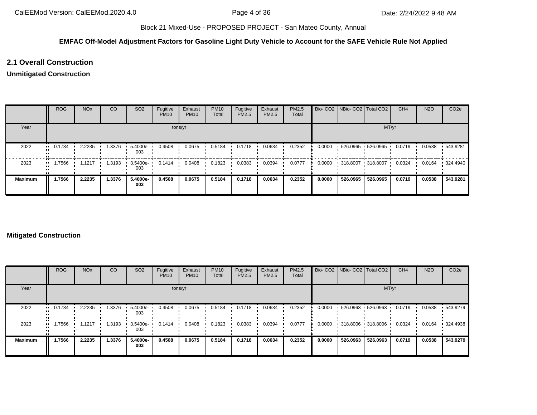#### **EMFAC Off-Model Adjustment Factors for Gasoline Light Duty Vehicle to Account for the SAFE Vehicle Rule Not Applied**

### **2.1 Overall Construction**

#### **Unmitigated Construction**

|                | <b>ROG</b>                | <b>NO<sub>x</sub></b> | CO     | SO <sub>2</sub> | Fugitive<br><b>PM10</b> | Exhaust<br><b>PM10</b> | <b>PM10</b><br>Total | Fugitive<br>PM2.5 | Exhaust<br>PM2.5 | <b>PM2.5</b><br>Total |        | Bio- CO2   NBio- CO2   Total CO2 |                   | CH <sub>4</sub> | <b>N2O</b> | CO <sub>2e</sub> |
|----------------|---------------------------|-----------------------|--------|-----------------|-------------------------|------------------------|----------------------|-------------------|------------------|-----------------------|--------|----------------------------------|-------------------|-----------------|------------|------------------|
| Year           | tons/yr                   |                       |        |                 |                         |                        |                      |                   |                  | MT/yr                 |        |                                  |                   |                 |            |                  |
| 2022           | 0.1734<br>. .             | 2.2235                | 1.3376 | 5.4000e-<br>003 | 0.4508                  | 0.0675                 | 0.5184               | 0.1718            | 0.0634           | 0.2352                | 0.0000 |                                  | 526.0965 526.0965 | 0.0719          | 0.0538     | .543.9281        |
| 2023           | 7566،<br>$\bullet\bullet$ | 1.1217                | 1.3193 | 3.5400e-<br>003 | 0.1414                  | 0.0408                 | 0.1823               | 0.0383            | 0.0394           | 0.0777                | 0.0000 | 318.8007 318.8007                |                   | 0.0324          | 0.0164     | $\cdot$ 324.4940 |
| <b>Maximum</b> | 1.7566                    | 2.2235                | 1.3376 | 5.4000e-<br>003 | 0.4508                  | 0.0675                 | 0.5184               | 0.1718            | 0.0634           | 0.2352                | 0.0000 | 526.0965                         | 526.0965          | 0.0719          | 0.0538     | 543.9281         |

#### **Mitigated Construction**

|                | <b>ROG</b>    | <b>NO<sub>x</sub></b> | CO     | SO <sub>2</sub> | Fugitive<br><b>PM10</b> | Exhaust<br><b>PM10</b> | <b>PM10</b><br>Total | Fugitive<br>PM2.5 | Exhaust<br>PM2.5 | PM2.5<br>Total |        | Bio- CO2   NBio- CO2   Total CO2 |                        | CH <sub>4</sub> | <b>N2O</b> | CO <sub>2e</sub> |
|----------------|---------------|-----------------------|--------|-----------------|-------------------------|------------------------|----------------------|-------------------|------------------|----------------|--------|----------------------------------|------------------------|-----------------|------------|------------------|
| Year           | tons/yr       |                       |        |                 |                         |                        |                      |                   |                  | MT/yr          |        |                                  |                        |                 |            |                  |
| 2022           | 0.1734<br>. . | 2.2235                | 1.3376 | 5.4000e-<br>003 | 0.4508                  | 0.0675                 | 0.5184               | 0.1718            | 0.0634           | 0.2352         | 0.0000 |                                  | $-526.0963 - 526.0963$ | 0.0719          | 0.0538     | .543.9279        |
| 2023<br>п.     | 7566ء         | 1.1217                | .3193  | 3.5400e-<br>003 | 0.1414                  | 0.0408                 | 0.1823               | 0.0383            | 0.0394           | 0.0777         | 0.0000 |                                  | $-318.8006 - 318.8006$ | 0.0324          | 0.0164     | $\cdot$ 324.4938 |
| <b>Maximum</b> | 1.7566        | 2.2235                | 1.3376 | 5.4000e-<br>003 | 0.4508                  | 0.0675                 | 0.5184               | 0.1718            | 0.0634           | 0.2352         | 0.0000 | 526.0963                         | 526.0963               | 0.0719          | 0.0538     | 543.9279         |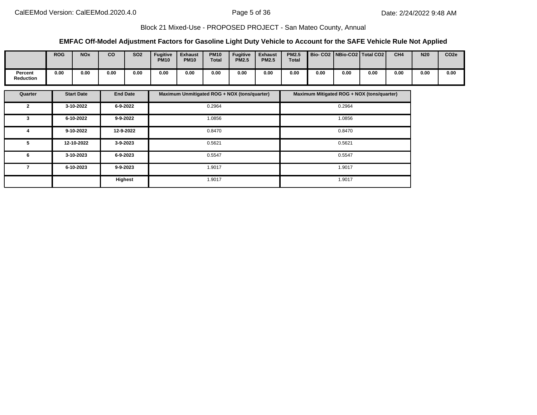#### **EMFAC Off-Model Adjustment Factors for Gasoline Light Duty Vehicle to Account for the SAFE Vehicle Rule Not Applied**

|                      | <b>ROG</b> | <b>NO<sub>x</sub></b> | CO   | <b>SO2</b> | <b>Fugitive</b><br><b>PM10</b> | <b>Exhaust</b><br><b>PM10</b> | <b>PM10</b><br><b>Total</b> | <b>Fugitive</b><br><b>PM2.5</b> | <b>Exhaust</b><br><b>PM2.5</b> | <b>PM2.5</b><br><b>Total</b> |      |      | Bio- CO2   NBio-CO2   Total CO2 | CH <sub>4</sub> | <b>N20</b> | CO <sub>2e</sub> |
|----------------------|------------|-----------------------|------|------------|--------------------------------|-------------------------------|-----------------------------|---------------------------------|--------------------------------|------------------------------|------|------|---------------------------------|-----------------|------------|------------------|
| Percent<br>Reduction | 0.00       | 0.00                  | 0.00 | 0.00       | 0.00                           | 0.00                          | 0.00                        | 0.00                            | 0.00                           | 0.00                         | 0.00 | 0.00 | 0.00                            | 0.00            | 0.00       | 0.00             |

| Quarter        | <b>Start Date</b> | <b>End Date</b> | Maximum Unmitigated ROG + NOX (tons/quarter) | Maximum Mitigated ROG + NOX (tons/quarter) |
|----------------|-------------------|-----------------|----------------------------------------------|--------------------------------------------|
| $\overline{2}$ | 3-10-2022         | 6-9-2022        | 0.2964                                       | 0.2964                                     |
| 3              | 6-10-2022         | 9-9-2022        | 1.0856                                       | 1.0856                                     |
| 4              | 9-10-2022         | 12-9-2022       | 0.8470                                       | 0.8470                                     |
| 5              | 12-10-2022        | 3-9-2023        | 0.5621                                       | 0.5621                                     |
| 6              | 3-10-2023         | 6-9-2023        | 0.5547                                       | 0.5547                                     |
|                | 6-10-2023         | $9 - 9 - 2023$  | 1.9017                                       | 1.9017                                     |
|                |                   | Highest         | 1.9017                                       | 1.9017                                     |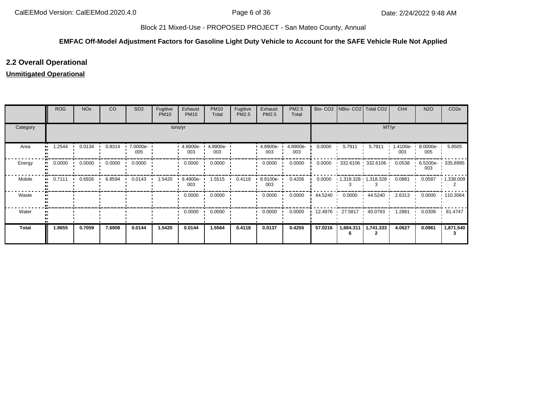#### **EMFAC Off-Model Adjustment Factors for Gasoline Light Duty Vehicle to Account for the SAFE Vehicle Rule Not Applied**

### **2.2 Overall Operational**

### **Unmitigated Operational**

|              | <b>ROG</b> | <b>NO<sub>x</sub></b> | CO               | SO <sub>2</sub> | Fugitive<br><b>PM10</b> | Exhaust<br><b>PM10</b> | <b>PM10</b><br>Total | Fugitive<br>PM2.5 | Exhaust<br>PM2.5   | PM2.5<br>Total  |         | Bio- CO2   NBio- CO2   Total CO2 |                             | CH <sub>4</sub> | <b>N2O</b>      | CO <sub>2e</sub>    |  |  |  |
|--------------|------------|-----------------------|------------------|-----------------|-------------------------|------------------------|----------------------|-------------------|--------------------|-----------------|---------|----------------------------------|-----------------------------|-----------------|-----------------|---------------------|--|--|--|
| Category     | tons/yr    |                       |                  |                 |                         |                        |                      |                   |                    |                 |         | MT/yr                            |                             |                 |                 |                     |  |  |  |
| Area         | .2544<br>  | 0.0134                | 0.8314           | 7.0000e-<br>005 |                         | 4.8900e-<br>003        | 4.8900e-<br>003      |                   | 4.8900e-<br>003    | 4.8900e-<br>003 | 0.0000  | 5.7911                           | 5.7911                      | 1.4100e-<br>003 | 8.0000e-<br>005 | 5.8505              |  |  |  |
| Energy       | 0.0000<br> | 0.0000                | $0.0000$ $\cdot$ | 0.0000          |                         | 0.0000                 | 0.0000               |                   | 0.0000             | 0.0000          | 0.0000  |                                  | $332.6106$ 332.6106         | 0.0538          | 003             | 6.5200e- 1 335.8995 |  |  |  |
| Mobile       | 0.7111<br> | 0.6926                | 6.8594           | 0.0143          | 1.5420                  | 9.4900e-<br>003        | 1.5515               | 0.4118            | $8.8100e -$<br>003 | 0.4206          | 0.0000  |                                  | $1,318.328$ $1,318.328$ $1$ | 0.0881          | 0.0587          | 1,338.009           |  |  |  |
| Waste        |            |                       |                  |                 |                         | 0.0000                 | 0.0000               |                   | 0.0000             | 0.0000          | 44.5240 | 0.0000                           | 44.5240<br>. .              | 2.6313          | 0.0000          | $\cdot$ 110.3064    |  |  |  |
| Water        |            |                       |                  |                 |                         | 0.0000                 | 0.0000               |                   | 0.0000             | 0.0000          |         | 12.4976 27.5817                  | 40.0793 ·                   | 1.2881          | 0.0309          | 81.4747             |  |  |  |
| <b>Total</b> | 1.9655     | 0.7059                | 7.6908           | 0.0144          | 1.5420                  | 0.0144                 | 1.5564               | 0.4118            | 0.0137             | 0.4255          | 57.0216 | 1,684.311                        | 1,741.333                   | 4.0627          | 0.0961          | 1,871.540           |  |  |  |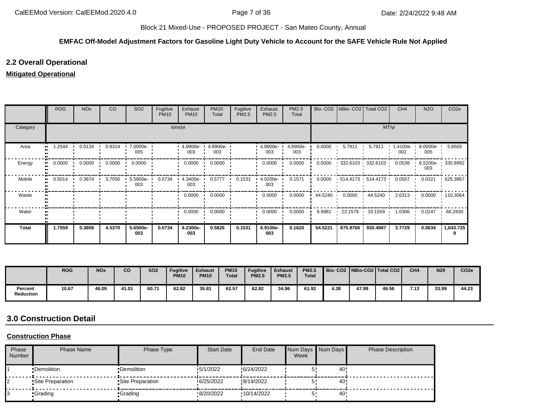## **EMFAC Off-Model Adjustment Factors for Gasoline Light Duty Vehicle to Account for the SAFE Vehicle Rule Not Applied**

# **2.2 Overall Operational**

## **Mitigated Operational**

|                     | <b>ROG</b> | <b>NO<sub>x</sub></b> | CO                | SO <sub>2</sub>    | Fugitive<br><b>PM10</b> | Exhaust<br><b>PM10</b> | <b>PM10</b><br>Total | Fugitive<br>PM2.5 | Exhaust<br>PM2.5 | PM2.5<br>Total  |                | Bio- CO2   NBio- CO2   Total CO2 |                        | CH <sub>4</sub>   | <b>N2O</b>      | CO <sub>2e</sub> |
|---------------------|------------|-----------------------|-------------------|--------------------|-------------------------|------------------------|----------------------|-------------------|------------------|-----------------|----------------|----------------------------------|------------------------|-------------------|-----------------|------------------|
| Category            |            |                       |                   |                    |                         | tons/yr                |                      |                   |                  |                 |                |                                  | MT/yr                  |                   |                 |                  |
| Area<br>            | .2544      | 0.0134                | 0.8314            | 7.0000e-<br>005    |                         | 4.8900e<br>003         | 4.8900e-<br>003      |                   | 4.8900e-<br>003  | 4.8900e-<br>003 | 0.0000         | 5.7911                           | 5.7911                 | 1.4100e- ∙<br>003 | 8.0000e-<br>005 | 5.8505           |
| Energy              | 0.0000     |                       | $0.0000$ $0.0000$ | 0.0000             |                         | 0.0000                 | 0.0000               |                   | 0.0000           | 0.0000          | 0.0000         |                                  | $-332.6103 - 332.6103$ | 0.0538            | 6.5200e-<br>003 | $\cdot$ 335.8992 |
| Mobile<br>$\bullet$ | 0.5014     | 0.3674                | 3.7056            | $-5.5800e-$<br>003 | 0.5734                  | 4.3400e-<br>003        | 0.5777               | 0.1531            | 4.0200e-<br>003  | 0.1571          | 0.0000         |                                  | $-514.4173 - 514.4173$ | 0.0557            | 0.0321          | .525.3867        |
| Waste               |            |                       |                   |                    |                         | 0.0000                 | 0.0000               |                   | 0.0000           | 0.0000          | 44.5240<br>. . | 0.0000                           | 44.5240                | 2.6313            | 0.0000          | $\cdot$ 110.3064 |
| Water               |            |                       |                   |                    |                         | 0.0000                 | 0.0000               |                   | 0.0000           | 0.0000          | 9.9981         | 23.1579                          | 33.1559                | 1.0306            | 0.0247          | 66.2830          |
| <b>Total</b>        | 1.7559     | 0.3808                | 4.5370            | 5.6500e-<br>003    | 0.5734                  | 9.2300e-<br>003        | 0.5826               | 0.1531            | 8.9100e-<br>003  | 0.1620          | 54.5221        | 875.9766                         | 930.4987               | 3.7729            | 0.0634          | 1,043.725        |

|                      | <b>ROG</b> | <b>NO<sub>x</sub></b> | CO    | <b>SO2</b> | <b>Fugitive</b><br><b>PM10</b> | <b>Exhaust</b><br><b>PM10</b> | <b>PM10</b><br><b>Total</b> | <b>Fugitive</b><br><b>PM2.5</b> | <b>Exhaust</b><br><b>PM2.5</b> | <b>PM2.5</b><br><b>Total</b> |      |       | Bio-CO2   NBio-CO2   Total CO2 | CH <sub>4</sub> | <b>N20</b> | CO <sub>2e</sub> |
|----------------------|------------|-----------------------|-------|------------|--------------------------------|-------------------------------|-----------------------------|---------------------------------|--------------------------------|------------------------------|------|-------|--------------------------------|-----------------|------------|------------------|
| Percent<br>Reduction | 10.67      | 46.05                 | 41.01 | 60.71      | 62.82                          | 35.81                         | 62.57                       | 62.82                           | 34.96                          | 61.92                        | 4.38 | 47.99 | 46.56                          | 7.13            | 33.99      | 44.23            |

# **3.0 Construction Detail**

## **Construction Phase**

| Phase<br>Number | Phase Name        | Phase Type        | <b>Start Date</b> | End Date   | Week | Num Days Num Days | <b>Phase Description</b> |
|-----------------|-------------------|-------------------|-------------------|------------|------|-------------------|--------------------------|
|                 | •Demolition       | •Demolition       | 15/1/2022         | 6/24/2022  |      | 40!               |                          |
|                 | •Site Preparation | •Site Preparation | 6/25/2022         | 8/19/2022  |      | 40                |                          |
|                 | •Grading          | •Grading          | 8/20/2022         | 10/14/2022 |      | 40                |                          |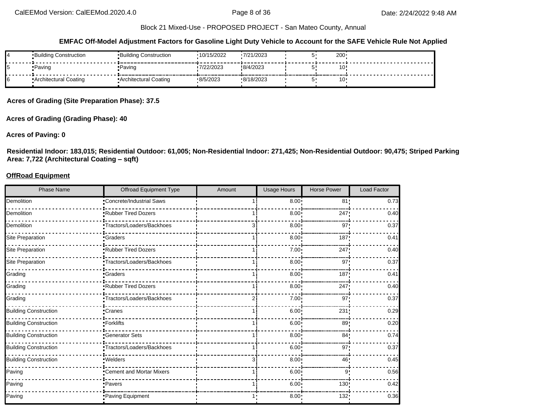**EMFAC Off-Model Adjustment Factors for Gasoline Light Duty Vehicle to Account for the SAFE Vehicle Rule Not Applied**

| 14 | •Building Construction | ▪Building Construction | 10/15/2022 | 7/21/2023 | 200 |  |
|----|------------------------|------------------------|------------|-----------|-----|--|
|    | •Paving                | •Paving                | 7/22/2023  | 8/4/2023  | 10  |  |
|    | Architectural Coating  | "Architectural Coating | 8/5/2023   | 8/18/2023 | 10  |  |

**Acres of Grading (Site Preparation Phase): 37.5**

**Acres of Grading (Grading Phase): 40**

#### **Acres of Paving: 0**

**Residential Indoor: 183,015; Residential Outdoor: 61,005; Non-Residential Indoor: 271,425; Non-Residential Outdoor: 90,475; Striped Parking Area: 7,722 (Architectural Coating – sqft)**

#### **OffRoad Equipment**

| <b>Phase Name</b>            | Offroad Equipment Type     | Amount | Usage Hours  | <b>Horse Power</b> | <b>Load Factor</b> |
|------------------------------|----------------------------|--------|--------------|--------------------|--------------------|
| Demolition                   | Concrete/Industrial Saws   |        | $8.00 \cdot$ | 81 <sub>1</sub>    | 0.73               |
| Demolition                   | <b>Rubber Tired Dozers</b> |        | 8.00         | 247                | 0.40               |
| Demolition                   | ·Tractors/Loaders/Backhoes |        | 8.00         | 97                 | 0.37               |
| Site Preparation             | <b>Craders</b>             |        | 8.00         | 187 <sub>1</sub>   | 0.41               |
| Site Preparation             | Rubber Tired Dozers        |        | 7.00         | 247                | 0.40               |
| <b>Site Preparation</b>      | -Tractors/Loaders/Backhoes |        | 8.00         | 97'                | 0.37               |
| Grading                      | -Graders                   |        | 8.00         | 187                | 0.41               |
| Grading                      | Rubber Tired Dozers        |        | 8.00         | 247                | 0.40               |
| Grading                      | Tractors/Loaders/Backhoes  |        | 7.00:        | 97 <sub>1</sub>    | 0.37               |
| <b>Building Construction</b> | Cranes                     |        | 6.00         | 231                | 0.29               |
| <b>Building Construction</b> | -Forklifts                 |        | 6.00         | 89                 | 0.20               |
| <b>Building Construction</b> | Generator Sets             |        | 8.00         | 84 <sub>1</sub>    | 0.74               |
| <b>Building Construction</b> | Tractors/Loaders/Backhoes  |        | $6.00 \cdot$ | 97                 | 0.37               |
| <b>Building Construction</b> | •Welders                   |        | $8.00 \cdot$ | 46                 | 0.45               |
| Paving                       | Cement and Mortar Mixers   |        | 6.00         | 9!                 | 0.56               |
| Paving                       | Pavers                     |        | 6.00         | 130                | 0.42               |
| Paving                       | Paving Equipment           |        | 8.00         | 132                | 0.36               |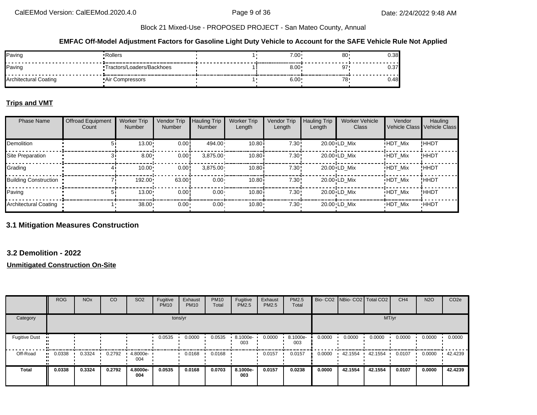#### **EMFAC Off-Model Adjustment Factors for Gasoline Light Duty Vehicle to Account for the SAFE Vehicle Rule Not Applied**

| Paving                       | Rollers                    | $7.00 \cdot$ | 80 <sub>1</sub> | ∪.∪ |
|------------------------------|----------------------------|--------------|-----------------|-----|
| Paving                       | *Tractors/Loaders/Backhoes | 8.00         |                 | ◡.◡ |
| <b>Architectural Coating</b> | <b>Air Compressors</b>     | 6.00         |                 |     |

## **Trips and VMT**

| <b>Phase Name</b>            | <b>Offroad Equipment</b><br>Count | <b>Worker Trip</b><br><b>Number</b> | Vendor Trip<br><b>Number</b> | <b>Hauling Trip</b><br><b>Number</b> | <b>Worker Trip</b><br>Length | Vendor Trip<br>Length | <b>Hauling Trip</b><br>Length | <b>Worker Vehicle</b><br>Class | Vendor         | Hauling<br>Vehicle Class Vehicle Class |
|------------------------------|-----------------------------------|-------------------------------------|------------------------------|--------------------------------------|------------------------------|-----------------------|-------------------------------|--------------------------------|----------------|----------------------------------------|
| <b>Demolition</b>            |                                   | 13.00                               | 0.00!                        | 494.00                               | 10.80i                       | 7.30:                 |                               | 20.00 LD Mix                   | <b>HDT Mix</b> | !HHDT                                  |
| Site Preparation             |                                   | 8.00                                | 0.00!                        | 3.875.00                             | 10.80i                       | 7.30:                 |                               | $20.00 \cdot LD$ Mix           | <b>HDT Mix</b> | !HHDT                                  |
| Grading                      |                                   | 10.00                               | 0.00!                        | 3.875.00                             | 10.80i                       | 7.30:                 |                               | $20.00 \cdot LD$ Mix           | <b>HDT Mix</b> | !HHDT                                  |
| <b>Building Construction</b> |                                   | 192.00                              | 63.00                        | $0.00 -$                             | 10.80i                       | 7.30:                 |                               | $20.00 \cdot LD$ Mix           | <b>HDT Mix</b> | !HHDT                                  |
| Paving                       |                                   | 13.00                               | 0.00!                        | $0.00 -$                             | 10.80i                       | 7.30:                 |                               | 20.00 LD Mix                   | <b>HDT Mix</b> | !HHDT                                  |
| Architectural Coating        |                                   | 38.00                               | 0.00                         | $0.00 \cdot$                         | 10.80                        | $7.30 -$              |                               | 20.00 LD Mix                   | <b>HDT Mix</b> | <b>HHDT</b>                            |

## **3.1 Mitigation Measures Construction**

## **3.2 Demolition - 2022**

|                      | <b>ROG</b> | <b>NO<sub>x</sub></b> | CO     | SO <sub>2</sub> | Fugitive<br><b>PM10</b> | Exhaust<br><b>PM10</b> | <b>PM10</b><br>Total | Fugitive<br>PM2.5 | Exhaust<br><b>PM2.5</b> | PM2.5<br>Total  |        |         | Bio- CO2   NBio- CO2   Total CO2 | CH <sub>4</sub> | <b>N2O</b> | CO <sub>2e</sub> |
|----------------------|------------|-----------------------|--------|-----------------|-------------------------|------------------------|----------------------|-------------------|-------------------------|-----------------|--------|---------|----------------------------------|-----------------|------------|------------------|
| Category             |            |                       |        |                 |                         | tons/yr                |                      |                   |                         |                 |        |         | MT/yr                            |                 |            |                  |
| <b>Fugitive Dust</b> |            |                       |        |                 | 0.0535                  | 0.0000                 | 0.0535               | 8.1000e<br>003    | 0.0000                  | 8.1000e-<br>003 | 0.0000 | 0.0000  | 0.0000                           | 0.0000          | 0.0000     | 0.0000           |
| Off-Road             | 0.0338     | 0.3324                | 0.2792 | 4.8000e-<br>004 |                         | 0.0168                 | 0.0168               |                   | 0.0157                  | 0.0157          | 0.0000 | 42.1554 | 42.1554                          | 0.0107          | 0.0000     | 42.4239          |
| <b>Total</b>         | 0.0338     | 0.3324                | 0.2792 | 4.8000e-<br>004 | 0.0535                  | 0.0168                 | 0.0703               | 8.1000e-<br>003   | 0.0157                  | 0.0238          | 0.0000 | 42.1554 | 42.1554                          | 0.0107          | 0.0000     | 42.4239          |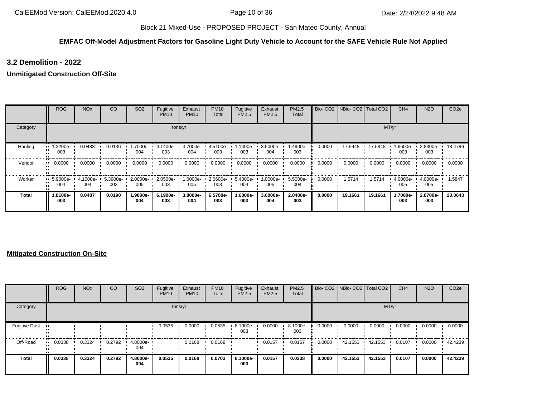## **EMFAC Off-Model Adjustment Factors for Gasoline Light Duty Vehicle to Account for the SAFE Vehicle Rule Not Applied**

# **3.2 Demolition - 2022**

## **Unmitigated Construction Off-Site**

|          | <b>ROG</b>                     | <b>NO<sub>x</sub></b> | CO              | SO <sub>2</sub> | Fugitive<br><b>PM10</b> | Exhaust<br><b>PM10</b> | <b>PM10</b><br>Total | Fugitive<br>PM2.5 | Exhaust<br>PM2.5 | <b>PM2.5</b><br>Total |        | Bio- CO2 NBio- CO2 Total CO2 |         | CH <sub>4</sub> | <b>N2O</b>      | CO <sub>2e</sub> |
|----------|--------------------------------|-----------------------|-----------------|-----------------|-------------------------|------------------------|----------------------|-------------------|------------------|-----------------------|--------|------------------------------|---------|-----------------|-----------------|------------------|
| Category |                                |                       |                 |                 |                         | tons/yr                |                      |                   |                  |                       |        |                              |         | MT/yr           |                 |                  |
| Hauling  | $\blacksquare$ 1.2200e-<br>003 | 0.0483                | 0.0136          | -.7000e<br>004  | 4.1400e-<br>003         | 3.7000e-<br>004        | 4.5100e-<br>003      | $.1400e-$<br>003  | 3.5000e-<br>004  | 1.4900e-<br>003       | 0.0000 | 17.5948                      | 17.5948 | .6600e-<br>003  | 2.8300e-<br>003 | 18.4796          |
| Vendor   | 0.0000<br>                     | 0.0000                | 0.0000          | 0.0000          | 0.0000                  | 0.0000                 | 0.0000               | 0.0000            | 0.0000           | 0.0000                | 0.0000 | 0.0000                       | 0.0000  | 0.0000          | 0.0000          | 0.0000           |
| Worker   | $\cdot$ 5.9000e-<br>004        | 4.1000e-<br>004       | 5.3900e-<br>003 | 2.0000e-<br>005 | 2.0500e-<br>003         | 1.0000e-<br>005        | 2.0600e-<br>003      | 5.4000e-<br>004   | 1.0000e-<br>005  | 5.5000e-<br>004       | 0.0000 | 1.5714                       | 1.5714  | 4.0000e-<br>005 | 4.0000e-<br>005 | .5847            |
| Total    | 1.8100e-<br>003                | 0.0487                | 0.0190          | 1.9000e-<br>004 | 6.1900e-<br>003         | 3.8000e-<br>004        | 6.5700e-<br>003      | 1.6800e-<br>003   | 3.6000e-<br>004  | 2.0400e-<br>003       | 0.0000 | 19.1661                      | 19.1661 | 1.7000e-<br>003 | 2.8700e-<br>003 | 20.0643          |

|                      | <b>ROG</b>            | <b>NO<sub>x</sub></b> | CO     | SO <sub>2</sub> | Fugitive<br><b>PM10</b> | Exhaust<br><b>PM10</b> | <b>PM10</b><br>Total | Fugitive<br>PM2.5 | Exhaust<br><b>PM2.5</b> | <b>PM2.5</b><br>Total |        | Bio- CO2   NBio- CO2   Total CO2 |         | CH <sub>4</sub> | <b>N2O</b> | CO <sub>2e</sub> |
|----------------------|-----------------------|-----------------------|--------|-----------------|-------------------------|------------------------|----------------------|-------------------|-------------------------|-----------------------|--------|----------------------------------|---------|-----------------|------------|------------------|
| Category             |                       |                       |        |                 | tons/yr                 |                        |                      |                   |                         |                       |        |                                  | MT/yr   |                 |            |                  |
| <b>Fugitive Dust</b> |                       |                       |        |                 | 0.0535                  | 0.0000                 | 0.0535               | 8.1000e-<br>003   | 0.0000                  | 8.1000e-<br>003       | 0.0000 | 0.0000                           | 0.0000  | 0.0000          | 0.0000     | 0.0000           |
| Off-Road             | $\blacksquare$ 0.0338 | 0.3324                | 0.2792 | 4.8000e-<br>004 |                         | 0.0168                 | 0.0168               |                   | 0.0157                  | 0.0157                | 0.0000 | 42.1553                          | 42.1553 | 0.0107          | 0.0000     | 42.4239          |
| Total                | 0.0338                | 0.3324                | 0.2792 | 4.8000e-<br>004 | 0.0535                  | 0.0168                 | 0.0703               | 8.1000e-<br>003   | 0.0157                  | 0.0238                | 0.0000 | 42.1553                          | 42.1553 | 0.0107          | 0.0000     | 42.4239          |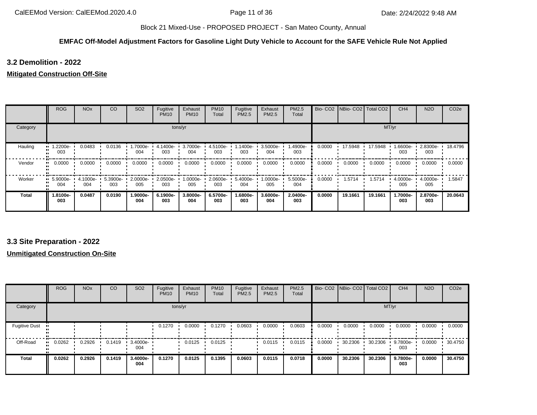## **EMFAC Off-Model Adjustment Factors for Gasoline Light Duty Vehicle to Account for the SAFE Vehicle Rule Not Applied**

## **3.2 Demolition - 2022**

## **Mitigated Construction Off-Site**

|          | <b>ROG</b>                     | <b>NO<sub>x</sub></b> | CO              | SO <sub>2</sub>    | Fugitive<br><b>PM10</b> | Exhaust<br><b>PM10</b> | <b>PM10</b><br>Total | Fugitive<br><b>PM2.5</b> | Exhaust<br>PM2.5 | <b>PM2.5</b><br>Total |        | Bio- CO2 NBio- CO2 Total CO2 |         | CH <sub>4</sub> | <b>N2O</b>      | CO <sub>2e</sub> |
|----------|--------------------------------|-----------------------|-----------------|--------------------|-------------------------|------------------------|----------------------|--------------------------|------------------|-----------------------|--------|------------------------------|---------|-----------------|-----------------|------------------|
| Category |                                |                       |                 |                    |                         | tons/yr                |                      |                          |                  |                       |        |                              |         | MT/yr           |                 |                  |
| Hauling  | 1.2200e-<br>003                | 0.0483                | 0.0136          | -.7000e<br>004     | 4.1400e-<br>003         | 3.7000e-<br>004        | 4.5100e-<br>003      | 1.1400e-<br>003          | 3.5000e-<br>004  | 1.4900e-<br>003       | 0.0000 | 17.5948                      | 17.5948 | 1.6600e-<br>003 | 2.8300e-<br>003 | 18.4796          |
| Vendor   | 0.0000                         | 0.0000                | 0.0000          | 0.0000             | 0.0000                  | 0.0000                 | 0.0000               | 0.0000                   | 0.0000           | 0.0000                | 0.0000 | 0.0000                       | 0.0000  | 0.0000          | 0.0000          | 0.0000           |
| Worker   | $\blacksquare$ 5.9000e-<br>004 | 4.1000e-<br>004       | 5.3900e-<br>003 | $2.0000e -$<br>005 | 2.0500e-<br>003         | $1.0000e-$<br>005      | 2.0600e-<br>003      | 5.4000e-<br>004          | 1.0000e-<br>005  | 5.5000e-<br>004       | 0.0000 | 1.5714                       | 1.5714  | 4.0000e-<br>005 | 4.0000e-<br>005 | .5847            |
| Total    | 1.8100e-<br>003                | 0.0487                | 0.0190          | 1.9000e-<br>004    | 6.1900e-<br>003         | 3.8000e-<br>004        | 6.5700e-<br>003      | -.6800e<br>003           | 3.6000e-<br>004  | 2.0400e-<br>003       | 0.0000 | 19.1661                      | 19.1661 | 1.7000e-<br>003 | 2.8700e-<br>003 | 20.0643          |

## **3.3 Site Preparation - 2022**

|                      | <b>ROG</b> | <b>NO<sub>x</sub></b> | CO     | SO <sub>2</sub> | Fugitive<br><b>PM10</b> | Exhaust<br><b>PM10</b> | <b>PM10</b><br>Total | Fugitive<br>PM2.5 | Exhaust<br>PM2.5 | PM2.5<br>Total |        | Bio- CO2 NBio- CO2 Total CO2 |         | CH <sub>4</sub> | <b>N2O</b> | CO <sub>2e</sub> |
|----------------------|------------|-----------------------|--------|-----------------|-------------------------|------------------------|----------------------|-------------------|------------------|----------------|--------|------------------------------|---------|-----------------|------------|------------------|
| Category             |            |                       |        |                 |                         | tons/yr                |                      |                   |                  |                |        |                              | MT/yr   |                 |            |                  |
| <b>Fugitive Dust</b> |            |                       |        |                 | 0.1270                  | 0.0000                 | 0.1270               | 0.0603            | 0.0000           | 0.0603         | 0.0000 | 0.0000                       | 0.0000  | 0.0000          | 0.0000     | 0.0000           |
| Off-Road             | 0.0262     | 0.2926                | 0.1419 | 3.4000e-<br>004 |                         | 0.0125                 | 0.0125               |                   | 0.0115           | 0.0115         | 0.0000 | 30.2306                      | 30.2306 | 9.7800e-<br>003 | 0.0000     | 30.4750          |
| <b>Total</b>         | 0.0262     | 0.2926                | 0.1419 | 3.4000e-<br>004 | 0.1270                  | 0.0125                 | 0.1395               | 0.0603            | 0.0115           | 0.0718         | 0.0000 | 30.2306                      | 30.2306 | 9.7800e-<br>003 | 0.0000     | 30.4750          |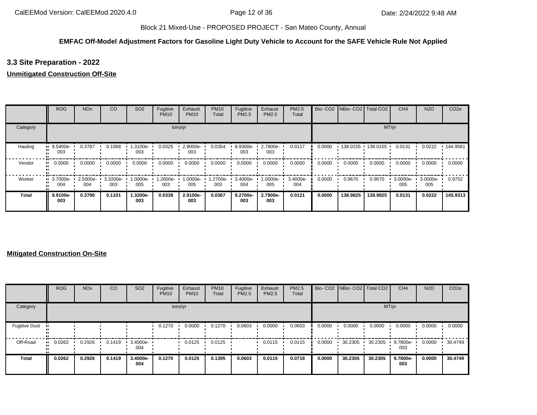## **EMFAC Off-Model Adjustment Factors for Gasoline Light Duty Vehicle to Account for the SAFE Vehicle Rule Not Applied**

## **3.3 Site Preparation - 2022**

## **Unmitigated Construction Off-Site**

|              | <b>ROG</b>      | <b>NO<sub>x</sub></b> | CO              | SO <sub>2</sub> | Fugitive<br><b>PM10</b> | Exhaust<br><b>PM10</b> | <b>PM10</b><br>Total | Fugitive<br><b>PM2.5</b> | Exhaust<br>PM2.5 | PM2.5<br>Total  |        | Bio- CO2   NBio- CO2   Total CO2 |          | CH <sub>4</sub> | <b>N2O</b>      | CO <sub>2e</sub> |
|--------------|-----------------|-----------------------|-----------------|-----------------|-------------------------|------------------------|----------------------|--------------------------|------------------|-----------------|--------|----------------------------------|----------|-----------------|-----------------|------------------|
| Category     |                 |                       |                 |                 |                         | tons/yr                |                      |                          |                  |                 |        |                                  | MT/yr    |                 |                 |                  |
| Hauling      | 9.5400e-<br>003 | 0.3787                | 0.1068          | 1.3100e-<br>003 | 0.0325                  | 2.9000e-<br>003        | 0.0354               | 8.9300e-<br>003          | 2.7800e-<br>003  | 0.0117          | 0.0000 | 138.0155 138.0155 '              |          | 0.0131          | 0.0222          | 144.9561         |
| Vendor       | 0.0000          | 0.0000                | 0.0000          | 0.0000          | 0.0000                  | 0.0000                 | 0.0000               | 0.0000                   | 0.0000           | 0.0000          | 0.0000 | 0.0000                           | 0.0000   | 0.0000          | 0.0000          | 0.0000           |
| Worker       | 3.7000e-<br>004 | 2.5000e-<br>004       | 3.3200e-<br>003 | 1.0000e-<br>005 | .2600e-<br>003          | 1.0000e-<br>005        | 1.2700e-<br>003      | 3.4000e-<br>004          | -0000e-<br>005   | 3.4000e-<br>004 | 0.0000 | 0.9670                           | 0.9670   | 3.0000e-<br>005 | 3.0000e-<br>005 | 0.9752           |
| <b>Total</b> | 9.9100e-<br>003 | 0.3790                | 0.1101          | 1.3200e-<br>003 | 0.0338                  | 2.9100e-<br>003        | 0.0367               | 9.2700e-<br>003          | 2.7900e-<br>003  | 0.0121          | 0.0000 | 138.9825                         | 138.9825 | 0.0131          | 0.0222          | 145.9313         |

|                      | <b>ROG</b>            | <b>NO<sub>x</sub></b> | CO     | SO <sub>2</sub> | Fugitive<br><b>PM10</b> | Exhaust<br><b>PM10</b> | <b>PM10</b><br>Total | Fugitive<br>PM2.5 | Exhaust<br><b>PM2.5</b> | <b>PM2.5</b><br>Total |        | Bio- CO2   NBio- CO2   Total CO2 |         | CH <sub>4</sub> | <b>N2O</b> | CO <sub>2e</sub> |
|----------------------|-----------------------|-----------------------|--------|-----------------|-------------------------|------------------------|----------------------|-------------------|-------------------------|-----------------------|--------|----------------------------------|---------|-----------------|------------|------------------|
| Category             |                       |                       |        |                 | tons/yr                 |                        |                      |                   |                         |                       |        |                                  | MT/yr   |                 |            |                  |
| <b>Fugitive Dust</b> |                       |                       |        |                 | 0.1270                  | 0.0000                 | 0.1270               | 0.0603            | 0.0000                  | 0.0603                | 0.0000 | 0.0000                           | 0.0000  | 0.0000          | 0.0000     | 0.0000           |
| Off-Road             | $\blacksquare$ 0.0262 | 0.2926                | 0.1419 | 3.4000e-<br>004 |                         | 0.0125                 | 0.0125               |                   | 0.0115                  | 0.0115                | 0.0000 | 30.2305                          | 30.2305 | 9.7800e-<br>003 | 0.0000     | 30.4749          |
| Total                | 0.0262                | 0.2926                | 0.1419 | 3.4000e-<br>004 | 0.1270                  | 0.0125                 | 0.1395               | 0.0603            | 0.0115                  | 0.0718                | 0.0000 | 30.2305                          | 30.2305 | 9.7800e-<br>003 | 0.0000     | 30.4749          |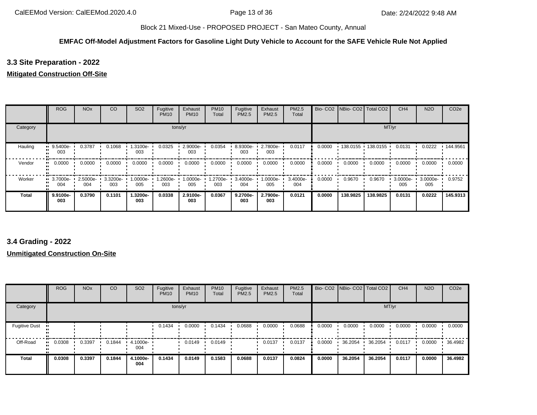## **EMFAC Off-Model Adjustment Factors for Gasoline Light Duty Vehicle to Account for the SAFE Vehicle Rule Not Applied**

## **3.3 Site Preparation - 2022**

## **Mitigated Construction Off-Site**

|              | <b>ROG</b>              | <b>NO<sub>x</sub></b> | CO              | SO <sub>2</sub> | Fugitive<br><b>PM10</b> | Exhaust<br><b>PM10</b> | <b>PM10</b><br>Total | Fugitive<br>PM2.5 | Exhaust<br>PM2.5 | <b>PM2.5</b><br>Total | Bio-CO <sub>2</sub> | NBio-CO2 Total CO2 |                     | CH <sub>4</sub> | <b>N2O</b>      | CO <sub>2e</sub> |
|--------------|-------------------------|-----------------------|-----------------|-----------------|-------------------------|------------------------|----------------------|-------------------|------------------|-----------------------|---------------------|--------------------|---------------------|-----------------|-----------------|------------------|
| Category     |                         |                       |                 |                 |                         | tons/yr                |                      |                   |                  |                       |                     |                    |                     | MT/yr           |                 |                  |
| Hauling      | 9.5400e-<br>003         | 0.3787                | 0.1068          | 1.3100e-<br>003 | 0.0325                  | 2.9000e-<br>003        | 0.0354               | 8.9300e-<br>003   | 2.7800e-<br>003  | 0.0117                | 0.0000              |                    | 138.0155 138.0155 ' | 0.0131          | 0.0222          | $\cdot$ 144.9561 |
| Vendor       | 0.0000                  | 0.0000                | 0.0000          | 0.0000          | 0.0000                  | 0.0000                 | 0.0000               | 0.0000            | 0.0000           | 0.0000                | 0.0000              | 0.0000             | 0.0000              | 0.0000          | 0.0000          | 0.0000           |
| Worker       | $\cdot$ 3.7000e-<br>004 | 2.5000e-<br>004       | 3.3200e-<br>003 | -0000e-<br>005  | 1.2600e-<br>003         | 1.0000e-<br>005        | 1.2700e-<br>003      | 3.4000e-<br>004   | 1.0000e-<br>005  | 3.4000e-<br>004       | 0.0000              | 0.9670             | 0.9670              | 3.0000e-<br>005 | 3.0000e-<br>005 | 0.9752           |
| <b>Total</b> | 9.9100e-<br>003         | 0.3790                | 0.1101          | 1.3200e-<br>003 | 0.0338                  | 2.9100e-<br>003        | 0.0367               | 9.2700e-<br>003   | 2.7900e-<br>003  | 0.0121                | 0.0000              | 138.9825           | 138.9825            | 0.0131          | 0.0222          | 145.9313         |

## **3.4 Grading - 2022**

|                      | <b>ROG</b> | <b>NO<sub>x</sub></b> | CO     | SO <sub>2</sub> | Fugitive<br><b>PM10</b> | Exhaust<br><b>PM10</b> | <b>PM10</b><br>Total | Fugitive<br>PM2.5 | Exhaust<br>PM2.5 | PM2.5<br>Total |        | Bio- CO2 NBio- CO2 Total CO2 |         | CH <sub>4</sub> | <b>N2O</b> | CO <sub>2e</sub> |
|----------------------|------------|-----------------------|--------|-----------------|-------------------------|------------------------|----------------------|-------------------|------------------|----------------|--------|------------------------------|---------|-----------------|------------|------------------|
| Category             |            |                       |        |                 | tons/yr                 |                        |                      |                   |                  |                |        |                              | MT/yr   |                 |            |                  |
| <b>Fugitive Dust</b> |            |                       |        |                 | 0.1434                  | 0.0000                 | 0.1434               | 0.0688            | 0.0000           | 0.0688         | 0.0000 | 0.0000                       | 0.0000  | 0.0000          | 0.0000     | 0.0000           |
| Off-Road             | 0.0308     | 0.3397                | 0.1844 | 4.1000e-<br>004 |                         | 0.0149                 | 0.0149               |                   | 0.0137           | 0.0137         | 0.0000 | 36.2054                      | 36.2054 | 0.0117          | 0.0000     | 36.4982          |
| <b>Total</b>         | 0.0308     | 0.3397                | 0.1844 | 4.1000e-<br>004 | 0.1434                  | 0.0149                 | 0.1583               | 0.0688            | 0.0137           | 0.0824         | 0.0000 | 36.2054                      | 36.2054 | 0.0117          | 0.0000     | 36.4982          |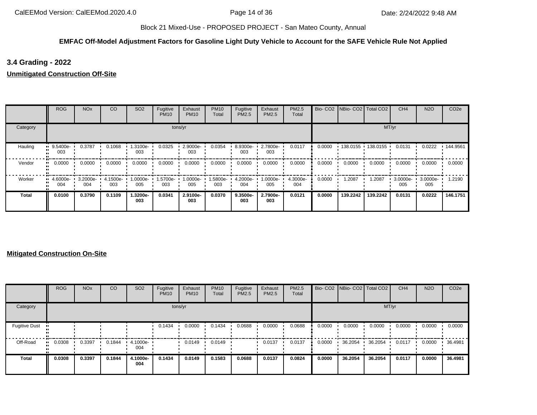## **EMFAC Off-Model Adjustment Factors for Gasoline Light Duty Vehicle to Account for the SAFE Vehicle Rule Not Applied**

# **3.4 Grading - 2022**

**Unmitigated Construction Off-Site**

|          | <b>ROG</b>                     | <b>NO<sub>x</sub></b> | CO              | SO <sub>2</sub> | Fugitive<br><b>PM10</b> | Exhaust<br><b>PM10</b> | <b>PM10</b><br>Total | Fugitive<br>PM2.5  | Exhaust<br>PM2.5  | PM2.5<br>Total  |        | Bio- CO2   NBio- CO2   Total CO2 |          | CH <sub>4</sub> | <b>N2O</b>      | CO <sub>2e</sub> |
|----------|--------------------------------|-----------------------|-----------------|-----------------|-------------------------|------------------------|----------------------|--------------------|-------------------|-----------------|--------|----------------------------------|----------|-----------------|-----------------|------------------|
| Category |                                |                       |                 |                 |                         | tons/yr                |                      |                    |                   |                 |        |                                  |          | MT/yr           |                 |                  |
| Hauling  | 9.5400e-<br>003                | 0.3787                | 0.1068          | 1.3100e-<br>003 | 0.0325                  | 2.9000e-<br>003        | 0.0354               | 8.9300e-<br>003    | 2.7800e-<br>003   | 0.0117          | 0.0000 | 138.0155                         | 138.0155 | 0.0131          | 0.0222          | .144.9561        |
| Vendor   | 0.0000                         | 0.0000                | 0.0000          | 0.0000          | 0.0000                  | 0.0000                 | 0.0000               | 0.0000             | 0.0000            | 0.0000          | 0.0000 | 0.0000                           | 0.0000   | 0.0000          | 0.0000          | 0.0000           |
| Worker   | $\blacksquare$ 4.6000e-<br>004 | 3.2000e-<br>004       | 4.1500e-<br>003 | .0000e-<br>005  | 1.5700e-<br>003         | 1.0000e-<br>005        | 1.5800e-<br>003      | 4.2000e-<br>004    | --0000e- I<br>005 | 4.3000e-<br>004 | 0.0000 | 1.2087                           | 1.2087   | 3.0000e-<br>005 | 3.0000e-<br>005 | 1.2190           |
| Total    | 0.0100                         | 0.3790                | 0.1109          | 1.3200e-<br>003 | 0.0341                  | 2.9100e-<br>003        | 0.0370               | $9.3500e -$<br>003 | 2.7900e-<br>003   | 0.0121          | 0.0000 | 139.2242                         | 139.2242 | 0.0131          | 0.0222          | 146.1751         |

|                      | <b>ROG</b> | <b>NO<sub>x</sub></b> | CO     | SO <sub>2</sub> | Fugitive<br><b>PM10</b> | Exhaust<br><b>PM10</b> | <b>PM10</b><br>Total | Fugitive<br>PM2.5 | Exhaust<br>PM2.5 | <b>PM2.5</b><br>Total |        | Bio- CO2   NBio- CO2   Total CO2 |         | CH <sub>4</sub> | <b>N2O</b> | CO <sub>2e</sub> |
|----------------------|------------|-----------------------|--------|-----------------|-------------------------|------------------------|----------------------|-------------------|------------------|-----------------------|--------|----------------------------------|---------|-----------------|------------|------------------|
| Category             |            |                       |        |                 |                         | tons/yr                |                      |                   |                  |                       |        |                                  | MT/yr   |                 |            |                  |
| <b>Fugitive Dust</b> |            |                       |        |                 | 0.1434                  | 0.0000                 | 0.1434               | 0.0688            | 0.0000           | 0.0688                | 0.0000 | 0.0000                           | 0.0000  | 0.0000          | 0.0000     | 0.0000           |
| Off-Road             | 0.0308     | 0.3397                | 0.1844 | 4.1000e-<br>004 |                         | 0.0149                 | 0.0149               |                   | 0.0137           | 0.0137                | 0.0000 | 36.2054                          | 36.2054 | 0.0117          | 0.0000     | 36.4981          |
| <b>Total</b>         | 0.0308     | 0.3397                | 0.1844 | 4.1000e-<br>004 | 0.1434                  | 0.0149                 | 0.1583               | 0.0688            | 0.0137           | 0.0824                | 0.0000 | 36.2054                          | 36.2054 | 0.0117          | 0.0000     | 36.4981          |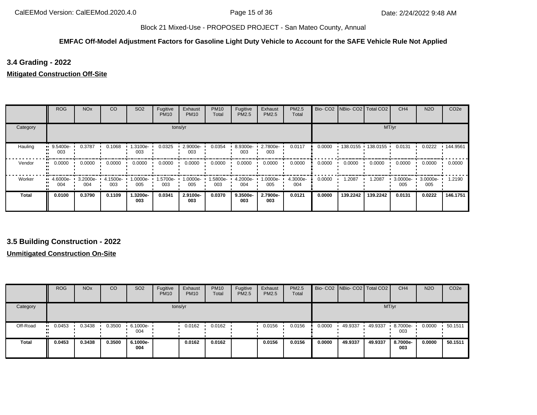#### **EMFAC Off-Model Adjustment Factors for Gasoline Light Duty Vehicle to Account for the SAFE Vehicle Rule Not Applied**

## **3.4 Grading - 2022**

## **Mitigated Construction Off-Site**

|              | <b>ROG</b>              | <b>NO<sub>x</sub></b> | CO              | SO <sub>2</sub> | Fugitive<br><b>PM10</b> | Exhaust<br><b>PM10</b> | <b>PM10</b><br>Total | Fugitive<br><b>PM2.5</b> | Exhaust<br>PM2.5 | <b>PM2.5</b><br>Total |        | Bio- CO2   NBio- CO2   Total CO2 |                   | CH <sub>4</sub> | <b>N2O</b>      | CO <sub>2e</sub> |
|--------------|-------------------------|-----------------------|-----------------|-----------------|-------------------------|------------------------|----------------------|--------------------------|------------------|-----------------------|--------|----------------------------------|-------------------|-----------------|-----------------|------------------|
| Category     |                         |                       |                 |                 |                         | tons/yr                |                      |                          |                  |                       |        |                                  | MT/yr             |                 |                 |                  |
| Hauling      | 9.5400e-<br>003         | 0.3787                | 0.1068          | .3100e-<br>003  | 0.0325                  | 2.9000e-<br>003        | 0.0354               | 8.9300e-<br>003          | 2.7800e-<br>003  | 0.0117                | 0.0000 |                                  | 138.0155 138.0155 | 0.0131          | 0.0222          | .144.9561        |
| Vendor       | 0.0000                  | 0.0000                | 0.0000          | 0.0000          | 0.0000                  | 0.0000                 | 0.0000               | 0.0000                   | 0.0000           | 0.0000                | 0.0000 | 0.0000                           | 0.0000            | 0.0000          | 0.0000          | 0.0000           |
| Worker       | $\cdot$ 4.6000e-<br>004 | 3.2000e-<br>004       | 4.1500e-<br>003 | 1.0000e-<br>005 | 1.5700e-<br>003         | 1.0000e-<br>005        | 1.5800e-<br>003      | 4.2000e-<br>004          | 1.0000e-<br>005  | 4.3000e-<br>004       | 0.0000 | 1.2087                           | 1.2087            | 3.0000e-<br>005 | 3.0000e-<br>005 | 1.2190           |
| <b>Total</b> | 0.0100                  | 0.3790                | 0.1109          | 1.3200e-<br>003 | 0.0341                  | 2.9100e-<br>003        | 0.0370               | 9.3500e-<br>003          | 2.7900e-<br>003  | 0.0121                | 0.0000 | 139.2242                         | 139.2242          | 0.0131          | 0.0222          | 146.1751         |

## **3.5 Building Construction - 2022**

|              | <b>ROG</b>    | <b>NO<sub>x</sub></b> | CO     | SO <sub>2</sub>    | Fugitive<br><b>PM10</b> | Exhaust<br><b>PM10</b> | <b>PM10</b><br>Total | Fugitive<br>PM2.5 | Exhaust<br>PM2.5 | <b>PM2.5</b><br>Total |        | Bio- CO2 NBio- CO2 Total CO2 |         | CH <sub>4</sub> | <b>N2O</b> | CO <sub>2e</sub> |
|--------------|---------------|-----------------------|--------|--------------------|-------------------------|------------------------|----------------------|-------------------|------------------|-----------------------|--------|------------------------------|---------|-----------------|------------|------------------|
| Category     |               |                       |        |                    |                         | tons/yr                |                      |                   |                  |                       |        |                              | MT/yr   |                 |            |                  |
| Off-Road     | 0.0453<br>. . | 0.3438                | 0.3500 | $6.1000e -$<br>004 |                         | 0.0162                 | 0.0162               |                   | 0.0156           | 0.0156                | 0.0000 | 49.9337                      | 49.9337 | 8.7000e-<br>003 | 0.0000     | 50.1511          |
| <b>Total</b> | 0.0453        | 0.3438                | 0.3500 | 6.1000e-<br>004    |                         | 0.0162                 | 0.0162               |                   | 0.0156           | 0.0156                | 0.0000 | 49.9337                      | 49.9337 | 8.7000e-<br>003 | 0.0000     | 50.1511          |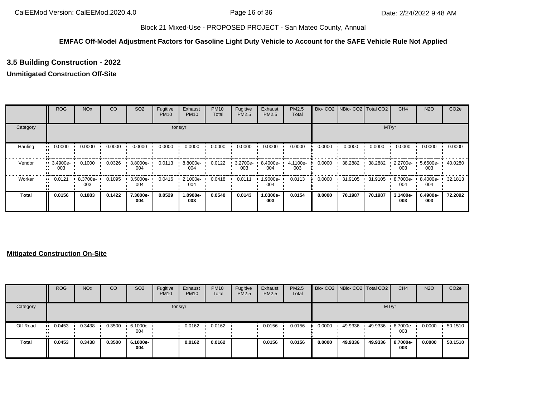## **EMFAC Off-Model Adjustment Factors for Gasoline Light Duty Vehicle to Account for the SAFE Vehicle Rule Not Applied**

# **3.5 Building Construction - 2022**

## **Unmitigated Construction Off-Site**

|          | <b>ROG</b>                     | <b>NO<sub>x</sub></b> | CO     | SO <sub>2</sub> | Fugitive<br><b>PM10</b> | Exhaust<br><b>PM10</b> | <b>PM10</b><br>Total | Fugitive<br>PM2.5 | Exhaust<br>PM2.5 | PM2.5<br>Total  | Bio-CO <sub>2</sub> | NBio-CO2 Total CO2 |         | CH <sub>4</sub> | <b>N2O</b>      | CO <sub>2e</sub> |
|----------|--------------------------------|-----------------------|--------|-----------------|-------------------------|------------------------|----------------------|-------------------|------------------|-----------------|---------------------|--------------------|---------|-----------------|-----------------|------------------|
| Category |                                |                       |        |                 |                         | tons/yr                |                      |                   |                  |                 |                     |                    | MT/yr   |                 |                 |                  |
| Hauling  | 0.0000<br>                     | 0.0000                | 0.0000 | 0.0000          | 0.0000                  | 0.0000                 | 0.0000               | 0.0000            | 0.0000           | 0.0000          | 0.0000              | 0.0000             | 0.0000  | 0.0000          | 0.0000          | 0.0000           |
| Vendor   | $\blacksquare$ 3.4900e-<br>003 | 0.1000                | 0.0326 | 3.8000e-<br>004 | 0.0113                  | 8.8000e-<br>004        | 0.0122               | 3.2700e-<br>003   | 8.4000e-<br>004  | 4.1100e-<br>003 | 0.0000              | 38.2882            | 38.2882 | 2.2700e-<br>003 | 5.6500e-<br>003 | 40.0280          |
| Worker   | 0.0121<br>. .                  | 8.3700e-<br>003       | 0.1095 | 3.5000e-<br>004 | 0.0416                  | 2.1000e-<br>004        | 0.0418               | 0.0111            | .9000e-<br>004   | 0.0113          | 0.0000              | 31.9105            | 31.9105 | 8.7000e-<br>004 | 8.4000e-<br>004 | 32.1813          |
| Total    | 0.0156                         | 0.1083                | 0.1422 | 7.3000e-<br>004 | 0.0529                  | 1.0900e-<br>003        | 0.0540               | 0.0143            | 1.0300e-<br>003  | 0.0154          | 0.0000              | 70.1987            | 70.1987 | 3.1400e-<br>003 | 6.4900e-<br>003 | 72.2092          |

|              | <b>ROG</b> | <b>NO<sub>x</sub></b> | CO     | SO <sub>2</sub>                 | Fugitive<br><b>PM10</b> | Exhaust<br><b>PM10</b> | <b>PM10</b><br>Total | Fugitive<br>PM2.5 | Exhaust<br>PM2.5 | <b>PM2.5</b><br>Total |        | Bio- CO2   NBio- CO2   Total CO2 |         | CH <sub>4</sub> | <b>N2O</b> | CO <sub>2e</sub> |
|--------------|------------|-----------------------|--------|---------------------------------|-------------------------|------------------------|----------------------|-------------------|------------------|-----------------------|--------|----------------------------------|---------|-----------------|------------|------------------|
| Category     |            |                       |        |                                 |                         | tons/yr                |                      |                   |                  |                       |        |                                  | MT/yr   |                 |            |                  |
| Off-Road     | 0.0453     | 0.3438                | 0.3500 | $\cdot$ 6.1000e- $\cdot$<br>004 |                         | 0.0162                 | 0.0162               |                   | 0.0156           | 0.0156                | 0.0000 | 49.9336                          | 49.9336 | 8.7000e-<br>003 | 0.0000     | 50.1510          |
| <b>Total</b> | 0.0453     | 0.3438                | 0.3500 | 6.1000e-<br>004                 |                         | 0.0162                 | 0.0162               |                   | 0.0156           | 0.0156                | 0.0000 | 49.9336                          | 49.9336 | 8.7000e-<br>003 | 0.0000     | 50.1510          |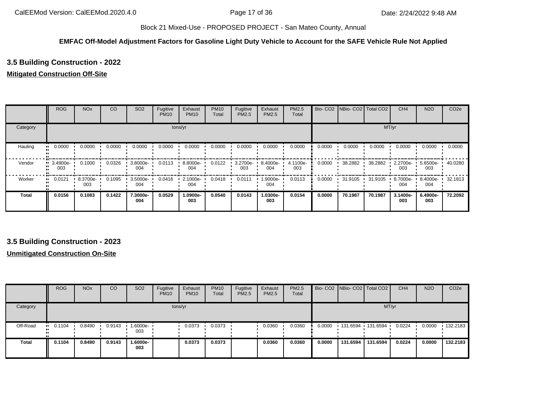#### **EMFAC Off-Model Adjustment Factors for Gasoline Light Duty Vehicle to Account for the SAFE Vehicle Rule Not Applied**

# **3.5 Building Construction - 2022**

## **Mitigated Construction Off-Site**

|          | <b>ROG</b>      | <b>NO<sub>x</sub></b> | CO     | SO <sub>2</sub> | Fugitive<br><b>PM10</b> | Exhaust<br><b>PM10</b> | <b>PM10</b><br>Total | Fugitive<br>PM2.5 | Exhaust<br>PM2.5 | <b>PM2.5</b><br>Total |        | Bio- CO2 NBio- CO2 Total CO2 |         | CH <sub>4</sub>    | <b>N2O</b>      | CO <sub>2e</sub> |
|----------|-----------------|-----------------------|--------|-----------------|-------------------------|------------------------|----------------------|-------------------|------------------|-----------------------|--------|------------------------------|---------|--------------------|-----------------|------------------|
| Category |                 |                       |        |                 |                         | tons/yr                |                      |                   |                  |                       |        |                              |         | MT/yr              |                 |                  |
| Hauling  | 0.0000          | 0.0000                | 0.0000 | 0.0000          | 0.0000                  | 0.0000                 | 0.0000               | 0.0000            | 0.0000           | 0.0000                | 0.0000 | 0.0000                       | 0.0000  | 0.0000             | 0.0000          | 0.0000           |
| Vendor   | 3.4900e-<br>003 | 0.1000                | 0.0326 | 3.8000e-<br>004 | 0.0113                  | 8.8000e-<br>004        | 0.0122               | 3.2700e-<br>003   | 8.4000e-<br>004  | 4.1100e-<br>003       | 0.0000 | 38.2882                      | 38.2882 | $2.2700e -$<br>003 | 5.6500e-<br>003 | 40.0280          |
| Worker   | 0.0121          | 8.3700e-<br>003       | 0.1095 | 3.5000e-<br>004 | 0.0416                  | 2.1000e-<br>004        | 0.0418               | 0.0111            | -9000e-<br>004   | 0.0113                | 0.0000 | 31.9105                      | 31.9105 | 8.7000e-<br>004    | 8.4000e-<br>004 | 32.1813          |
| Total    | 0.0156          | 0.1083                | 0.1422 | 7.3000e-<br>004 | 0.0529                  | 1.0900e-<br>003        | 0.0540               | 0.0143            | 1.0300e-<br>003  | 0.0154                | 0.0000 | 70.1987                      | 70.1987 | 3.1400e-<br>003    | 6.4900e-<br>003 | 72.2092          |

## **3.5 Building Construction - 2023**

|              | <b>ROG</b>    | <b>NO<sub>x</sub></b> | CO     | <b>SO2</b>         | Fugitive<br><b>PM10</b> | Exhaust<br><b>PM10</b> | <b>PM10</b><br>Total | Fugitive<br>PM2.5 | Exhaust<br>PM2.5 | PM2.5<br>Total |        | Bio- CO2 NBio- CO2 Total CO2 |          | CH <sub>4</sub> | <b>N2O</b> | CO <sub>2e</sub> |
|--------------|---------------|-----------------------|--------|--------------------|-------------------------|------------------------|----------------------|-------------------|------------------|----------------|--------|------------------------------|----------|-----------------|------------|------------------|
| Category     |               |                       |        |                    |                         | tons/yr                |                      |                   |                  |                |        |                              | MT/yr    |                 |            |                  |
| Off-Road     | 0.1104<br>. . | 0.8490                | 0.9143 | $1.6000e -$<br>003 |                         | 0.0373                 | 0.0373               |                   | 0.0360           | 0.0360         | 0.0000 | 131.6594 131.6594            |          | 0.0224          | 0.0000     | $+132.2183$      |
| <b>Total</b> | 0.1104        | 0.8490                | 0.9143 | 1.6000e-<br>003    |                         | 0.0373                 | 0.0373               |                   | 0.0360           | 0.0360         | 0.0000 | 131.6594                     | 131.6594 | 0.0224          | 0.0000     | 132.2183         |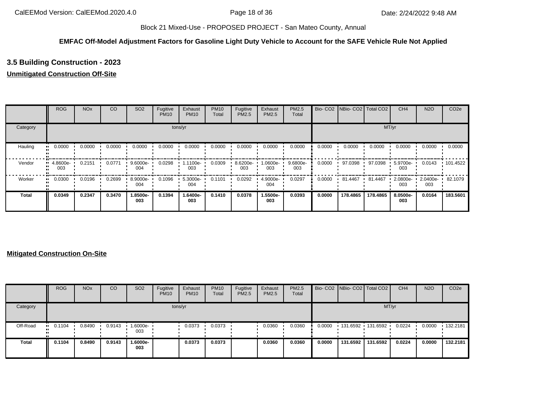## **EMFAC Off-Model Adjustment Factors for Gasoline Light Duty Vehicle to Account for the SAFE Vehicle Rule Not Applied**

# **3.5 Building Construction - 2023**

## **Unmitigated Construction Off-Site**

|          | <b>ROG</b>         | <b>NO<sub>x</sub></b> | CO     | SO <sub>2</sub> | Fugitive<br><b>PM10</b> | Exhaust<br><b>PM10</b> | <b>PM10</b><br>Total | Fugitive<br>PM2.5 | Exhaust<br>PM2.5 | PM2.5<br>Total  | Bio-CO <sub>2</sub> | NBio-CO2 Total CO2 |          | CH <sub>4</sub> | <b>N2O</b>      | CO <sub>2e</sub> |
|----------|--------------------|-----------------------|--------|-----------------|-------------------------|------------------------|----------------------|-------------------|------------------|-----------------|---------------------|--------------------|----------|-----------------|-----------------|------------------|
| Category |                    |                       |        |                 |                         | tons/yr                |                      |                   |                  |                 |                     |                    | MT/yr    |                 |                 |                  |
| Hauling  | 0.0000<br>         | 0.0000                | 0.0000 | 0.0000          | 0.0000                  | 0.0000                 | 0.0000               | 0.0000            | 0.0000           | 0.0000          | 0.0000              | 0.0000             | 0.0000   | 0.0000          | 0.0000          | 0.0000           |
| Vendor   | $-4.8600e-$<br>003 | 0.2151                | 0.0771 | 9.6000e-<br>004 | 0.0298                  | 1.1100e-<br>003        | 0.0309               | 8.6200e-<br>003   | -0600e- I<br>003 | 9.6800e-<br>003 | 0.0000              | 97.0398            | 97.0398  | 5.9700e-<br>003 | 0.0143          | 101.4522         |
| Worker   | 0.0300<br>         | 0.0196                | 0.2699 | 8.9000e-<br>004 | 0.1096                  | 5.3000e-<br>004        | 0.1101               | 0.0292            | 4.9000e-<br>004  | 0.0297          | 0.0000              | 81.4467            | 81.4467  | 2.0800e-<br>003 | 2.0400e-<br>003 | 82.1079          |
| Total    | 0.0349             | 0.2347                | 0.3470 | 1.8500e-<br>003 | 0.1394                  | 1.6400e-<br>003        | 0.1410               | 0.0378            | 1.5500e-<br>003  | 0.0393          | 0.0000              | 178.4865           | 178,4865 | 8.0500e-<br>003 | 0.0164          | 183.5601         |

|          | <b>ROG</b>            | <b>NO<sub>x</sub></b> | CO     | SO <sub>2</sub>   | Fugitive<br><b>PM10</b> | Exhaust<br><b>PM10</b> | <b>PM10</b><br>Total | Fugitive<br>PM2.5 | Exhaust<br><b>PM2.5</b> | PM2.5<br>Total |        | Bio- CO2 NBio- CO2 Total CO2 |          | CH <sub>4</sub> | <b>N2O</b> | CO <sub>2e</sub> |
|----------|-----------------------|-----------------------|--------|-------------------|-------------------------|------------------------|----------------------|-------------------|-------------------------|----------------|--------|------------------------------|----------|-----------------|------------|------------------|
| Category |                       |                       |        |                   |                         | tons/yr                |                      |                   |                         |                |        |                              |          | MT/yr           |            |                  |
| Off-Road | $\blacksquare$ 0.1104 | 0.8490                | 0.9143 | 1.6000e- •<br>003 |                         | 0.0373                 | 0.0373               |                   | 0.0360                  | 0.0360         | 0.0000 | 131.6592 131.6592            |          | 0.0224          | 0.0000     | $\cdot$ 132.2181 |
| Total    | 0.1104                | 0.8490                | 0.9143 | 1.6000e-<br>003   |                         | 0.0373                 | 0.0373               |                   | 0.0360                  | 0.0360         | 0.0000 | 131.6592                     | 131.6592 | 0.0224          | 0.0000     | 132.2181         |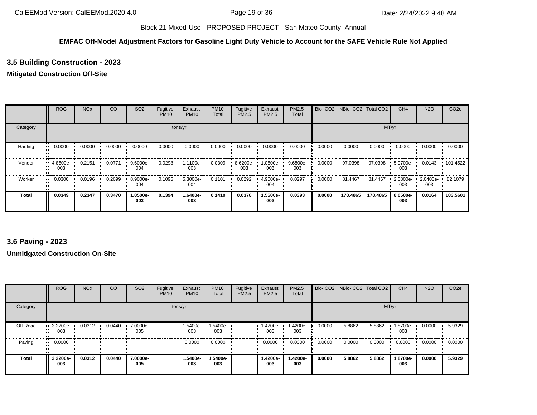#### **EMFAC Off-Model Adjustment Factors for Gasoline Light Duty Vehicle to Account for the SAFE Vehicle Rule Not Applied**

# **3.5 Building Construction - 2023**

## **Mitigated Construction Off-Site**

|              | <b>ROG</b>      | <b>NO<sub>x</sub></b> | CO     | SO <sub>2</sub>    | Fugitive<br><b>PM10</b> | Exhaust<br><b>PM10</b> | <b>PM10</b><br>Total | Fugitive<br><b>PM2.5</b> | Exhaust<br>PM2.5 | <b>PM2.5</b><br>Total |        | Bio- CO2   NBio- CO2   Total CO2 |          | CH <sub>4</sub>    | <b>N2O</b>      | CO <sub>2e</sub> |
|--------------|-----------------|-----------------------|--------|--------------------|-------------------------|------------------------|----------------------|--------------------------|------------------|-----------------------|--------|----------------------------------|----------|--------------------|-----------------|------------------|
| Category     |                 |                       |        |                    |                         | tons/yr                |                      |                          |                  |                       |        |                                  |          | MT/yr              |                 |                  |
| Hauling      | 0.0000          | 0.0000                | 0.0000 | 0.0000             | 0.0000                  | 0.0000                 | 0.0000               | 0.0000                   | 0.0000           | 0.0000                | 0.0000 | 0.0000                           | 0.0000   | 0.0000             | 0.0000          | 0.0000           |
| Vendor       | 4.8600e-<br>003 | 0.2151                | 0.0771 | $9.6000e -$<br>004 | 0.0298                  | 1.1100e-<br>003        | 0.0309               | 8.6200e-<br>003          | --0600e<br>003   | 9.6800e-<br>003       | 0.0000 | 97.0398                          | 97.0398  | $5.9700e -$<br>003 | 0.0143          | $\cdot$ 101.4522 |
| Worker       | 0.0300          | 0.0196                | 0.2699 | 8.9000e-<br>004    | 0.1096                  | 5.3000e-<br>004        | 0.1101               | 0.0292                   | 4.9000e-<br>004  | 0.0297                | 0.0000 | 81.4467                          | 81.4467  | 2.0800e-<br>003    | 2.0400e-<br>003 | 82.1079          |
| <b>Total</b> | 0.0349          | 0.2347                | 0.3470 | 1.8500e-<br>003    | 0.1394                  | 1.6400e-<br>003        | 0.1410               | 0.0378                   | 1.5500e-<br>003  | 0.0393                | 0.0000 | 178.4865                         | 178.4865 | 8.0500e-<br>003    | 0.0164          | 183.5601         |

## **3.6 Paving - 2023**

|              | <b>ROG</b>                     | <b>NO<sub>x</sub></b> | CO     | SO <sub>2</sub> | Fugitive<br><b>PM10</b> | Exhaust<br><b>PM10</b> | <b>PM10</b><br>Total | Fugitive<br>PM2.5 | Exhaust<br><b>PM2.5</b> | PM2.5<br>Total  |        | Bio- CO2   NBio- CO2   Total CO2 |        | CH <sub>4</sub> | <b>N2O</b> | CO <sub>2e</sub> |
|--------------|--------------------------------|-----------------------|--------|-----------------|-------------------------|------------------------|----------------------|-------------------|-------------------------|-----------------|--------|----------------------------------|--------|-----------------|------------|------------------|
| Category     |                                |                       |        |                 |                         | tons/yr                |                      |                   |                         |                 |        |                                  | MT/yr  |                 |            |                  |
| Off-Road     | $\blacksquare$ 3.2200e-<br>003 | 0.0312                | 0.0440 | 7.0000e-<br>005 |                         | 1.5400e-<br>003        | 1.5400e-<br>003      |                   | -4200e-<br>003          | 1.4200e-<br>003 | 0.0000 | 5.8862                           | 5.8862 | 1.8700e-<br>003 | 0.0000     | 5.9329           |
| Paving       | 0.0000<br>                     |                       |        |                 |                         | 0.0000                 | 0.0000               |                   | 0.0000                  | 0.0000          | 0.0000 | 0.0000                           | 0.0000 | 0.0000          | 0.0000     | 0.0000           |
| <b>Total</b> | 3.2200e-<br>003                | 0.0312                | 0.0440 | 7.0000e-<br>005 |                         | 1.5400e-<br>003        | 1.5400e-<br>003      |                   | 1.4200e-<br>003         | 1.4200e-<br>003 | 0.0000 | 5.8862                           | 5.8862 | 1.8700e-<br>003 | 0.0000     | 5.9329           |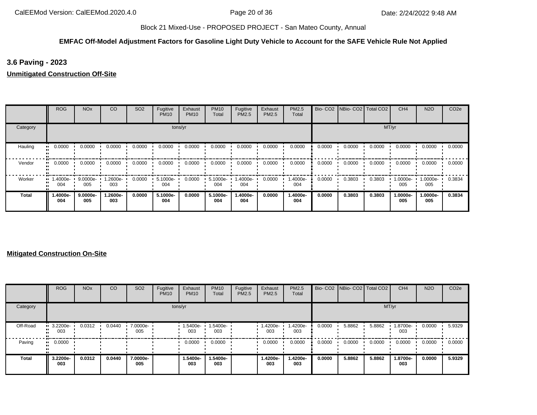## **EMFAC Off-Model Adjustment Factors for Gasoline Light Duty Vehicle to Account for the SAFE Vehicle Rule Not Applied**

## **3.6 Paving - 2023**

## **Unmitigated Construction Off-Site**

|              | <b>ROG</b>      | <b>NO<sub>x</sub></b> | CO              | SO <sub>2</sub> | Fugitive<br><b>PM10</b> | Exhaust<br><b>PM10</b> | <b>PM10</b><br>Total | Fugitive<br><b>PM2.5</b> | Exhaust<br>PM2.5 | <b>PM2.5</b><br>Total |        | Bio- CO2   NBio- CO2   Total CO2 |        | CH <sub>4</sub> | <b>N2O</b>       | CO <sub>2e</sub> |
|--------------|-----------------|-----------------------|-----------------|-----------------|-------------------------|------------------------|----------------------|--------------------------|------------------|-----------------------|--------|----------------------------------|--------|-----------------|------------------|------------------|
| Category     |                 |                       |                 |                 | tons/yr                 |                        |                      |                          |                  |                       |        |                                  | MT/yr  |                 |                  |                  |
| Hauling      | 0.0000          | 0.0000                | 0.0000          | 0.0000          | 0.0000                  | 0.0000                 | 0.0000               | 0.0000                   | 0.0000           | 0.0000                | 0.0000 | 0.0000                           | 0.0000 | 0.0000          | 0.0000           | 0.0000           |
| Vendor       | 0.0000          | 0.0000                | 0.0000          | 0.0000          | 0.0000                  | 0.0000                 | 0.0000               | 0.0000                   | 0.0000           | 0.0000                | 0.0000 | 0.0000                           | 0.0000 | 0.0000          | 0.0000           | 0.0000           |
| Worker       | 1.4000e-<br>004 | 9.0000e-<br>005       | 1.2600e-<br>003 | 0.0000          | 5.1000e-<br>004         | 0.0000                 | 5.1000e-<br>004      | 1.4000e-<br>004          | 0.0000           | 1.4000e-<br>004       | 0.0000 | 0.3803                           | 0.3803 | 1.0000e-<br>005 | $.0000e-$<br>005 | 0.3834           |
| <b>Total</b> | 1.4000e-<br>004 | 9.0000e-<br>005       | -.2600e<br>003  | 0.0000          | 5.1000e-<br>004         | 0.0000                 | 5.1000e-<br>004      | 1.4000e-<br>004          | 0.0000           | 1.4000e-<br>004       | 0.0000 | 0.3803                           | 0.3803 | 1.0000e-<br>005 | 1.0000e-<br>005  | 0.3834           |

|              | <b>ROG</b>                     | <b>NO<sub>x</sub></b> | CO     | SO <sub>2</sub> | Fugitive<br><b>PM10</b> | Exhaust<br><b>PM10</b> | <b>PM10</b><br>Total | Fugitive<br>PM2.5 | Exhaust<br><b>PM2.5</b> | <b>PM2.5</b><br>Total |        | Bio- CO2   NBio- CO2   Total CO2 |        | CH <sub>4</sub> | <b>N2O</b> | CO <sub>2e</sub> |
|--------------|--------------------------------|-----------------------|--------|-----------------|-------------------------|------------------------|----------------------|-------------------|-------------------------|-----------------------|--------|----------------------------------|--------|-----------------|------------|------------------|
| Category     |                                |                       |        |                 | tons/yr                 |                        |                      |                   |                         |                       |        |                                  | MT/yr  |                 |            |                  |
| Off-Road     | $\blacksquare$ 3.2200e-<br>003 | 0.0312                | 0.0440 | 7.0000e-<br>005 |                         | 1.5400e-<br>003        | 1.5400e-<br>003      |                   | -4200e-<br>003          | 1.4200e-<br>003       | 0.0000 | 5.8862                           | 5.8862 | 1.8700e-<br>003 | 0.0000     | 5.9329           |
| Paving       | $\blacksquare$ 0.0000          |                       |        |                 |                         | 0.0000                 | 0.0000               |                   | 0.0000                  | 0.0000                | 0.0000 | 0.0000                           | 0.0000 | 0.0000          | 0.0000     | 0.0000           |
| <b>Total</b> | 3.2200e-<br>003                | 0.0312                | 0.0440 | 7.0000e-<br>005 |                         | 1.5400e-<br>003        | 1.5400e-<br>003      |                   | 1.4200e-<br>003         | 1.4200e-<br>003       | 0.0000 | 5.8862                           | 5.8862 | 1.8700e-<br>003 | 0.0000     | 5.9329           |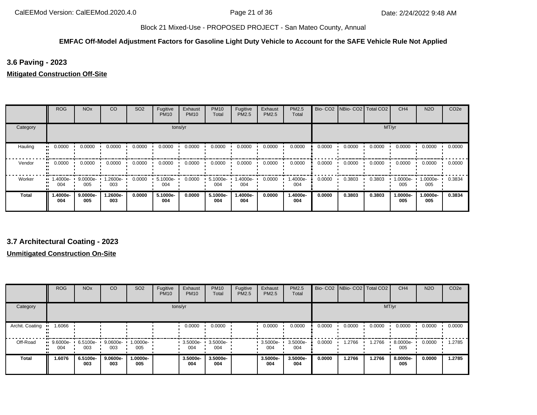## **EMFAC Off-Model Adjustment Factors for Gasoline Light Duty Vehicle to Account for the SAFE Vehicle Rule Not Applied**

## **3.6 Paving - 2023**

## **Mitigated Construction Off-Site**

|          | <b>ROG</b>                     | <b>NO<sub>x</sub></b> | <sub>CO</sub>  | SO <sub>2</sub> | Fugitive<br><b>PM10</b> | Exhaust<br><b>PM10</b> | <b>PM10</b><br>Total | Fugitive<br>PM2.5 | Exhaust<br>PM2.5 | PM2.5<br>Total  |        | Bio- CO2   NBio- CO2   Total CO2 |        | CH <sub>4</sub> | <b>N2O</b>      | CO <sub>2e</sub> |
|----------|--------------------------------|-----------------------|----------------|-----------------|-------------------------|------------------------|----------------------|-------------------|------------------|-----------------|--------|----------------------------------|--------|-----------------|-----------------|------------------|
| Category |                                |                       |                |                 |                         | tons/yr                |                      |                   |                  |                 |        |                                  | MT/yr  |                 |                 |                  |
| Hauling  | 0.0000<br>                     | 0.0000                | 0.0000         | 0.0000          | 0.0000                  | 0.0000                 | 0.0000               | 0.0000            | 0.0000           | 0.0000          | 0.0000 | 0.0000                           | 0.0000 | 0.0000          | 0.0000          | 0.0000           |
| Vendor   | 0.0000<br>                     | 0.0000                | 0.0000         | 0.0000          | 0.0000                  | 0.0000                 | 0.0000               | 0.0000            | 0.0000           | 0.0000          | 0.0000 | 0.0000                           | 0.0000 | 0.0000          | 0.0000          | 0.0000           |
| Worker   | $\blacksquare$ 1.4000e-<br>004 | 9.0000e-<br>005       | -2600e.<br>003 | 0.0000          | 5.1000e-<br>004         | 0.0000                 | 5.1000e-<br>004      | -.4000e<br>004    | 0.0000           | 1.4000e-<br>004 | 0.0000 | 0.3803                           | 0.3803 | 1.0000e-<br>005 | -.0000e<br>005  | 0.3834           |
| Total    | 1.4000e-<br>004                | $9.0000e-$<br>005     | -.2600e<br>003 | 0.0000          | 5.1000e-<br>004         | 0.0000                 | 5.1000e-<br>004      | -.4000e<br>004    | 0.0000           | 1.4000e-<br>004 | 0.0000 | 0.3803                           | 0.3803 | 1.0000e-<br>005 | 1.0000e-<br>005 | 0.3834           |

## **3.7 Architectural Coating - 2023**

|                 | <b>ROG</b>      | <b>NO<sub>x</sub></b> | CO                | SO <sub>2</sub>    | Fugitive<br><b>PM10</b> | Exhaust<br><b>PM10</b> | <b>PM10</b><br>Total | Fugitive<br>PM2.5 | Exhaust<br>PM2.5   | <b>PM2.5</b><br>Total | Bio-CO <sub>2</sub> | NBio- CO2   Total CO2 |        | CH <sub>4</sub> | <b>N2O</b> | CO <sub>2e</sub> |
|-----------------|-----------------|-----------------------|-------------------|--------------------|-------------------------|------------------------|----------------------|-------------------|--------------------|-----------------------|---------------------|-----------------------|--------|-----------------|------------|------------------|
| Category        |                 |                       |                   |                    | tons/yr                 |                        |                      |                   |                    |                       |                     |                       | MT/yr  |                 |            |                  |
| Archit. Coating | 8066.           |                       |                   |                    |                         | 0.0000                 | 0.0000               |                   | 0.0000             | 0.0000                | 0.0000              | 0.0000                | 0.0000 | 0.0000          | 0.0000     | 0.0000           |
| Off-Road        | 9.6000e-<br>004 | 6.5100e-<br>003       | 9.0600e-<br>003   | $1.0000e -$<br>005 |                         | 3.5000e-<br>004        | 3.5000e-<br>004      |                   | $-3.5000e-$<br>004 | 3.5000e-<br>004       | 0.0000              | 1.2766                | 1.2766 | 8.0000e-<br>005 | 0.0000     | 1.2785           |
| <b>Total</b>    | 1.6076          | 6.5100e-<br>003       | $9.0600e-$<br>003 | 1.0000e-<br>005    |                         | 3.5000e-<br>004        | 3.5000e-<br>004      |                   | 3.5000e-<br>004    | 3.5000e-<br>004       | 0.0000              | 1.2766                | 1.2766 | 8.0000e-<br>005 | 0.0000     | 1.2785           |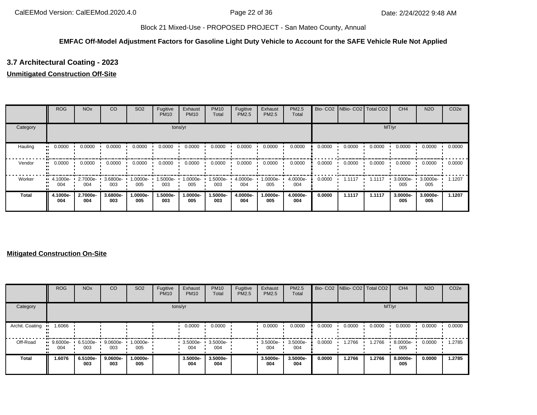## **EMFAC Off-Model Adjustment Factors for Gasoline Light Duty Vehicle to Account for the SAFE Vehicle Rule Not Applied**

# **3.7 Architectural Coating - 2023**

## **Unmitigated Construction Off-Site**

|          | <b>ROG</b>                     | <b>NO<sub>x</sub></b> | CO              | SO <sub>2</sub> | Fugitive<br><b>PM10</b> | Exhaust<br><b>PM10</b> | <b>PM10</b><br>Total | Fugitive<br>PM2.5 | Exhaust<br>PM2.5 | <b>PM2.5</b><br>Total |        | Bio- CO2 NBio- CO2 Total CO2 |        | CH <sub>4</sub> | <b>N2O</b>      | CO <sub>2e</sub> |
|----------|--------------------------------|-----------------------|-----------------|-----------------|-------------------------|------------------------|----------------------|-------------------|------------------|-----------------------|--------|------------------------------|--------|-----------------|-----------------|------------------|
| Category |                                |                       |                 |                 |                         | tons/yr                |                      |                   |                  |                       |        |                              |        | MT/yr           |                 |                  |
| Hauling  | 0.0000<br>                     | 0.0000                | 0.0000          | 0.0000          | 0.0000                  | 0.0000                 | 0.0000               | 0.0000            | 0.0000           | 0.0000                | 0.0000 | 0.0000                       | 0.0000 | 0.0000          | 0.0000          | 0.0000           |
| Vendor   | 0.0000<br>                     | 0.0000                | 0.0000          | 0.0000          | 0.0000                  | 0.0000                 | 0.0000               | 0.0000            | 0.0000           | 0.0000                | 0.0000 | 0.0000                       | 0.0000 | 0.0000          | 0.0000          | 0.0000           |
| Worker   | $\blacksquare$ 4.1000e-<br>004 | 2.7000e-<br>004       | 3.6800e-<br>003 | --0000e<br>005  | -5000e-<br>003          | 1.0000e-<br>005        | .5000e-<br>003       | 4.0000e-<br>004   | 1.0000e-<br>005  | 4.0000e-<br>004       | 0.0000 | 1.1117                       | 1.1117 | 3.0000e-<br>005 | 3.0000e-<br>005 | 1.1207           |
| Total    | 4.1000e-<br>004                | 2.7000e-<br>004       | 3.6800e-<br>003 | 1.0000e-<br>005 | 1.5000e-<br>003         | 1.0000e-<br>005        | 1.5000e-<br>003      | 4.0000e-<br>004   | 1.0000e-<br>005  | 4.0000e-<br>004       | 0.0000 | 1.1117                       | 1.1117 | 3.0000e-<br>005 | 3.0000e-<br>005 | 1.1207           |

|                 | <b>ROG</b>                  | <b>NO<sub>x</sub></b> | CO              | SO <sub>2</sub> | Fugitive<br><b>PM10</b> | Exhaust<br><b>PM10</b> | <b>PM10</b><br>Total | Fugitive<br><b>PM2.5</b> | Exhaust<br>PM2.5 | <b>PM2.5</b><br>Total |        | Bio- CO2   NBio- CO2   Total CO2 |        | CH <sub>4</sub> | <b>N2O</b> | CO <sub>2e</sub> |
|-----------------|-----------------------------|-----------------------|-----------------|-----------------|-------------------------|------------------------|----------------------|--------------------------|------------------|-----------------------|--------|----------------------------------|--------|-----------------|------------|------------------|
| Category        |                             |                       |                 |                 |                         | tons/yr                |                      |                          |                  |                       |        |                                  | MT/yr  |                 |            |                  |
| Archit. Coating | 1.6066                      |                       |                 |                 |                         | 0.0000                 | 0.0000               |                          | 0.0000           | 0.0000                | 0.0000 | 0.0000                           | 0.0000 | 0.0000          | 0.0000     | 0.0000           |
| Off-Road        | $\cdot$ 9.6000e-<br><br>004 | 6.5100e-<br>003       | 9.0600e-<br>003 | 1.0000e-<br>005 |                         | 3.5000e-<br>004        | 3.5000e-<br>004      |                          | 3.5000e-<br>004  | 3.5000e-<br>004       | 0.0000 | 1.2766                           | 1.2766 | 8.0000e-<br>005 | 0.0000     | 1.2785           |
| <b>Total</b>    | 1.6076                      | 6.5100e-<br>003       | 9.0600e-<br>003 | -.0000e<br>005  |                         | 3.5000e-<br>004        | 3.5000e-<br>004      |                          | 3.5000e-<br>004  | 3.5000e-<br>004       | 0.0000 | 1.2766                           | 1.2766 | 8.0000e-<br>005 | 0.0000     | 1.2785           |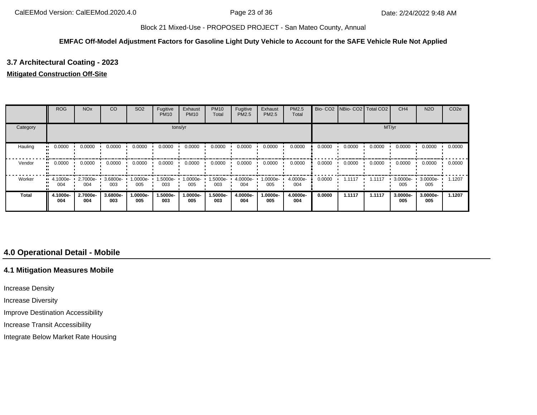#### **EMFAC Off-Model Adjustment Factors for Gasoline Light Duty Vehicle to Account for the SAFE Vehicle Rule Not Applied**

## **3.7 Architectural Coating - 2023**

#### **Mitigated Construction Off-Site**

|              | ROG                | <b>NO<sub>x</sub></b> | CO              | SO <sub>2</sub> | Fugitive<br><b>PM10</b> | Exhaust<br><b>PM10</b> | <b>PM10</b><br>Total | Fugitive<br>PM2.5 | Exhaust<br><b>PM2.5</b> | PM2.5<br>Total  |        | Bio- CO2 NBio- CO2 Total CO2 |        | CH <sub>4</sub> | <b>N2O</b>      | CO <sub>2e</sub> |
|--------------|--------------------|-----------------------|-----------------|-----------------|-------------------------|------------------------|----------------------|-------------------|-------------------------|-----------------|--------|------------------------------|--------|-----------------|-----------------|------------------|
| Category     |                    |                       |                 |                 |                         | tons/yr                |                      |                   |                         |                 |        |                              | MT/yr  |                 |                 |                  |
| Hauling      | 0.0000             | 0.0000                | 0.0000          | 0.0000          | 0.0000                  | 0.0000                 | 0.0000               | 0.0000            | 0.0000                  | 0.0000          | 0.0000 | 0.0000                       | 0.0000 | 0.0000          | 0.0000          | 0.0000           |
| Vendor       | 0.0000             | 0.0000                | 0.0000          | 0.0000          | 0.0000                  | 0.0000                 | 0.0000               | 0.0000            | 0.0000                  | 0.0000          | 0.0000 | 0.0000                       | 0.0000 | 0.0000          | 0.0000          | 0.0000           |
| Worker       | $-4.1000e-$<br>004 | 2.7000e-<br>004       | 3.6800e-<br>003 | 1.0000e-<br>005 | 1.5000e-<br>003         | 1.0000e-<br>005        | .5000e-<br>003       | 4.0000e-<br>004   | 1.0000e-<br>005         | 4.0000e-<br>004 | 0.0000 | 1.1117                       | 1.1117 | 3.0000e-<br>005 | 3.0000e-<br>005 | 1.1207           |
| <b>Total</b> | 4.1000e-<br>004    | 2.7000e-<br>004       | 3.6800e-<br>003 | 1.0000e-<br>005 | 1.5000e-<br>003         | 1.0000e-<br>005        | 1.5000e-<br>003      | 4.0000e-<br>004   | 1.0000e-<br>005         | 4.0000e-<br>004 | 0.0000 | 1.1117                       | 1.1117 | 3.0000e-<br>005 | 3.0000e-<br>005 | 1.1207           |

# **4.0 Operational Detail - Mobile**

## **4.1 Mitigation Measures Mobile**

Increase Density

Increase Diversity

Improve Destination Accessibility

Increase Transit Accessibility

Integrate Below Market Rate Housing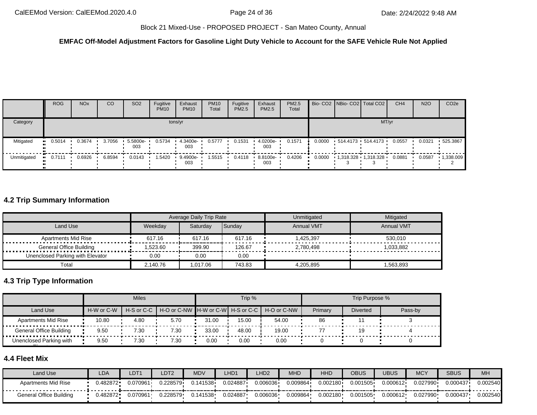#### **EMFAC Off-Model Adjustment Factors for Gasoline Light Duty Vehicle to Account for the SAFE Vehicle Rule Not Applied**

|             | <b>ROG</b>            | <b>NO<sub>x</sub></b> | <sub>CO</sub> | SO <sub>2</sub> | Fugitive<br><b>PM10</b> | Exhaust<br><b>PM10</b> | <b>PM10</b><br>Total | Fugitive<br><b>PM2.5</b> | Exhaust<br>PM2.5 | PM2.5<br>Total |        | Bio- CO2   NBio- CO2   Total CO2 | CH <sub>4</sub> | <b>N2O</b> | CO <sub>2e</sub> |
|-------------|-----------------------|-----------------------|---------------|-----------------|-------------------------|------------------------|----------------------|--------------------------|------------------|----------------|--------|----------------------------------|-----------------|------------|------------------|
| Category    |                       |                       |               |                 |                         | tons/yr                |                      |                          |                  |                |        | MT/yr                            |                 |            |                  |
| Mitigated   | 0.5014                | 0.3674                | 3.7056        | 5.5800e-<br>003 | 0.5734                  | 4.3400e-<br>003        | 0.5777               | 0.1531                   | 4.0200e-<br>003  | 0.1571         | 0.0000 | 514.4173 514.4173                | 0.0557          | 0.0321     | 525.3867         |
| Unmitigated | $\blacksquare$ 0.7111 | 0.6926                | 6.8594        | 0.0143          | 1.5420                  | 9.4900e-<br>003        | 1.5515               | 0.4118                   | 8.8100e-<br>003  | 0.4206         | 0.0000 |                                  | 0.0881          | 0.0587     | 1,338.009        |

# **4.2 Trip Summary Information**

|                                    |          | Average Daily Trip Rate |        | Unmitigated       | Mitigated         |
|------------------------------------|----------|-------------------------|--------|-------------------|-------------------|
| Land Use                           | Weekdav  | Saturday                | Sunday | <b>Annual VMT</b> | <b>Annual VMT</b> |
| Apartments Mid Rise<br>            | 617.16   | 617.16                  | 617.16 | 1.425.397         | 530.010           |
| <b>General Office Building</b><br> | .523.60  | 399.90                  | 126.67 | 2,780,498         | 1.033.882         |
| Unenclosed Parking with Elevator   | 0.00     | 0.00                    | 0.00   |                   |                   |
| Total                              | 2.140.76 | 1,017.06                | 743.83 | 4,205,895         | .563,893          |

# **4.3 Trip Type Information**

|                         |            | <b>Miles</b> |                                                            |       | Trip % |       |         | Trip Purpose %  |         |
|-------------------------|------------|--------------|------------------------------------------------------------|-------|--------|-------|---------|-----------------|---------|
| Land Use                | H-W or C-W |              | H-S or C-C H + O or C-NW H-W or C-W H-S or C-C H-O or C-NW |       |        |       | Primary | <b>Diverted</b> | Pass-by |
| Apartments Mid Rise     | 10.80      | 4.80         | 5.70                                                       | 31.00 | 15.00  | 54.00 | 86      |                 |         |
| General Office Building | 9.50       | 7.30         | 7.30                                                       | 33.00 | 48.00  | 19.00 |         | 19              |         |
| Unenclosed Parking with | 9.50       | 7.30         | 7.30                                                       | 0.00  | 0.00   | 0.00  |         |                 |         |

## **4.4 Fleet Mix**

| Land Use                   | LDA          | LDT <sub>1</sub> | LDT2     | <b>MDV</b> | LHD1     | LHD <sub>2</sub> | <b>MHD</b> | <b>HHD</b> | <b>OBUS</b> | <b>UBUS</b> | <b>MCY</b> | <b>SBUS</b> | MH       |
|----------------------------|--------------|------------------|----------|------------|----------|------------------|------------|------------|-------------|-------------|------------|-------------|----------|
| <b>Apartments Mid Rise</b> | $J.482872 -$ | 0.070961         | 0.228579 | .141538    | 0.024887 | 0.006036         | 0.009864   | 0.002180   | 0.001505    | 0.000612    | 0.027990   | 0.000437    | 0.002540 |
| General Office Building    | J.482872     | 0.070961         | 0.228579 | .141538    | 0.024887 | 0.006036         | 0.009864   | 0.002180   | 0.001505    | 0.000612    | 0.027990   | 0.000437    | 0.002540 |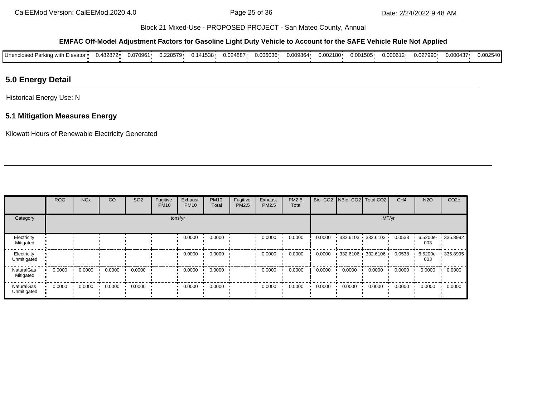#### **EMFAC Off-Model Adjustment Factors for Gasoline Light Duty Vehicle to Account for the SAFE Vehicle Rule Not Applied**

| Unenclosed Parking with Elevator • | 0.482872 | 0.070961 | J.228579 | 0.141538 | 0.024887 | 0.006036 | 0.009864 | $0.002180 \cdot$ | 0.001505 | 0.000612 | 0.027990 | 0.000437 | 0.002540 |
|------------------------------------|----------|----------|----------|----------|----------|----------|----------|------------------|----------|----------|----------|----------|----------|
|                                    |          |          |          |          |          |          |          |                  |          |          |          |          |          |

## **5.0 Energy Detail**

Historical Energy Use: N

## **5.1 Mitigation Measures Energy**

Kilowatt Hours of Renewable Electricity Generated

|                                | <b>ROG</b>                 | <b>NO<sub>x</sub></b> | CO     | SO <sub>2</sub> | Fugitive<br><b>PM10</b> | Exhaust<br><b>PM10</b> | <b>PM10</b><br>Total | Fugitive<br><b>PM2.5</b> | Exhaust<br>PM2.5 | PM2.5<br>Total |        |        | Bio- CO2   NBio- CO2   Total CO2 | CH <sub>4</sub> | <b>N2O</b>      | CO <sub>2e</sub> |
|--------------------------------|----------------------------|-----------------------|--------|-----------------|-------------------------|------------------------|----------------------|--------------------------|------------------|----------------|--------|--------|----------------------------------|-----------------|-----------------|------------------|
| Category                       |                            |                       |        |                 | tons/yr                 |                        |                      |                          |                  |                |        |        | MT/yr                            |                 |                 |                  |
| Electricity<br>Mitigated       |                            |                       |        |                 |                         | 0.0000                 | 0.0000               |                          | 0.0000           | 0.0000         | 0.0000 |        | $-332.6103 - 332.6103 -$         | 0.0538          | 6.5200e-<br>003 | 335.8992         |
| Electricity<br>Unmitigated     |                            |                       |        |                 |                         | 0.0000                 | 0.0000               |                          | 0.0000           | 0.0000         | 0.0000 |        | $-332.6106 + 332.6106 +$         | 0.0538          | 6.5200e-<br>003 | 335.8995         |
| <b>NaturalGas</b><br>Mitigated | 0.0000<br>$\bullet\bullet$ | 0.0000                | 0.0000 | 0.0000          |                         | 0.0000                 | 0.0000               |                          | 0.0000           | 0.0000         | 0.0000 | 0.0000 | 0.0000                           | 0.0000          | 0.0000          | 0.0000           |
| NaturalGas<br>Unmitigated      | 0.0000<br>$\bullet\bullet$ | 0.0000                | 0.0000 | 0.0000          |                         | 0.0000                 | 0.0000               |                          | 0.0000           | 0.0000         | 0.0000 | 0.0000 | 0.0000                           | 0.0000          | 0.0000          | 0.0000           |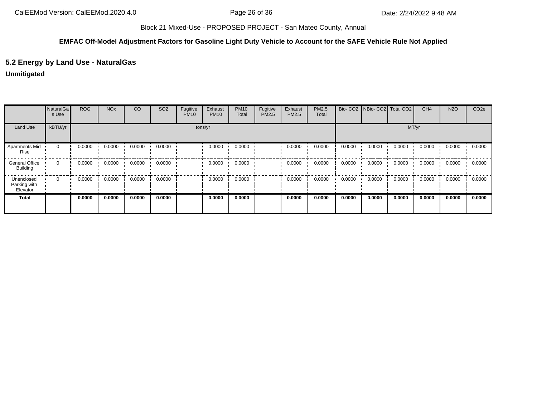## **EMFAC Off-Model Adjustment Factors for Gasoline Light Duty Vehicle to Account for the SAFE Vehicle Rule Not Applied**

## **5.2 Energy by Land Use - NaturalGas**

## **Unmitigated**

|                                          | NaturalGa<br>s Use | <b>ROG</b>    | <b>NO<sub>x</sub></b> | CO     | SO <sub>2</sub> | Fugitive<br><b>PM10</b> | Exhaust<br><b>PM10</b> | <b>PM10</b><br>Total | Fugitive<br>PM2.5 | Exhaust<br>PM2.5 | PM2.5<br>Total |        |        | Bio- CO2   NBio- CO2   Total CO2 | CH <sub>4</sub> | <b>N2O</b> | CO <sub>2e</sub> |
|------------------------------------------|--------------------|---------------|-----------------------|--------|-----------------|-------------------------|------------------------|----------------------|-------------------|------------------|----------------|--------|--------|----------------------------------|-----------------|------------|------------------|
| Land Use                                 | kBTU/yr            |               |                       |        |                 |                         | tons/yr                |                      |                   |                  |                |        |        |                                  | MT/yr           |            |                  |
| Apartments Mid<br>Rise                   | $\mathbf 0$        | 0.0000        | 0.0000                | 0.0000 | 0.0000          |                         | 0.0000                 | 0.0000               |                   | 0.0000           | 0.0000         | 0.0000 | 0.0000 | 0.0000                           | 0.0000          | 0.0000     | 0.0000           |
| <b>General Office</b><br><b>Building</b> | $\Omega$           | 0.0000<br>. . | 0.0000                | 0.0000 | 0.0000          |                         | 0.0000                 | 0.0000               |                   | 0.0000           | 0.0000         | 0.0000 | 0.0000 | 0.0000                           | 0.0000          | 0.0000     | 0.0000           |
| Unenclosed<br>Parking with<br>Elevator   | 0                  | 0.0000        | 0.0000                | 0.0000 | 0.0000          |                         | 0.0000                 | 0.0000               |                   | 0.0000           | 0.0000         | 0.0000 | 0.0000 | 0.0000                           | 0.0000          | 0.0000     | 0.0000           |
| <b>Total</b>                             |                    | 0.0000        | 0.0000                | 0.0000 | 0.0000          |                         | 0.0000                 | 0.0000               |                   | 0.0000           | 0.0000         | 0.0000 | 0.0000 | 0.0000                           | 0.0000          | 0.0000     | 0.0000           |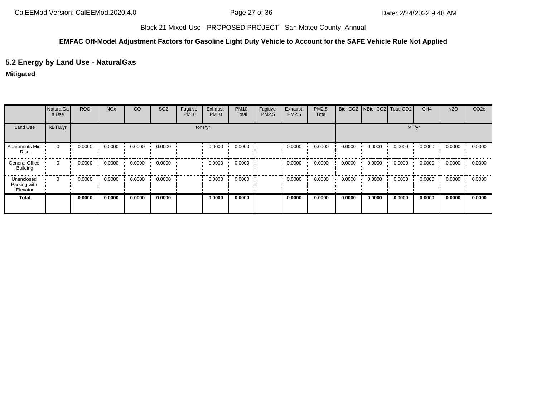## **EMFAC Off-Model Adjustment Factors for Gasoline Light Duty Vehicle to Account for the SAFE Vehicle Rule Not Applied**

## **5.2 Energy by Land Use - NaturalGas**

## **Mitigated**

|                                          | NaturalGa<br>s Use | <b>ROG</b>   | <b>NO<sub>x</sub></b> | CO     | SO <sub>2</sub> | Fugitive<br><b>PM10</b> | Exhaust<br><b>PM10</b> | <b>PM10</b><br>Total | Fugitive<br>PM2.5 | Exhaust<br>PM2.5 | <b>PM2.5</b><br>Total |        | Bio- CO2 NBio- CO2 Total CO2 |        | CH <sub>4</sub> | <b>N2O</b> | CO <sub>2e</sub> |
|------------------------------------------|--------------------|--------------|-----------------------|--------|-----------------|-------------------------|------------------------|----------------------|-------------------|------------------|-----------------------|--------|------------------------------|--------|-----------------|------------|------------------|
| Land Use                                 | kBTU/yr            |              |                       |        |                 |                         | tons/yr                |                      |                   |                  |                       |        |                              | MT/yr  |                 |            |                  |
| <b>Apartments Mid</b><br>Rise            | $\mathbf 0$        | 0.0000       | 0.0000                | 0.0000 | 0.0000          |                         | 0.0000                 | 0.0000               |                   | 0.0000           | 0.0000                | 0.0000 | 0.0000                       | 0.0000 | 0.0000          | 0.0000     | 0.0000           |
| <b>General Office</b><br><b>Building</b> | $\Omega$           | 0.0000<br>ш. | 0.0000                | 0.0000 | 0.0000          |                         | 0.0000                 | 0.0000               |                   | 0.0000           | 0.0000                | 0.0000 | 0.0000                       | 0.0000 | 0.0000          | 0.0000     | 0.0000           |
| Unenclosed<br>Parking with<br>Elevator   | 0                  | 0.0000<br>ш. | 0.0000                | 0.0000 | 0.0000          |                         | 0.0000                 | 0.0000               |                   | 0.0000           | 0.0000                | 0.0000 | 0.0000                       | 0.0000 | 0.0000          | 0.0000     | 0.0000           |
| <b>Total</b>                             |                    | 0.0000       | 0.0000                | 0.0000 | 0.0000          |                         | 0.0000                 | 0.0000               |                   | 0.0000           | 0.0000                | 0.0000 | 0.0000                       | 0.0000 | 0.0000          | 0.0000     | 0.0000           |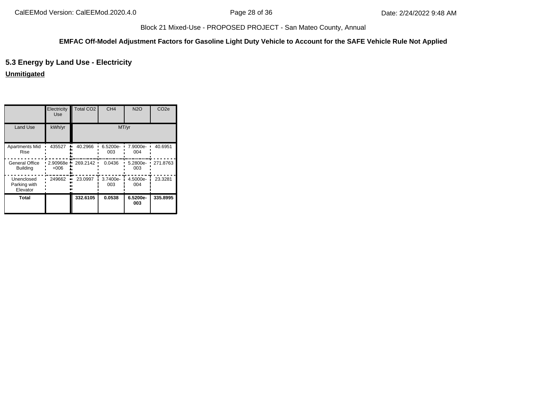## **EMFAC Off-Model Adjustment Factors for Gasoline Light Duty Vehicle to Account for the SAFE Vehicle Rule Not Applied**

## **5.3 Energy by Land Use - Electricity**

**Unmitigated**

|                                        | Electricity<br><b>Use</b> | <b>Total CO2</b> | CH <sub>4</sub> | <b>N2O</b>      | CO <sub>2e</sub> |
|----------------------------------------|---------------------------|------------------|-----------------|-----------------|------------------|
| <b>Land Use</b>                        | kWh/yr                    |                  |                 | MT/yr           |                  |
| <b>Apartments Mid</b><br>Rise          | 435527                    | 40.2966          | 6.5200e-<br>003 | 7.9000e-<br>004 | 40.6951          |
| General Office<br><b>Building</b>      | 2.90968e<br>$+006$        | 269.2142         | 0.0436          | 5.2800e-<br>003 | 271.8763         |
| Unenclosed<br>Parking with<br>Elevator | 249662                    | 23.0997          | 3.7400e-<br>003 | 4.5000e-<br>004 | 23.3281          |
| Total                                  |                           | 332.6105         | 0.0538          | 6.5200e-<br>003 | 335.8995         |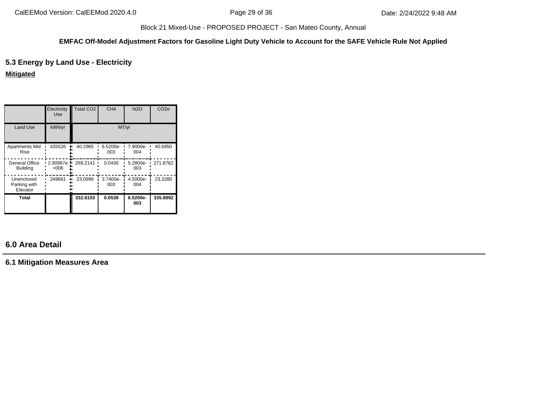#### **EMFAC Off-Model Adjustment Factors for Gasoline Light Duty Vehicle to Account for the SAFE Vehicle Rule Not Applied**

## **5.3 Energy by Land Use - Electricity**

**Mitigated**

|                                          | Electricity<br><b>Use</b> | <b>Total CO2</b> | CH <sub>4</sub> | <b>N2O</b>      | CO <sub>2e</sub> |
|------------------------------------------|---------------------------|------------------|-----------------|-----------------|------------------|
| <b>Land Use</b>                          | kWh/yr                    |                  | MT/yr           |                 |                  |
| <b>Apartments Mid</b><br><b>Rise</b>     | 435526                    | 40.2965          | 6.5200e-<br>003 | 7.9000e-<br>004 | 40.6950          |
| <b>General Office</b><br><b>Building</b> | 2.90967e<br>+006          | 269.2141         | 0.0436          | 5.2800e-<br>003 | 271.8762         |
| Unenclosed<br>Parking with<br>Elevator   | 249661                    | 23.0996          | 3.7400e-<br>003 | 4.5000e-<br>004 | 23.3280          |
| Total                                    |                           | 332.6103         | 0.0538          | 6.5200e-<br>003 | 335.8992         |

# **6.0 Area Detail**

**6.1 Mitigation Measures Area**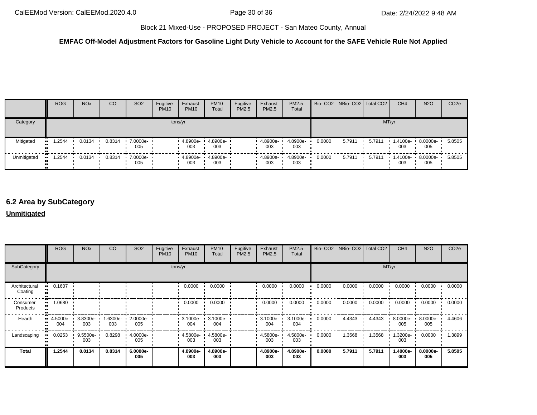## **EMFAC Off-Model Adjustment Factors for Gasoline Light Duty Vehicle to Account for the SAFE Vehicle Rule Not Applied**

|             | <b>ROG</b> | <b>NO<sub>x</sub></b> | CO     | SO <sub>2</sub>                 | Fugitive<br><b>PM10</b> | Exhaust<br><b>PM10</b> | <b>PM10</b><br>Total | Fugitive<br>PM2.5 | Exhaust<br><b>PM2.5</b> | PM2.5<br>Total  |        | Bio- CO2 NBio- CO2 Total CO2 |        | CH <sub>4</sub> | <b>N2O</b>      | CO <sub>2e</sub> |
|-------------|------------|-----------------------|--------|---------------------------------|-------------------------|------------------------|----------------------|-------------------|-------------------------|-----------------|--------|------------------------------|--------|-----------------|-----------------|------------------|
| Category    |            |                       |        |                                 | tons/yr                 |                        |                      |                   |                         |                 |        |                              |        | MT/yr           |                 |                  |
| Mitigated   | .2544      | 0.0134                | 0.8314 | 7.0000e- •<br>005               |                         | 4.8900e-<br>003        | 4.8900e-<br>003      |                   | 4.8900e-<br>003         | 4.8900e-<br>003 | 0.0000 | 5.7911                       | 5.7911 | 1.4100e-<br>003 | 8.0000e-<br>005 | 5.8505           |
| Unmitigated | .2544      | 0.0134                | 0.8314 | $\cdot$ 7.0000e- $\cdot$<br>005 |                         | 4.8900e<br>003         | 4.8900e-<br>003      |                   | $-4.8900e-$<br>003      | 4.8900e-<br>003 | 0.0000 | 5.7911                       | 5.7911 | 1.4100e-<br>003 | 8.0000e-<br>005 | 5.8505           |

# **6.2 Area by SubCategory**

## **Unmitigated**

|                          | <b>ROG</b>      | <b>NO<sub>x</sub></b> | CO              | SO <sub>2</sub>    | Fugitive<br><b>PM10</b> | Exhaust<br><b>PM10</b> | <b>PM10</b><br>Total     | Fugitive<br>PM2.5 | Exhaust<br>PM2.5 | PM2.5<br>Total  |        | Bio- CO2 NBio- CO2 Total CO2 |        | CH <sub>4</sub> | <b>N2O</b>      | CO <sub>2e</sub> |
|--------------------------|-----------------|-----------------------|-----------------|--------------------|-------------------------|------------------------|--------------------------|-------------------|------------------|-----------------|--------|------------------------------|--------|-----------------|-----------------|------------------|
| SubCategory              |                 |                       |                 |                    |                         | tons/yr                |                          |                   |                  |                 |        |                              |        | MT/yr           |                 |                  |
| Architectural<br>Coating | 0.1607          |                       |                 |                    |                         | 0.0000                 | 0.0000                   |                   | 0.0000           | 0.0000          | 0.0000 | 0.0000                       | 0.0000 | 0.0000          | 0.0000          | 0.0000           |
| Consumer<br>Products     | 1.0680          |                       |                 |                    |                         | 0.0000                 | 0.0000                   |                   | 0.0000           | 0.0000          | 0.0000 | 0.0000                       | 0.0000 | 0.0000          | 0.0000          | 0.0000           |
| Hearth                   | 4.5000e-<br>004 | $3.8300e -$<br>003    | 1.6300e-<br>003 | $2.0000e -$<br>005 |                         | 004                    | 3.1000e- 3.1000e-<br>004 |                   | 3.1000e-<br>004  | 3.1000e-<br>004 | 0.0000 | 4.4343                       | 4.4343 | 8.0000e-<br>005 | 8.0000e-<br>005 | 4.4606           |
| Landscaping              | 0.0253          | 9.5500e-<br>003       | 0.8298          | $4.0000e -$<br>005 |                         | 4.5800e-<br>003        | 4.5800e-<br>003          |                   | 4.5800e-<br>003  | 4.5800e-<br>003 | 0.0000 | 1.3568                       | 1.3568 | 1.3200e-<br>003 | 0.0000          | 1.3899           |
| Total                    | 1.2544          | 0.0134                | 0.8314          | 6.0000e-<br>005    |                         | 4.8900e-<br>003        | 4.8900e-<br>003          |                   | 4.8900e-<br>003  | 4.8900e-<br>003 | 0.0000 | 5.7911                       | 5.7911 | 1.4000e-<br>003 | 8.0000e-<br>005 | 5.8505           |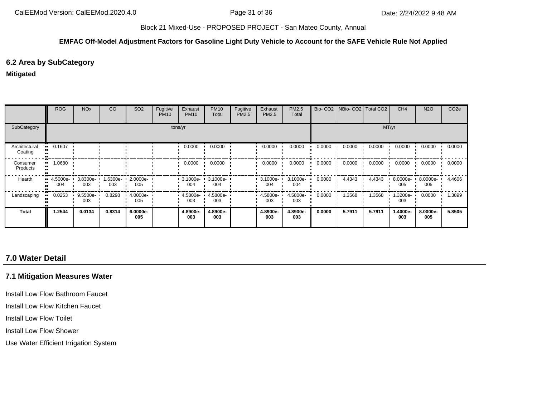#### **EMFAC Off-Model Adjustment Factors for Gasoline Light Duty Vehicle to Account for the SAFE Vehicle Rule Not Applied**

## **6.2 Area by SubCategory**

#### **Mitigated**

|                          | <b>ROG</b>                     | <b>NO<sub>x</sub></b> | CO              | SO <sub>2</sub>    | Fugitive<br><b>PM10</b> | Exhaust<br><b>PM10</b> | <b>PM10</b><br>Total | Fugitive<br>PM2.5 | Exhaust<br>PM2.5     | PM2.5<br>Total  |        | Bio- CO2 NBio- CO2 Total CO2 |        | CH <sub>4</sub>    | <b>N2O</b>      | CO <sub>2e</sub> |
|--------------------------|--------------------------------|-----------------------|-----------------|--------------------|-------------------------|------------------------|----------------------|-------------------|----------------------|-----------------|--------|------------------------------|--------|--------------------|-----------------|------------------|
| SubCategory              |                                |                       |                 |                    |                         | tons/yr                |                      |                   |                      |                 |        |                              |        | MT/yr              |                 |                  |
| Architectural<br>Coating | 0.1607                         |                       |                 |                    |                         | 0.0000                 | 0.0000               |                   | 0.0000               | 0.0000          | 0.0000 | 0.0000                       | 0.0000 | 0.0000             | 0.0000          | 0.0000           |
| Consumer<br>Products     | 1.0680                         |                       |                 |                    |                         | 0.0000                 | 0.0000               |                   | 0.0000               | 0.0000          | 0.0000 | 0.0000                       | 0.0000 | 0.0000             | 0.0000          | 0.0000           |
| Hearth                   | $\blacksquare$ 4.5000e-<br>004 | 3.8300e- ·<br>003     | 1.6300e-<br>003 | $2.0000e -$<br>005 |                         | 3.1000e-<br>004        | 3.1000e-<br>004      |                   | $3.1000e - 1$<br>004 | 3.1000e-<br>004 | 0.0000 | 4.4343                       | 4.4343 | 8.0000e-<br>005    | 8.0000e-<br>005 | 4.4606           |
| Landscaping              | 0.0253                         | $9.5500e -$<br>003    | 0.8298          | $4.0000e -$<br>005 |                         | 4.5800e-<br>003        | 4.5800e-<br>003      |                   | 4.5800e-<br>003      | 4.5800e-<br>003 | 0.0000 | 1.3568                       | 1.3568 | $1.3200e -$<br>003 | 0.0000          | 1.3899           |
| <b>Total</b>             | 1.2544                         | 0.0134                | 0.8314          | 6.0000e-<br>005    |                         | 4.8900e-<br>003        | 4.8900e-<br>003      |                   | 4.8900e-<br>003      | 4.8900e-<br>003 | 0.0000 | 5.7911                       | 5.7911 | 1.4000e-<br>003    | 8.0000e-<br>005 | 5.8505           |

# **7.0 Water Detail**

## **7.1 Mitigation Measures Water**

Install Low Flow Bathroom Faucet

Install Low Flow Kitchen Faucet

Install Low Flow Toilet

Install Low Flow Shower

Use Water Efficient Irrigation System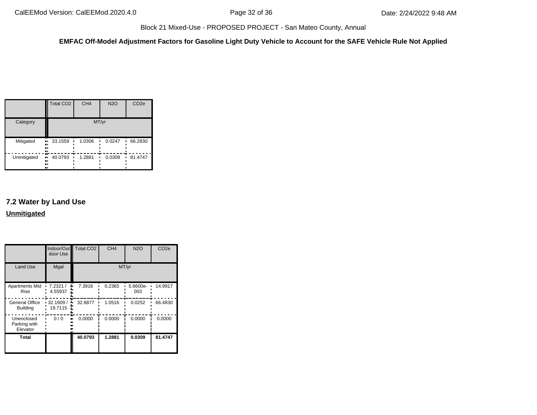**EMFAC Off-Model Adjustment Factors for Gasoline Light Duty Vehicle to Account for the SAFE Vehicle Rule Not Applied**

|             | <b>Total CO2</b>            | CH <sub>4</sub> | <b>N2O</b> | CO <sub>2e</sub> |
|-------------|-----------------------------|-----------------|------------|------------------|
| Category    |                             | MT/yr           |            |                  |
| Mitigated   | 33.1559<br>ш,<br><br><br>., | 1.0306          | 0.0247     | 66.2830<br>٠     |
| Unmitigated | 40.0793<br>ш,<br><br><br>ш  | 1.2881          | 0.0309     | 81.4747          |

# **7.2 Water by Land Use Unmitigated**

|                                        | door Use            | Indoor/Out Total CO2 | CH <sub>4</sub> | <b>N2O</b>      | CO <sub>2e</sub> |  |
|----------------------------------------|---------------------|----------------------|-----------------|-----------------|------------------|--|
| <b>Land Use</b>                        | Mgal                | MT/yr                |                 |                 |                  |  |
| Apartments Mid<br>Rise                 | 7.2321/<br>4.55937  | 7.3916<br>۰.         | 0.2365          | 5.6600e-<br>003 | 14.9917          |  |
| General Office<br><b>Building</b>      | 32.1609/<br>19.7115 | 32.6877<br>۰.        | 1.0516          | 0.0252          | 66.4830          |  |
| Unenclosed<br>Parking with<br>Elevator | 0/0                 | 0.0000               | 0.0000          | 0.0000          | 0.0000           |  |
| Total                                  |                     | 40.0793              | 1.2881          | 0.0309          | 81.4747          |  |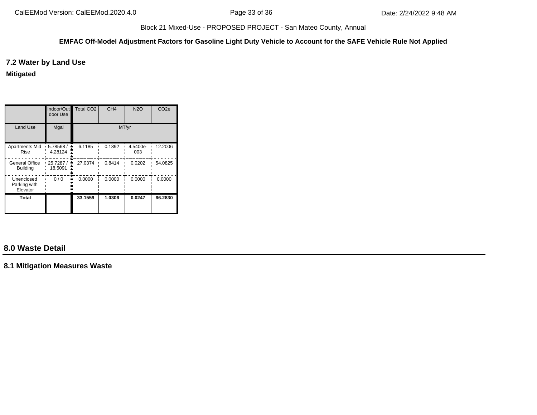#### **EMFAC Off-Model Adjustment Factors for Gasoline Light Duty Vehicle to Account for the SAFE Vehicle Rule Not Applied**

## **7.2 Water by Land Use**

**Mitigated**

|                                          | Indoor/Out<br>door Use | <b>Total CO2</b> | CH <sub>4</sub> | <b>N2O</b>      | CO <sub>2e</sub> |  |
|------------------------------------------|------------------------|------------------|-----------------|-----------------|------------------|--|
| <b>Land Use</b>                          | Mgal                   | MT/yr            |                 |                 |                  |  |
| Apartments Mid<br>Rise                   | 5.78568 /<br>4.28124   | 6.1185           | 0.1892          | 4.5400e-<br>003 | 12.2006          |  |
| <b>General Office</b><br><b>Building</b> | 25.7287/<br>18.5091    | 27.0374<br>۰.    | 0.8414          | 0.0202          | 54.0825          |  |
| Unenclosed<br>Parking with<br>Elevator   | 0/0                    | 0.0000           | 0.0000          | 0.0000          | 0.0000           |  |
| Total                                    |                        | 33.1559          | 1.0306          | 0.0247          | 66.2830          |  |

# **8.0 Waste Detail**

**8.1 Mitigation Measures Waste**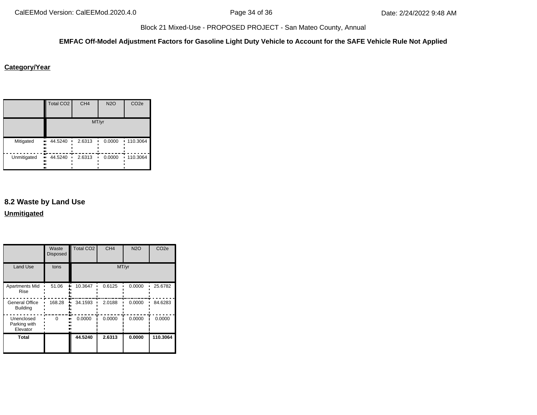## **EMFAC Off-Model Adjustment Factors for Gasoline Light Duty Vehicle to Account for the SAFE Vehicle Rule Not Applied**

## **Category/Year**

|             | <b>Total CO2</b>          | CH <sub>4</sub> | <b>N2O</b> | CO <sub>2e</sub> |
|-------------|---------------------------|-----------------|------------|------------------|
|             |                           |                 | MT/yr      |                  |
| Mitigated   | 44.5240<br>.,<br><br><br> | 2.6313          | 0.0000     | 110.3064         |
| Unmitigated | 44.5240<br>.,<br><br><br> | 2.6313          | 0.0000     | 110.3064<br>٠.   |

# **8.2 Waste by Land Use**

**Unmitigated**

|                                        | Waste<br><b>Disposed</b> | <b>Total CO2</b> | CH <sub>4</sub> | <b>N2O</b> | CO <sub>2e</sub> |
|----------------------------------------|--------------------------|------------------|-----------------|------------|------------------|
| <b>Land Use</b>                        | tons                     | MT/yr            |                 |            |                  |
| <b>Apartments Mid</b><br>Rise          | 51.06                    | 10.3647          | 0.6125          | 0.0000     | 25.6782          |
| General Office<br><b>Building</b>      | 168.28                   | 34.1593          | 2.0188          | 0.0000     | 84.6283          |
| Unenclosed<br>Parking with<br>Elevator | ∩                        | 0.0000           | 0.0000          | 0.0000     | 0.0000           |
| Total                                  |                          | 44.5240          | 2.6313          | 0.0000     | 110.3064         |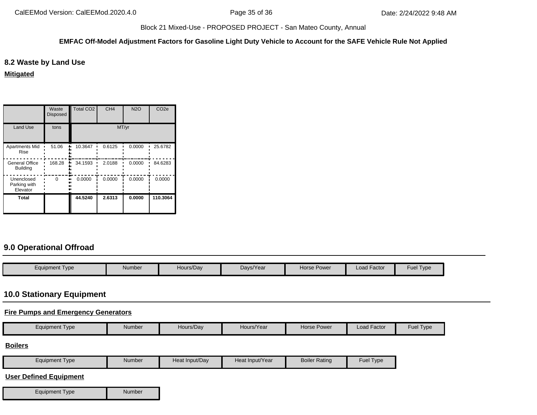#### **EMFAC Off-Model Adjustment Factors for Gasoline Light Duty Vehicle to Account for the SAFE Vehicle Rule Not Applied**

## **8.2 Waste by Land Use**

**Mitigated**

|                                          | Waste<br><b>Disposed</b> | <b>Total CO2</b> | CH <sub>4</sub> | <b>N2O</b> | CO <sub>2e</sub> |  |
|------------------------------------------|--------------------------|------------------|-----------------|------------|------------------|--|
| <b>Land Use</b>                          | tons                     | MT/yr            |                 |            |                  |  |
| <b>Apartments Mid</b><br>Rise            | 51.06                    | 10.3647          | 0.6125          | 0.0000     | 25.6782          |  |
| <b>General Office</b><br><b>Building</b> | 168.28                   | 34.1593          | 2.0188          | 0.0000     | 84.6283          |  |
| Unenclosed<br>Parking with<br>Elevator   | $\Omega$                 | 0.0000           | 0.0000          | 0.0000     | 0.0000           |  |
| Total                                    |                          | 44.5240          | 2.6313          | 0.0000     | 110.3064         |  |

# **9.0 Operational Offroad**

| $\epsilon$ quipment Type | Number | Hours/Dav | Days/Year | Horse Power | Load Factor | -<br>Fuer<br>I ype |
|--------------------------|--------|-----------|-----------|-------------|-------------|--------------------|

# **10.0 Stationary Equipment**

#### **Fire Pumps and Emergency Generators**

|  | Equipment Type | Number | Hours/Dav | Hours/Year | Power<br>Horse i | . .<br>Load Factor | Fuel Type |
|--|----------------|--------|-----------|------------|------------------|--------------------|-----------|
|--|----------------|--------|-----------|------------|------------------|--------------------|-----------|

#### **Boilers**

| Equipment Type | Number | Heat Input/Dav | Heat Input/Year | <b>Boiler Rating</b> | Fuel<br>Type |
|----------------|--------|----------------|-----------------|----------------------|--------------|
|----------------|--------|----------------|-----------------|----------------------|--------------|

## **User Defined Equipment**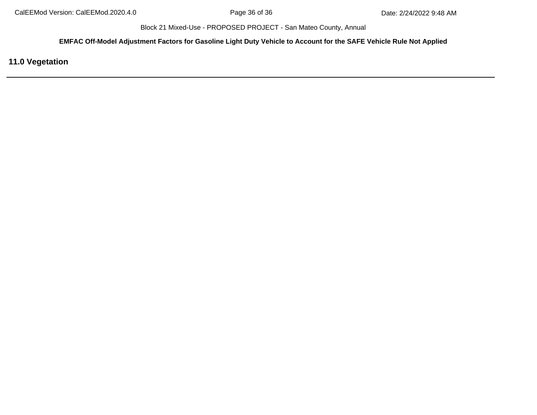**EMFAC Off-Model Adjustment Factors for Gasoline Light Duty Vehicle to Account for the SAFE Vehicle Rule Not Applied**

**11.0 Vegetation**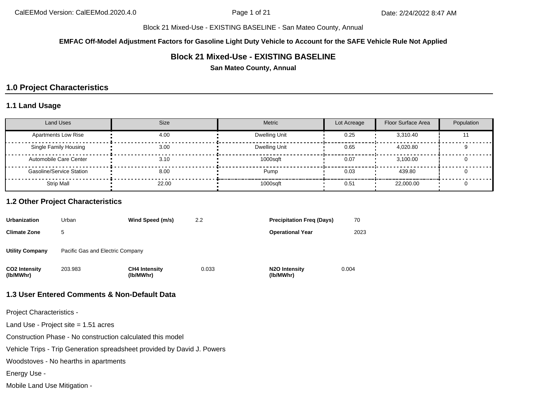**EMFAC Off-Model Adjustment Factors for Gasoline Light Duty Vehicle to Account for the SAFE Vehicle Rule Not Applied**

## **Block 21 Mixed-Use - EXISTING BASELINE**

**San Mateo County, Annual**

## **1.0 Project Characteristics**

#### **1.1 Land Usage**

| <b>Land Uses</b>                | <b>Size</b> | Metric        | Lot Acreage | Floor Surface Area | Population |
|---------------------------------|-------------|---------------|-------------|--------------------|------------|
| <b>Apartments Low Rise</b>      | 4.00        | Dwelling Unit | 0.25        | 3.310.40           |            |
| Single Family Housing           | 3.00        | Dwelling Unit | 0.65        | 4.020.80           |            |
| Automobile Care Center          | 3.10        | 1000sqft      | 0.07        | 3.100.00           |            |
| <b>Gasoline/Service Station</b> | 8.00        | Pump          | 0.03        | 439.80             |            |
| <b>Strip Mall</b>               | 22.00       | 1000sqft      | 0.51        | 22,000.00          |            |

## **1.2 Other Project Characteristics**

| <b>Urbanization</b>        | Urban                            | Wind Speed (m/s)                  | 2.2   | <b>Precipitation Freg (Days)</b>        | 70    |
|----------------------------|----------------------------------|-----------------------------------|-------|-----------------------------------------|-------|
| <b>Climate Zone</b>        | 5                                |                                   |       | <b>Operational Year</b>                 | 2023  |
| <b>Utility Company</b>     | Pacific Gas and Electric Company |                                   |       |                                         |       |
| CO2 Intensity<br>(lb/MWhr) | 203.983                          | <b>CH4 Intensity</b><br>(lb/MWhr) | 0.033 | N <sub>2</sub> O Intensity<br>(lb/MWhr) | 0.004 |

## **1.3 User Entered Comments & Non-Default Data**

Project Characteristics -

Land Use - Project site = 1.51 acres

Construction Phase - No construction calculated this model

Vehicle Trips - Trip Generation spreadsheet provided by David J. Powers

Woodstoves - No hearths in apartments

Energy Use -

Mobile Land Use Mitigation -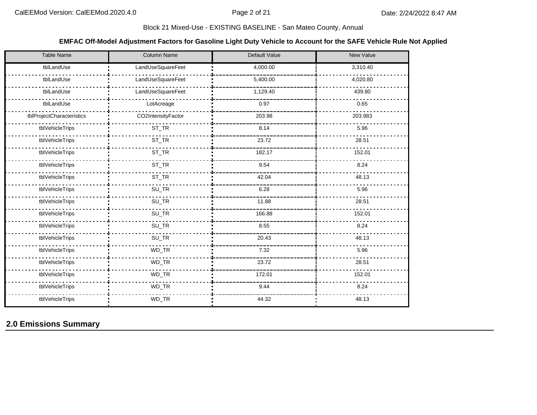## **EMFAC Off-Model Adjustment Factors for Gasoline Light Duty Vehicle to Account for the SAFE Vehicle Rule Not Applied**

| Table Name                | Column Name        | Default Value | New Value |
|---------------------------|--------------------|---------------|-----------|
| tblLandUse                | LandUseSquareFeet  | 4,000.00      | 3,310.40  |
| tblLandUse                | LandUseSquareFeet  | 5,400.00      | 4,020.80  |
| tblLandUse                | LandUseSquareFeet  | 1,129.40      | 439.80    |
| tblLandUse                | LotAcreage         | 0.97          | 0.65      |
| tblProjectCharacteristics | CO2IntensityFactor | 203.98        | 203.983   |
| tblVehicleTrips           | $ST_TR$            | 8.14          | 5.96      |
| tblVehicleTrips           | $ST_TR$            | 23.72         | 28.51     |
| tblVehicleTrips           | $ST_TR$            | 182.17        | 152.01    |
| tblVehicleTrips           | ST_TR              | 9.54          | 8.24      |
| tblVehicleTrips           | ST_TR              | 42.04         | 48.13     |
| tblVehicleTrips           | SU_TR              | 6.28          | 5.96      |
| tblVehicleTrips           | $SU_TR$            | 11.88         | 28.51     |
| tblVehicleTrips           | $SU_TR$            | 166.88        | 152.01    |
| tblVehicleTrips           | $SU_TR$            | 8.55          | 8.24      |
| tblVehicleTrips           | SU_TR              | 20.43         | 48.13     |
| tblVehicleTrips           | WD_TR              | 7.32          | 5.96      |
| tblVehicleTrips           | $WD_TR$            | 23.72         | 28.51     |
| tblVehicleTrips           | $\mathsf{WD\_TR}$  | 172.01        | 152.01    |
| tblVehicleTrips           | WD_TR              | 9.44          | 8.24      |
| tblVehicleTrips           | WD_TR              | 44.32         | 48.13     |

## **2.0 Emissions Summary**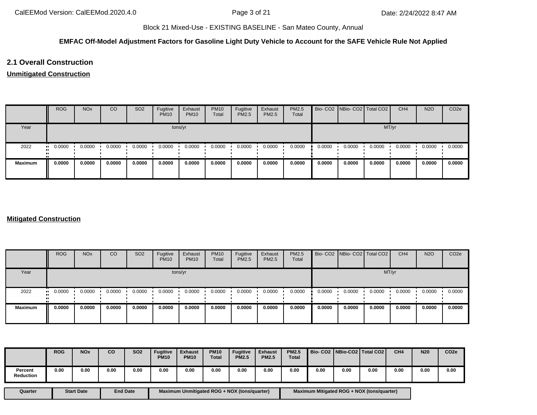#### **EMFAC Off-Model Adjustment Factors for Gasoline Light Duty Vehicle to Account for the SAFE Vehicle Rule Not Applied**

## **2.1 Overall Construction**

#### **Unmitigated Construction**

|                | <b>ROG</b> | <b>NO<sub>x</sub></b> | CO     | SO <sub>2</sub> | Fugitive<br><b>PM10</b> | Exhaust<br><b>PM10</b> | <b>PM10</b><br>Total | Fugitive<br>PM2.5 | Exhaust<br><b>PM2.5</b> | PM2.5<br>Total |        | Bio- CO2 NBio- CO2 Total CO2 |        | CH <sub>4</sub> | <b>N2O</b> | CO <sub>2e</sub> |
|----------------|------------|-----------------------|--------|-----------------|-------------------------|------------------------|----------------------|-------------------|-------------------------|----------------|--------|------------------------------|--------|-----------------|------------|------------------|
| Year           |            | tons/yr               |        |                 |                         |                        |                      |                   |                         |                |        |                              | MT/yr  |                 |            |                  |
| 2022           | 0.0000     | 0.0000                | 0.0000 | 0.0000          | 0.0000                  | 0.0000                 | 0.0000               | 0.0000            | 0.0000                  | 0.0000         | 0.0000 | 0.0000                       | 0.0000 | 0.0000          | 0.0000     | 0.0000           |
| <b>Maximum</b> | 0.0000     | 0.0000                | 0.0000 | 0.0000          | 0.0000                  | 0.0000                 | 0.0000               | 0.0000            | 0.0000                  | 0.0000         | 0.0000 | 0.0000                       | 0.0000 | 0.0000          | 0.0000     | 0.0000           |

## **Mitigated Construction**

|                | <b>ROG</b>               | <b>NO<sub>x</sub></b> | CO     | SO <sub>2</sub> | Fugitive<br><b>PM10</b> | Exhaust<br><b>PM10</b> | <b>PM10</b><br>Total | Fugitive<br><b>PM2.5</b> | Exhaust<br><b>PM2.5</b> | <b>PM2.5</b><br>Total |        | Bio- CO2 NBio- CO2 Total CO2 |        | CH <sub>4</sub> | <b>N2O</b> | CO <sub>2e</sub> |
|----------------|--------------------------|-----------------------|--------|-----------------|-------------------------|------------------------|----------------------|--------------------------|-------------------------|-----------------------|--------|------------------------------|--------|-----------------|------------|------------------|
| Year           |                          | tons/yr               |        |                 |                         |                        |                      |                          |                         |                       |        |                              |        | MT/yr           |            |                  |
| 2022           | 0.0000<br>$\blacksquare$ | 0.0000                | 0.0000 | 0.0000          | 0.0000                  | 0.0000                 | 0.0000               | 0.0000                   | 0.0000                  | 0.0000                | 0.0000 | 0.0000                       | 0.0000 | 0.0000          | 0.0000     | 0.0000           |
| <b>Maximum</b> | 0.0000                   | 0.0000                | 0.0000 | 0.0000          | 0.0000                  | 0.0000                 | 0.0000               | 0.0000                   | 0.0000                  | 0.0000                | 0.0000 | 0.0000                       | 0.0000 | 0.0000          | 0.0000     | 0.0000           |

|                             | <b>ROG</b> | <b>NO<sub>x</sub></b> | co   | SO <sub>2</sub> | <b>Fugitive</b><br><b>PM10</b> | <b>Exhaust</b><br><b>PM10</b> | <b>PM10</b><br><b>Total</b> | <b>Fugitive</b><br><b>PM2.5</b> | <b>Exhaust</b><br><b>PM2.5</b> | <b>PM2.5</b><br><b>Total</b> |      |      | Bio- CO2   NBio-CO2   Total CO2 | CH <sub>4</sub> | <b>N20</b> | CO <sub>2e</sub> |
|-----------------------------|------------|-----------------------|------|-----------------|--------------------------------|-------------------------------|-----------------------------|---------------------------------|--------------------------------|------------------------------|------|------|---------------------------------|-----------------|------------|------------------|
| Percent<br><b>Reduction</b> | 0.00       | 0.00                  | 0.00 | 0.00            | 0.00                           | 0.00                          | 0.00                        | 0.00                            | 0.00                           | 0.00                         | 0.00 | 0.00 | 0.00                            | 0.00            | 0.00       | 0.00             |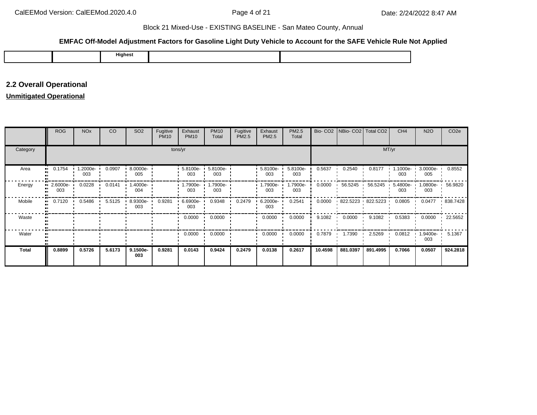## **EMFAC Off-Model Adjustment Factors for Gasoline Light Duty Vehicle to Account for the SAFE Vehicle Rule Not Applied**

|  |  | Highest |  |  |
|--|--|---------|--|--|
|--|--|---------|--|--|

# **2.2 Overall Operational**

## **Unmitigated Operational**

|          | ROG             | <b>NO<sub>x</sub></b> | CO     | SO <sub>2</sub>    | Fugitive<br><b>PM10</b> | Exhaust<br><b>PM10</b> | <b>PM10</b><br>Total | Fugitive<br>PM2.5 | Exhaust<br>PM2.5   | PM2.5<br>Total  |         | Bio- CO2   NBio- CO2   Total CO2 |                   | CH <sub>4</sub> | <b>N2O</b>      | CO <sub>2e</sub> |
|----------|-----------------|-----------------------|--------|--------------------|-------------------------|------------------------|----------------------|-------------------|--------------------|-----------------|---------|----------------------------------|-------------------|-----------------|-----------------|------------------|
| Category |                 |                       |        |                    | tons/yr                 |                        |                      |                   |                    |                 |         |                                  | MT/yr             |                 |                 |                  |
| Area     | 0.1754          | 1.2000e-<br>003       | 0.0907 | 8.0000e-<br>005    |                         | 5.8100e-<br>003        | 5.8100e-<br>003      |                   | 5.8100e-<br>003    | 5.8100e-<br>003 | 0.5637  | 0.2540                           | 0.8177            | 1.1000e-<br>003 | 3.0000e-<br>005 | 0.8552           |
| Energy   | 2.6000e-<br>003 | 0.0228                | 0.0141 | $1.4000e -$<br>004 |                         | 1.7900e-<br>003        | 1.7900e-<br>003      |                   | -.7900e<br>003     | 1.7900e-<br>003 | 0.0000  | 56.5245                          | 56.5245           | 5.4800e-<br>003 | 1.0800e-<br>003 | 56.9820          |
| Mobile   | 0.7120          | 0.5486                | 5.5125 | 8.9300e- ·<br>003  | 0.9281                  | 6.6900e-<br>003        | 0.9348               | 0.2479            | $6.2000e -$<br>003 | 0.2541          | 0.0000  |                                  | 822.5223 822.5223 | 0.0805          | 0.0477          | 838.7428         |
| Waste    |                 |                       |        |                    |                         | 0.0000                 | 0.0000               |                   | 0.0000             | 0.0000          | 9.1082  | 0.0000                           | 9.1082            | 0.5383          | 0.0000          | 22.5652          |
| Water    |                 |                       |        |                    |                         | 0.0000                 | 0.0000               |                   | 0.0000             | 0.0000          | 0.7879  | 1.7390                           | 2.5269            | 0.0812          | 1.9400e-<br>003 | 5.1367           |
| Total    | 0.8899          | 0.5726                | 5.6173 | 9.1500e-<br>003    | 0.9281                  | 0.0143                 | 0.9424               | 0.2479            | 0.0138             | 0.2617          | 10.4598 | 881.0397                         | 891.4995          | 0.7066          | 0.0507          | 924.2818         |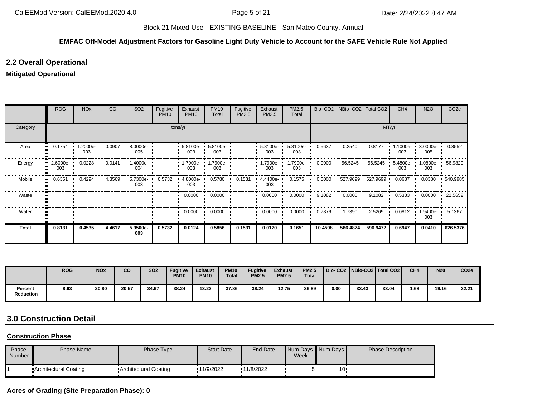#### **EMFAC Off-Model Adjustment Factors for Gasoline Light Duty Vehicle to Account for the SAFE Vehicle Rule Not Applied**

## **2.2 Overall Operational**

## **Mitigated Operational**

|              | <b>ROG</b>        | <b>NO<sub>x</sub></b> | CO     | SO <sub>2</sub>    | Fugitive<br><b>PM10</b> | Exhaust<br><b>PM10</b> | <b>PM10</b><br>Total | Fugitive<br>PM2.5 | Exhaust<br>PM2.5 | PM2.5<br>Total  |         | Bio- CO2   NBio- CO2   Total CO2 |          | CH <sub>4</sub>    | <b>N2O</b>      | CO <sub>2e</sub> |
|--------------|-------------------|-----------------------|--------|--------------------|-------------------------|------------------------|----------------------|-------------------|------------------|-----------------|---------|----------------------------------|----------|--------------------|-----------------|------------------|
| Category     |                   |                       |        |                    |                         | tons/yr                |                      |                   |                  |                 |         |                                  | MT/yr    |                    |                 |                  |
| Area<br>п.   | 0.1754            | 1.2000e-<br>003       | 0.0907 | $8.0000e -$<br>005 |                         | 5.8100e-<br>003        | 5.8100e-<br>003      |                   | 5.8100e-<br>003  | 5.8100e-<br>003 | 0.5637  | 0.2540                           | 0.8177   | $1.1000e -$<br>003 | 3.0000e-<br>005 | 0.8552           |
| Energy       | $2.6000e-$<br>003 | 0.0228                | 0.0141 | 1.4000e- ·<br>004  |                         | 1.7900e-<br>003        | 1.7900e-<br>003      |                   | -.7900e<br>003   | 1.7900e-<br>003 | 0.0000  | 56.5245                          | 56.5245  | 5.4800e-<br>003    | 1.0800e-<br>003 | 56.9820          |
| Mobile<br>п. | 0.6351            | 0.4294                | 4.3569 | 5.7300e-<br>003    | 0.5732                  | 4.8000e-<br>003        | 0.5780               | 0.1531            | 4.4400e-<br>003  | 0.1575          | 0.0000  | $527.9699$ 527.9699              |          | 0.0687             | 0.0380          | 540.9985         |
| Waste        |                   |                       |        |                    |                         | 0.0000                 | 0.0000               |                   | 0.0000           | 0.0000          | 9.1082  | 0.0000                           | 9.1082   | 0.5383             | 0.0000          | 22.5652          |
| Water        |                   |                       |        |                    |                         | 0.0000                 | 0.0000               |                   | 0.0000           | 0.0000          | 0.7879  | 1.7390                           | 2.5269   | 0.0812             | .9400e-<br>003  | 5.1367           |
| Total        | 0.8131            | 0.4535                | 4.4617 | 5.9500e-<br>003    | 0.5732                  | 0.0124                 | 0.5856               | 0.1531            | 0.0120           | 0.1651          | 10.4598 | 586.4874                         | 596.9472 | 0.6947             | 0.0410          | 626.5376         |

|                             | <b>ROG</b> | <b>NO<sub>x</sub></b> | co    | <b>SO2</b> | <b>Fugitive</b><br><b>PM10</b> | <b>Exhaust</b><br><b>PM10</b> | <b>PM10</b><br><b>Total</b> | <b>Fugitive</b><br><b>PM2.5</b> | <b>Exhaust</b><br><b>PM2.5</b> | <b>PM2.5</b><br><b>Total</b> |      |       | Bio-CO2   NBio-CO2   Total CO2 | CH <sub>4</sub> | <b>N20</b> | CO <sub>2e</sub> |
|-----------------------------|------------|-----------------------|-------|------------|--------------------------------|-------------------------------|-----------------------------|---------------------------------|--------------------------------|------------------------------|------|-------|--------------------------------|-----------------|------------|------------------|
| Percent<br><b>Reduction</b> | 8.63       | 20.80                 | 20.57 | 34.97      | 38.24                          | 13.23                         | 37.86                       | 38.24                           | 12.75                          | 36.89                        | 0.00 | 33.43 | 33.04                          | 1.68            | 19.16      | 32.21            |

# **3.0 Construction Detail**

#### **Construction Phase**

| Phase<br>Number | <b>Phase Name</b>     | Phase Type            | <b>Start Date</b> | End Date   | Week | Num Days Num Days | <b>Phase Description</b> |
|-----------------|-----------------------|-----------------------|-------------------|------------|------|-------------------|--------------------------|
|                 | Architectural Coating | Architectural Coating | 11/9/2022         | '11/8/2022 |      | 10                |                          |

## **Acres of Grading (Site Preparation Phase): 0**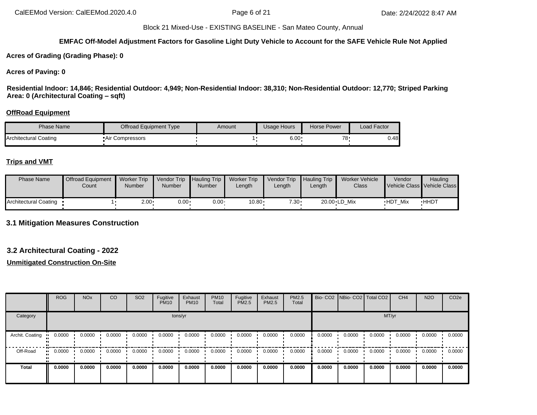## **EMFAC Off-Model Adjustment Factors for Gasoline Light Duty Vehicle to Account for the SAFE Vehicle Rule Not Applied**

**Acres of Grading (Grading Phase): 0**

#### **Acres of Paving: 0**

**Residential Indoor: 14,846; Residential Outdoor: 4,949; Non-Residential Indoor: 38,310; Non-Residential Outdoor: 12,770; Striped Parking Area: 0 (Architectural Coating – sqft)**

#### **OffRoad Equipment**

| Phase Name            | Offroad Equipment Type | Amount | Usage Hours  | Horse Power | Load Factor |
|-----------------------|------------------------|--------|--------------|-------------|-------------|
| Architectural Coating | • Air Compressors      |        | $6.00 \cdot$ | 78 -        | 0.48        |

#### **Trips and VMT**

| <b>Phase Name</b>       | <b>Offroad Equipment</b><br>Count | <b>Worker Trip</b><br>Number | Vendor Trip Hauling Trip<br><b>Number</b> | <b>Number</b> | <b>Worker Trip</b><br>Length | <b>Vendor Trip</b><br>_ength | <b>Hauling Trip</b><br>Length | <b>Worker Vehicle</b><br>Class | Vendor         | Hauling<br>Vehicle Class Vehicle Class |
|-------------------------|-----------------------------------|------------------------------|-------------------------------------------|---------------|------------------------------|------------------------------|-------------------------------|--------------------------------|----------------|----------------------------------------|
| Architectural Coating • |                                   | ∙2.00                        | $0.00 \cdot$                              | $0.00 \cdot$  | 10.80                        | $7.30 -$                     |                               | 20.00 LD Mix                   | <b>HDT Mix</b> | <b>HHDT</b>                            |

**3.1 Mitigation Measures Construction**

#### **3.2 Architectural Coating - 2022**

|                 | <b>ROG</b> | <b>NO<sub>x</sub></b> | CO     | SO <sub>2</sub> | Fugitive<br><b>PM10</b> | Exhaust<br><b>PM10</b> | <b>PM10</b><br>Total | Fugitive<br>PM2.5 | Exhaust<br><b>PM2.5</b> | PM2.5<br>Total |        |        | Bio- CO2 NBio- CO2 Total CO2 | CH <sub>4</sub> | <b>N2O</b> | CO <sub>2e</sub> |
|-----------------|------------|-----------------------|--------|-----------------|-------------------------|------------------------|----------------------|-------------------|-------------------------|----------------|--------|--------|------------------------------|-----------------|------------|------------------|
| Category        |            |                       |        |                 |                         | tons/yr                |                      |                   |                         |                |        |        | MT/yr                        |                 |            |                  |
| Archit. Coating | 0.0000     | 0.0000                | 0.0000 | 0.0000          | 0.0000                  | 0.0000                 | 0.0000               | 0.0000            | 0.0000                  | 0.0000         | 0.0000 | 0.0000 | 0.0000                       | 0.0000          | 0.0000     | 0.0000           |
| Off-Road        | 0.0000     | 0.0000                | 0.0000 | 0.0000          | 0.0000                  | 0.0000                 | 0.0000               | 0.0000            | 0.0000                  | 0.0000         | 0.0000 | 0.0000 | 0.0000                       | 0.0000          | 0.0000     | 0.0000           |
| <b>Total</b>    | 0.0000     | 0.0000                | 0.0000 | 0.0000          | 0.0000                  | 0.0000                 | 0.0000               | 0.0000            | 0.0000                  | 0.0000         | 0.0000 | 0.0000 | 0.0000                       | 0.0000          | 0.0000     | 0.0000           |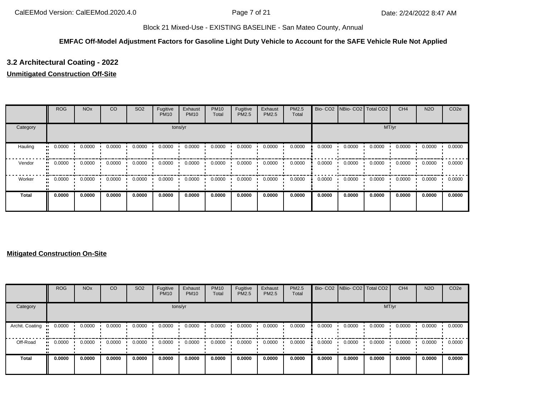## **EMFAC Off-Model Adjustment Factors for Gasoline Light Duty Vehicle to Account for the SAFE Vehicle Rule Not Applied**

# **3.2 Architectural Coating - 2022**

### **Unmitigated Construction Off-Site**

|          | <b>ROG</b>          | <b>NO<sub>x</sub></b> | CO     | SO <sub>2</sub> | Fugitive<br><b>PM10</b> | Exhaust<br><b>PM10</b> | <b>PM10</b><br>Total | Fugitive<br>PM2.5 | Exhaust<br><b>PM2.5</b> | PM2.5<br>Total |        | Bio- CO2   NBio- CO2   Total CO2 |        | CH <sub>4</sub> | <b>N2O</b> | CO <sub>2e</sub> |
|----------|---------------------|-----------------------|--------|-----------------|-------------------------|------------------------|----------------------|-------------------|-------------------------|----------------|--------|----------------------------------|--------|-----------------|------------|------------------|
| Category |                     |                       |        |                 |                         | tons/yr                |                      |                   |                         |                | MT/yr  |                                  |        |                 |            |                  |
| Hauling  | 0.0000              | 0.0000                | 0.0000 | 0.0000          | 0.0000                  | 0.0000                 | 0.0000               | 0.0000            | 0.0000                  | 0.0000         | 0.0000 | 0.0000                           | 0.0000 | 0.0000          | 0.0000     | 0.0000           |
| Vendor   | 0.0000<br>$\bullet$ | 0.0000                | 0.0000 | 0.0000          | 0.0000                  | 0.0000                 | 0.0000               | 0.0000            | 0.0000                  | 0.0000         | 0.0000 | 0.0000                           | 0.0000 | 0.0000          | 0.0000     | 0.0000           |
| Worker   | 0.0000              | 0.0000                | 0.0000 | 0.0000          | 0.0000                  | 0.0000                 | 0.0000               | 0.0000            | 0.0000                  | 0.0000         | 0.0000 | 0.0000                           | 0.0000 | 0.0000          | 0.0000     | 0.0000           |
| Total    | 0.0000              | 0.0000                | 0.0000 | 0.0000          | 0.0000                  | 0.0000                 | 0.0000               | 0.0000            | 0.0000                  | 0.0000         | 0.0000 | 0.0000                           | 0.0000 | 0.0000          | 0.0000     | 0.0000           |

### **Mitigated Construction On-Site**

|                 | <b>ROG</b>            | <b>NO<sub>x</sub></b> | CO     | SO <sub>2</sub> | Fugitive<br><b>PM10</b> | Exhaust<br><b>PM10</b> | <b>PM10</b><br>Total | Fugitive<br>PM2.5 | Exhaust<br><b>PM2.5</b> | <b>PM2.5</b><br>Total |        | Bio- CO2 NBio- CO2 Total CO2 |        | CH <sub>4</sub> | <b>N2O</b> | CO <sub>2e</sub> |
|-----------------|-----------------------|-----------------------|--------|-----------------|-------------------------|------------------------|----------------------|-------------------|-------------------------|-----------------------|--------|------------------------------|--------|-----------------|------------|------------------|
| Category        |                       |                       |        |                 | tons/yr                 |                        |                      |                   |                         |                       |        |                              | MT/yr  |                 |            |                  |
| Archit. Coating | 0.0000<br>            | 0.0000                | 0.0000 | 0.0000          | 0.0000                  | 0.0000                 | 0.0000               | 0.0000            | 0.0000                  | 0.0000                | 0.0000 | 0.0000                       | 0.0000 | 0.0000          | 0.0000     | 0.0000           |
| Off-Road        | $\blacksquare$ 0.0000 | 0.0000                | 0.0000 | 0.0000          | 0.0000                  | 0.0000                 | 0.0000               | 0.0000            | 0.0000                  | 0.0000                | 0.0000 | 0.0000                       | 0.0000 | 0.0000          | 0.0000     | 0.0000           |
| <b>Total</b>    | 0.0000                | 0.0000                | 0.0000 | 0.0000          | 0.0000                  | 0.0000                 | 0.0000               | 0.0000            | 0.0000                  | 0.0000                | 0.0000 | 0.0000                       | 0.0000 | 0.0000          | 0.0000     | 0.0000           |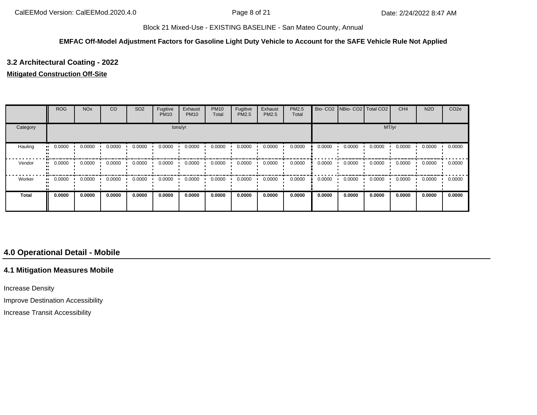#### **EMFAC Off-Model Adjustment Factors for Gasoline Light Duty Vehicle to Account for the SAFE Vehicle Rule Not Applied**

# **3.2 Architectural Coating - 2022**

### **Mitigated Construction Off-Site**

|              | <b>ROG</b> | <b>NO<sub>x</sub></b> | CO     | SO <sub>2</sub> | Fugitive<br><b>PM10</b> | Exhaust<br><b>PM10</b> | <b>PM10</b><br>Total | Fugitive<br>PM2.5 | Exhaust<br>PM2.5 | PM2.5<br>Total | Bio-CO <sub>2</sub> | NBio- CO2   Total CO2 |        | CH <sub>4</sub> | <b>N2O</b> | CO <sub>2e</sub> |
|--------------|------------|-----------------------|--------|-----------------|-------------------------|------------------------|----------------------|-------------------|------------------|----------------|---------------------|-----------------------|--------|-----------------|------------|------------------|
| Category     |            |                       |        |                 |                         | tons/yr                |                      |                   |                  |                | MT/yr               |                       |        |                 |            |                  |
| Hauling      | 0.0000     | 0.0000                | 0.0000 | 0.0000          | 0.0000                  | 0.0000                 | 0.0000               | 0.0000            | 0.0000           | 0.0000         | 0.0000              | 0.0000                | 0.0000 | 0.0000          | 0.0000     | 0.0000           |
| Vendor       | 0.0000<br> | 0.0000                | 0.0000 | 0.0000          | 0.0000                  | 0.0000                 | 0.0000               | 0.0000            | 0.0000           | 0.0000         | 0.0000              | 0.0000                | 0.0000 | 0.0000          | 0.0000     | 0.0000           |
| Worker       | 0.0000     | 0.0000                | 0.0000 | 0.0000          | 0.0000                  | 0.0000                 | 0.0000               | 0.0000            | 0.0000           | 0.0000         | 0.0000              | 0.0000                | 0.0000 | 0.0000          | 0.0000     | 0.0000           |
| <b>Total</b> | 0.0000     | 0.0000                | 0.0000 | 0.0000          | 0.0000                  | 0.0000                 | 0.0000               | 0.0000            | 0.0000           | 0.0000         | 0.0000              | 0.0000                | 0.0000 | 0.0000          | 0.0000     | 0.0000           |

# **4.0 Operational Detail - Mobile**

## **4.1 Mitigation Measures Mobile**

Increase Density

Improve Destination Accessibility

Increase Transit Accessibility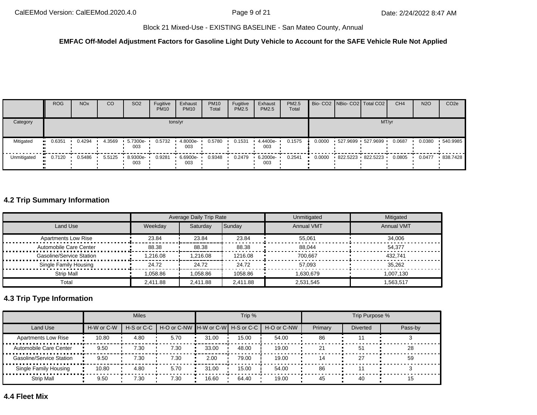### **EMFAC Off-Model Adjustment Factors for Gasoline Light Duty Vehicle to Account for the SAFE Vehicle Rule Not Applied**

|             | <b>ROG</b> | <b>NO<sub>x</sub></b> | CO     | SO <sub>2</sub>  | Fugitive<br><b>PM10</b> | Exhaust<br><b>PM10</b> | <b>PM10</b><br>Total | Fugitive<br><b>PM2.5</b> | Exhaust<br>PM2.5   | PM2.5<br>Total |        |                   | Bio- CO2 NBio- CO2 Total CO2 | CH <sub>4</sub> | <b>N2O</b> | CO <sub>2e</sub> |
|-------------|------------|-----------------------|--------|------------------|-------------------------|------------------------|----------------------|--------------------------|--------------------|----------------|--------|-------------------|------------------------------|-----------------|------------|------------------|
| Category    |            |                       |        |                  |                         | tons/yr                |                      |                          |                    |                |        |                   | MT/yr                        |                 |            |                  |
| Mitigated   | 0.6351     | 0.4294                | 4.3569 | 5.7300e-<br>003  | 0.5732                  | 4.8000e-<br>003        | 0.5780               | 0.1531                   | 4.4400e-<br>003    | 0.1575         | 0.0000 | 527.9699 527.9699 |                              | 0.0687          | 0.0380     | .540.9985        |
| Unmitigated | 0.7120     | 0.5486                | 5.5125 | 8.9300e ·<br>003 | 0.9281                  | 6.6900e-<br>003        | 0.9348               | 0.2479                   | $-6.2000e-$<br>003 | 0.2541         | 0.0000 |                   | 822.5223 822.5223            | 0.0805          | 0.0477     | 838.7428         |

# **4.2 Trip Summary Information**

|                            |          | <b>Average Daily Trip Rate</b> |          | Unmitigated       | Mitigated         |
|----------------------------|----------|--------------------------------|----------|-------------------|-------------------|
| Land Use                   | Weekday  | Saturday                       | Sunday   | <b>Annual VMT</b> | <b>Annual VMT</b> |
| <b>Apartments Low Rise</b> | 23.84    | 23.84                          | 23.84    | 55.061            | 34.006            |
| Automobile Care Center     | 88.38    | 88.38                          | 88.38    | 88.044            | 54.377            |
| Gasoline/Service Station   | 1,216.08 | 1,216.08                       | 1216.08  | 700.667           | 432.741           |
| Single Family Housing      | 24.72    | 24.72                          | 24.72    | 57,093            | 35.262            |
| Strip Mall                 | 058.86   | 1.058.86                       | 1058.86  | .630.679          | 1.007.130         |
| Total                      | 2.411.88 | 2.411.88                       | 2.411.88 | 2,531,545         | 1,563,517         |

# **4.3 Trip Type Information**

|                            |            | <b>Miles</b>             |                                   |       | Trip % |             |         | Trip Purpose %  |         |
|----------------------------|------------|--------------------------|-----------------------------------|-------|--------|-------------|---------|-----------------|---------|
| Land Use                   | H-W or C-W | $H-S$ or C-C $\parallel$ | H-O or C-NW H-W or C-W H-S or C-C |       |        | H-O or C-NW | Primary | <b>Diverted</b> | Pass-by |
| <b>Apartments Low Rise</b> | 10.80      | 4.80                     | 5.70                              | 31.00 | 15.00  | 54.00       | 86      |                 |         |
| Automobile Care Center     | 9.50       | 7.30                     | 7.30                              | 33.00 | 48.00  | 19.00       | 21      |                 | 28      |
| Gasoline/Service Station   | 9.50       | 7.30                     | 7.30                              | 2.00  | 79.00  | 19.00       | 14      | 27              | 59      |
| Single Family Housing      | 10.80      | 4.80                     | 5.70                              | 31.00 | 15.00  | 54.00       | 86      |                 |         |
| <b>Strip Mall</b>          | 9.50       | 7.30                     | 7.30                              | 16.60 | 64.40  | 19.00       | 45      | 40              | 15      |

### **4.4 Fleet Mix**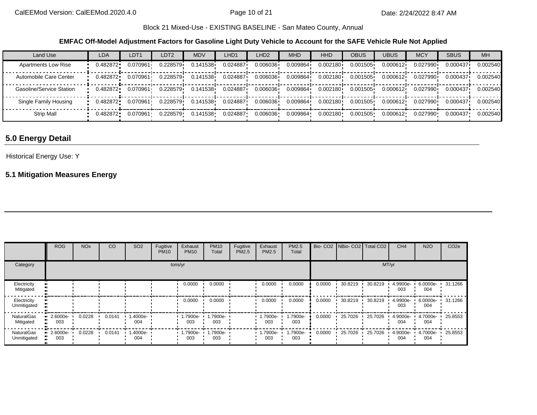**EMFAC Off-Model Adjustment Factors for Gasoline Light Duty Vehicle to Account for the SAFE Vehicle Rule Not Applied**

| Land Use                   | LDA      | LDT <sub>1</sub> | LDT2     | <b>MDV</b> | LHD1     | LHD <sub>2</sub> | <b>MHD</b> | <b>HHD</b> | <b>OBUS</b> | <b>UBUS</b> | <b>MCY</b> | <b>SBUS</b> | <b>MH</b> |
|----------------------------|----------|------------------|----------|------------|----------|------------------|------------|------------|-------------|-------------|------------|-------------|-----------|
| <b>Apartments Low Rise</b> | 0.482872 | 0.070961         | 0.228579 | 0.141538   | 0.024887 | 0.006036         | 0.009864   | 0.002180   | 0.001505    | 0.000612    | 0.027990   | 0.000437    | 0.002540  |
| Automobile Care Center     | 0.482872 | 0.070961         | 0.228579 | 0.141538   | 0.024887 | 0.006036         | 0.009864   | 0.002180   | 0.001505    | 0.000612    | 0.027990   | 0.000437    | 0.002540  |
| Gasoline/Service Station   | 0.482872 | 0.070961         | 0.228579 | 0.141538   | 0.024887 | 0.006036         | 0.009864   | 0.002180   | 0.001505    | 0.000612    | 0.027990   | 0.000437    | 0.002540  |
| Single Family Housing      | 0.482872 | 0.070961         | 0.228579 | 0.141538   | 0.024887 | 0.006036         | 0.009864   | 0.002180   | 0.001505    | 0.000612    | 0.027990   | 0.000437    | 0.002540  |
| <b>Strip Mall</b>          | 0.482872 | 0.070961         | 0.228579 | 0.141538   | 0.024887 | 0.006036         | 0.009864   | 0.002180   | 0.001505    | 0.000612    | 0.027990   | 0.000437    | 0.002540  |

# **5.0 Energy Detail**

### Historical Energy Use: Y

# **5.1 Mitigation Measures Energy**

|                                  | <b>ROG</b>         | NO <sub>x</sub> | CO     | SO <sub>2</sub> | Fugitive<br><b>PM10</b> | Exhaust<br><b>PM10</b>          | <b>PM10</b><br>Total     | Fugitive<br>PM2.5 | Exhaust<br>PM2.5 | PM2.5<br>Total  |        | Bio- CO2   NBio- CO2   Total CO2 |         | CH <sub>4</sub> | <b>N2O</b>              | CO <sub>2e</sub> |
|----------------------------------|--------------------|-----------------|--------|-----------------|-------------------------|---------------------------------|--------------------------|-------------------|------------------|-----------------|--------|----------------------------------|---------|-----------------|-------------------------|------------------|
| Category                         |                    |                 |        |                 |                         | tons/yr                         |                          |                   |                  |                 |        |                                  | MT/yr   |                 |                         |                  |
| Electricity<br>Mitigated         |                    |                 |        |                 |                         | 0.0000                          | 0.0000                   |                   | 0.0000           | 0.0000          | 0.0000 | 30.8219                          | 30.8219 | 4.9900e-<br>003 | 6.0000e- 31.1266<br>004 |                  |
| Electricity<br>Unmitigated       |                    |                 |        |                 |                         | 0.0000                          | 0.0000                   |                   | 0.0000           | 0.0000          | 0.0000 | 30.8219                          | 30.8219 | 4.9900e-<br>003 | 6.0000e- 31.1266<br>004 |                  |
| <b>NaturalGas</b><br>Mitigated   | $-2.6000e-$<br>003 | 0.0228          | 0.0141 | 1.4000e-<br>004 |                         | 003                             | 1.7900e- 1.7900e-<br>003 |                   | 1.7900e-<br>003  | 1.7900e-<br>003 | 0.0000 | 25.7026                          | 25.7026 | 4.9000e-<br>004 | 4.7000e-<br>004         | 25.8553          |
| <b>NaturalGas</b><br>Unmitigated | $-2.6000e-$<br>003 | 0.0228          | 0.0141 | 1.4000e-<br>004 |                         | $\cdot$ 1.7900e- $\cdot$<br>003 | 1.7900e-<br>003          |                   | 1.7900e-<br>003  | 1.7900e-<br>003 | 0.0000 | 25.7026                          | 25.7026 | 4.9000e-<br>004 | 4.7000e-<br>004         | 25.8553          |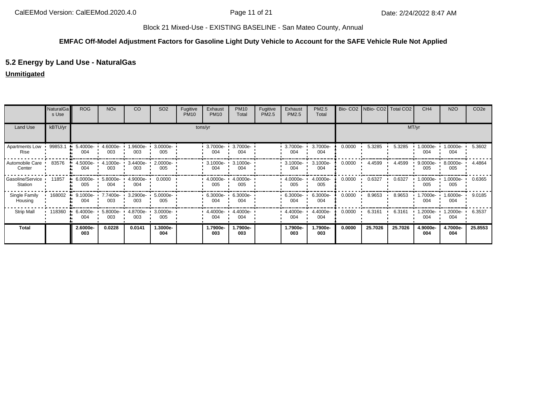## **EMFAC Off-Model Adjustment Factors for Gasoline Light Duty Vehicle to Account for the SAFE Vehicle Rule Not Applied**

# **5.2 Energy by Land Use - NaturalGas**

### **Unmitigated**

|                               | NaturalGa<br>s Use | <b>ROG</b>      | <b>NO<sub>x</sub></b> | CO              | SO <sub>2</sub> | Fugitive<br><b>PM10</b> | Exhaust<br><b>PM10</b> | <b>PM10</b><br>Total | Fugitive<br>PM2.5 | Exhaust<br>PM2.5 | PM2.5<br>Total  | Bio-CO <sub>2</sub> | NBio- CO2   Total CO2 |         | CH <sub>4</sub>  | <b>N2O</b>       | CO <sub>2e</sub> |
|-------------------------------|--------------------|-----------------|-----------------------|-----------------|-----------------|-------------------------|------------------------|----------------------|-------------------|------------------|-----------------|---------------------|-----------------------|---------|------------------|------------------|------------------|
| Land Use                      | kBTU/yr            |                 |                       |                 |                 |                         | tons/yr                |                      |                   |                  |                 |                     |                       |         | MT/yr            |                  |                  |
| <b>Apartments Low</b><br>Rise | 99853.1            | 5.4000e-<br>004 | 4.6000e-<br>003       | .9600e-<br>003  | 3.0000e-<br>005 |                         | 3.7000e-<br>004        | 3.7000e-<br>004      |                   | 3.7000e-<br>004  | 3.7000e-<br>004 | 0.0000              | 5.3285                | 5.3285  | $.0000e-$<br>004 | $.0000e-$<br>004 | 5.3602           |
| Automobile Care<br>Center     | 83576              | 4.5000e-<br>004 | $4.1000e -$<br>003    | 3.4400e-<br>003 | 2.0000e-<br>005 |                         | $3.1000e -$<br>004     | 3.1000e-<br>004      |                   | 3.1000e-<br>004  | 3.1000e-<br>004 | 0.0000              | 4.4599                | 4.4599  | 9.0000e-<br>005  | 8.0000e-<br>005  | 4.4864           |
| Gasoline/Service<br>Station   | 11857              | 6.0000e-<br>005 | 5.8000e-<br>004       | 4.9000e-<br>004 | 0.0000          |                         | 4.0000e-<br>005        | 4.0000e-<br>005      |                   | 4.0000e-<br>005  | 4.0000e-<br>005 | 0.0000              | 0.6327                | 0.6327  | .0000e-<br>005   | 0000e- ∪<br>005  | 0.6365           |
| Single Family<br>Housing      | 168002             | 9.1000e-<br>004 | 7.7400e-<br>003       | 3.2900e-<br>003 | 5.0000e-<br>005 |                         | 6.3000e-<br>004        | 6.3000e-<br>004      |                   | 6.3000e-<br>004  | 6.3000e-<br>004 | 0.0000              | 8.9653                | 8.9653  | .7000e-<br>004   | .6000e-<br>004   | 9.0185           |
| <b>Strip Mall</b>             | 118360             | 6.4000e-<br>004 | 5.8000e-<br>003       | 4.8700e-<br>003 | 3.0000e-<br>005 |                         | 4.4000e-<br>004        | 4.4000e-<br>004      |                   | 4.4000e-<br>004  | 4.4000e-<br>004 | 0.0000              | 6.3161                | 6.3161  | .2000e-<br>004   | .2000e-<br>004   | 6.3537           |
| <b>Total</b>                  |                    | 2.6000e-<br>003 | 0.0228                | 0.0141          | 1.3000e-<br>004 |                         | 1.7900e-<br>003        | 1.7900e-<br>003      |                   | 1.7900e-<br>003  | 1.7900e-<br>003 | 0.0000              | 25.7026               | 25.7026 | 4.9000e-<br>004  | 4.7000e-<br>004  | 25.8553          |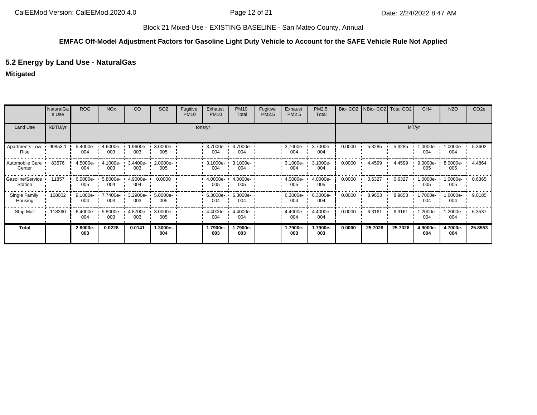## **EMFAC Off-Model Adjustment Factors for Gasoline Light Duty Vehicle to Account for the SAFE Vehicle Rule Not Applied**

# **5.2 Energy by Land Use - NaturalGas**

### **Mitigated**

|                             | <b>NaturalGa</b><br>s Use | <b>ROG</b>         | <b>NO<sub>x</sub></b> | CO              | SO <sub>2</sub> | Fugitive<br><b>PM10</b> | Exhaust<br><b>PM10</b> | <b>PM10</b><br>Total         | Fugitive<br>PM2.5 | Exhaust<br>PM2.5 | PM2.5<br>Total  |        | Bio- CO2   NBio- CO2   Total CO2 |         | CH <sub>4</sub> | <b>N2O</b>        | CO <sub>2e</sub> |
|-----------------------------|---------------------------|--------------------|-----------------------|-----------------|-----------------|-------------------------|------------------------|------------------------------|-------------------|------------------|-----------------|--------|----------------------------------|---------|-----------------|-------------------|------------------|
| Land Use                    | kBTU/yr                   |                    |                       |                 |                 |                         | tons/yr                |                              |                   |                  |                 |        |                                  | MT/yr   |                 |                   |                  |
| Apartments Low<br>Rise      | 99853.1                   | 5.4000e-<br>004    | 4.6000e-<br>003       | .9600e-<br>003  | 3.0000e-<br>005 |                         | 3.7000e-<br>004        | 3.7000e-<br>004              |                   | 3.7000e-<br>004  | 3.7000e-<br>004 | 0.0000 | 5.3285                           | 5.3285  | -.0000e<br>004  | 1.0000e- L<br>004 | 5.3602           |
| Automobile Care<br>Center   | 83576                     | 4.5000e-<br>004    | 4.1000e-<br>003       | 3.4400e-<br>003 | 2.0000e-<br>005 |                         | 3.1000e-<br>004        | 3.1000e-<br>004              |                   | 3.1000e-<br>004  | 3.1000e-<br>004 | 0.0000 | 4.4599                           | 4.4599  | 9.0000e-<br>005 | 8.0000e-<br>005   | 4.4864           |
| Gasoline/Service<br>Station | 11857                     | 6.0000e-<br>005    | 5.8000e-<br>004       | 4.9000e-<br>004 | 0.0000          |                         | 4.0000e-<br>005        | 4.0000e-<br>005              |                   | 4.0000e-<br>005  | 4.0000e-<br>005 | 0.0000 | 0.6327                           | 0.6327  | -.0000e<br>005  | $.0000e-$<br>005  | 0.6365           |
| Single Family<br>Housing    | 168002<br>- 99            | $9.1000e -$<br>004 | 7.7400e- •<br>003     | 3.2900e-<br>003 | 5.0000e-<br>005 |                         | 004                    | 6.3000e- 1 6.3000e- 1<br>004 |                   | 6.3000e-<br>004  | 6.3000e-<br>004 | 0.0000 | 8.9653                           | 8.9653  | .7000e-<br>004  | 1.6000e-<br>004   | 9.0185           |
| <b>Strip Mall</b>           | 118360                    | 6.4000e-<br>004    | 5.8000e-<br>003       | 4.8700e-<br>003 | 3.0000e-<br>005 |                         | 4.4000e-<br>004        | 4.4000e-<br>004              |                   | 4.4000e-<br>004  | 4.4000e-<br>004 | 0.0000 | 6.3161                           | 6.3161  | .2000e-<br>004  | .2000e-<br>004    | 6.3537           |
| <b>Total</b>                |                           | 2.6000e-<br>003    | 0.0228                | 0.0141          | 1.3000e-<br>004 |                         | 1.7900e-<br>003        | 1.7900e-<br>003              |                   | 1.7900e-<br>003  | 1.7900e-<br>003 | 0.0000 | 25.7026                          | 25.7026 | 4.9000e-<br>004 | 4.7000e-<br>004   | 25.8553          |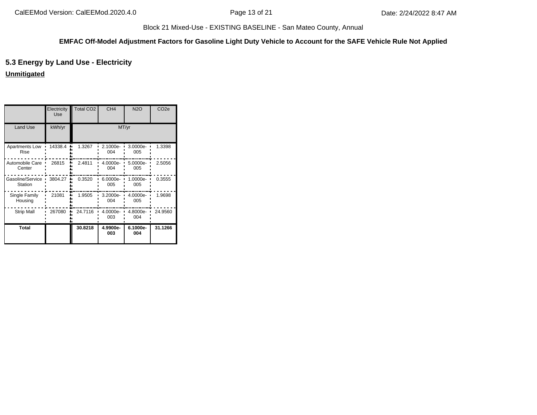## **EMFAC Off-Model Adjustment Factors for Gasoline Light Duty Vehicle to Account for the SAFE Vehicle Rule Not Applied**

# **5.3 Energy by Land Use - Electricity**

### **Unmitigated**

|                               | Electricity<br><b>Use</b> | <b>Total CO2</b> | CH <sub>4</sub> | <b>N2O</b>      | CO <sub>2e</sub> |
|-------------------------------|---------------------------|------------------|-----------------|-----------------|------------------|
| <b>Land Use</b>               | kWh/yr                    |                  |                 | MT/yr           |                  |
| Apartments Low<br><b>Rise</b> | 14338.4                   | 1.3267           | 2.1000e-<br>004 | 3.0000e-<br>005 | 1.3398           |
| Automobile Care<br>Center     | 26815                     | 2.4811           | 4.0000e-<br>004 | 5.0000e-<br>005 | 2.5056           |
| Gasoline/Service<br>Station   | 3804.27                   | 0.3520           | 6.0000e-<br>005 | 1.0000e-<br>005 | 0.3555           |
| Single Family<br>Housing      | 21081                     | 1.9505           | 3.2000e-<br>004 | 4.0000e-<br>005 | 1.9698           |
| <b>Strip Mall</b>             | 267080                    | 24.7116          | 4.0000e-<br>003 | 4.8000e-<br>004 | 24.9560          |
| <b>Total</b>                  |                           | 30.8218          | 4.9900e-<br>003 | 6.1000e-<br>004 | 31.1266          |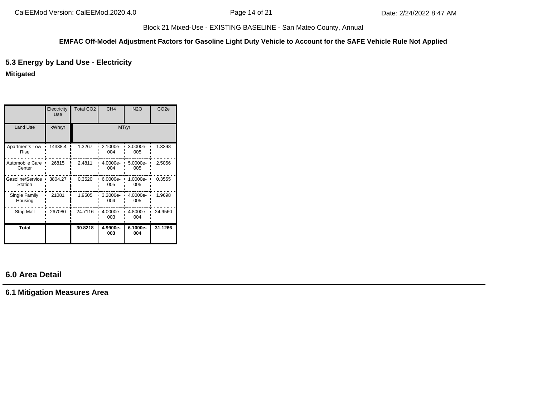#### **EMFAC Off-Model Adjustment Factors for Gasoline Light Duty Vehicle to Account for the SAFE Vehicle Rule Not Applied**

# **5.3 Energy by Land Use - Electricity**

## **Mitigated**

|                             | Electricity<br>Use | Total CO <sub>2</sub> | CH <sub>4</sub> | <b>N2O</b>        | CO <sub>2e</sub> |
|-----------------------------|--------------------|-----------------------|-----------------|-------------------|------------------|
| <b>Land Use</b>             | kWh/yr             |                       | MT/yr           |                   |                  |
| Apartments Low<br>Rise      | 14338.4            | 1.3267                | 2.1000e-<br>004 | 3.0000e-<br>005   | 1.3398           |
| Automobile Care<br>Center   | 26815              | 2.4811                | 4.0000e-<br>004 | 5.0000e-<br>005   | 2.5056           |
| Gasoline/Service<br>Station | 3804.27            | 0.3520                | 6.0000e-<br>005 | $1.0000e-$<br>005 | 0.3555           |
| Single Family<br>Housing    | 21081              | 1.9505                | 3.2000e-<br>004 | 4.0000e-<br>005   | 1.9698           |
| <b>Strip Mall</b>           | 267080             | 24.7116               | 4.0000e-<br>003 | 4.8000e-<br>004   | 24.9560          |
| <b>Total</b>                |                    | 30.8218               | 4.9900e-<br>003 | 6.1000e-<br>004   | 31.1266          |

# **6.0 Area Detail**

**6.1 Mitigation Measures Area**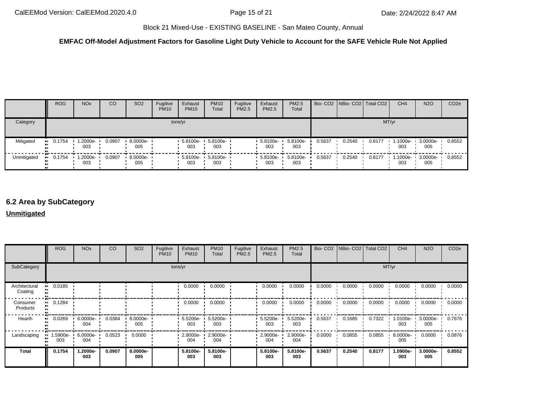### **EMFAC Off-Model Adjustment Factors for Gasoline Light Duty Vehicle to Account for the SAFE Vehicle Rule Not Applied**

|             | <b>ROG</b> | <b>NO<sub>x</sub></b> | CO     | SO <sub>2</sub>                 | Fugitive<br><b>PM10</b> | Exhaust<br><b>PM10</b>   | <b>PM10</b><br>Total | Fugitive<br>PM2.5 | Exhaust<br><b>PM2.5</b>         | PM2.5<br>Total  |        | Bio- CO2 NBio- CO2 Total CO2 |        | CH <sub>4</sub> | <b>N2O</b>        | CO <sub>2e</sub> |
|-------------|------------|-----------------------|--------|---------------------------------|-------------------------|--------------------------|----------------------|-------------------|---------------------------------|-----------------|--------|------------------------------|--------|-----------------|-------------------|------------------|
| Category    |            | tons/yr               |        |                                 |                         |                          |                      |                   | MT/yr                           |                 |        |                              |        |                 |                   |                  |
| Mitigated   | 0.1754     | 1.2000e-<br>003       | 0.0907 | $8.0000e -$<br>005              |                         | 5.8100e-<br>003          | 5.8100e-<br>003      |                   | $-5.8100e-$<br>003              | 5.8100e-<br>003 | 0.5637 | 0.2540                       | 0.8177 | 1.1000e-<br>003 | 3.0000e-<br>005   | 0.8552           |
| Unmitigated | 0.1754     | $-1.2000e-$<br>003    | 0.0907 | $\cdot$ 8.0000e- $\cdot$<br>005 |                         | 5.8100e- 5.8100e-<br>003 | 003                  |                   | $\cdot$ 5.8100e- $\cdot$<br>003 | 5.8100e-<br>003 | 0.5637 | 0.2540                       | 0.8177 | 1.1000e-<br>003 | $.30000e-$<br>005 | 0.8552           |

# **6.2 Area by SubCategory**

### **Unmitigated**

|                          | <b>ROG</b>    | <b>NO<sub>x</sub></b> | CO     | SO <sub>2</sub>    | Fugitive<br><b>PM10</b> | Exhaust<br><b>PM10</b> | <b>PM10</b><br>Total | Fugitive<br>PM2.5 | Exhaust<br>PM2.5 | PM2.5<br>Total  |        | Bio- CO2 NBio- CO2 Total CO2 |        | CH <sub>4</sub> | <b>N2O</b>      | CO <sub>2e</sub> |
|--------------------------|---------------|-----------------------|--------|--------------------|-------------------------|------------------------|----------------------|-------------------|------------------|-----------------|--------|------------------------------|--------|-----------------|-----------------|------------------|
| SubCategory              | tons/yr       |                       |        |                    |                         |                        |                      |                   | MT/yr            |                 |        |                              |        |                 |                 |                  |
| Architectural<br>Coating | 0.0185        |                       |        |                    |                         | 0.0000                 | 0.0000               |                   | 0.0000           | 0.0000          | 0.0000 | 0.0000                       | 0.0000 | 0.0000          | 0.0000          | 0.0000           |
| Consumer<br>Products     | 0.1284        |                       |        |                    |                         | 0.0000                 | 0.0000               |                   | 0.0000           | 0.0000          | 0.0000 | 0.0000                       | 0.0000 | 0.0000          | 0.0000          | 0.0000           |
| Hearth                   | 0.0269        | $6.0000e -$<br>004    | 0.0384 | $8.0000e -$<br>005 |                         | $5.5200e -$<br>003     | 5.5200e-<br>003      |                   | 5.5200e-<br>003  | 5.5200e-<br>003 | 0.5637 | 0.1685                       | 0.7322 | 1.0100e-<br>003 | 3.0000e-<br>005 | 0.7676           |
| Landscaping              | 5900e-<br>003 | 6.0000e-<br>004       | 0.0523 | 0.0000             |                         | 2.9000e-<br>004        | 2.9000e-<br>004      |                   | 2.9000e-<br>004  | 2.9000e-<br>004 | 0.0000 | 0.0855                       | 0.0855 | 8.0000e-<br>005 | 0.0000          | 0.0876           |
| <b>Total</b>             | 0.1754        | 1.2000e-<br>003       | 0.0907 | 8.0000e-<br>005    |                         | 5.8100e-<br>003        | 5.8100e-<br>003      |                   | 5.8100e-<br>003  | 5.8100e-<br>003 | 0.5637 | 0.2540                       | 0.8177 | 1.0900e-<br>003 | 3.0000e-<br>005 | 0.8552           |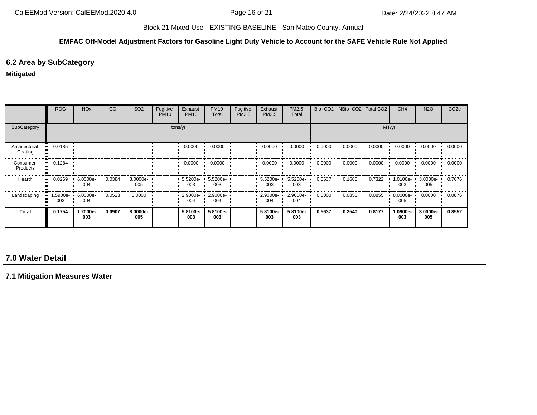#### **EMFAC Off-Model Adjustment Factors for Gasoline Light Duty Vehicle to Account for the SAFE Vehicle Rule Not Applied**

# **6.2 Area by SubCategory**

#### **Mitigated**

|                          | <b>ROG</b> | <b>NO<sub>x</sub></b>      | CO     | SO <sub>2</sub>    | Fugitive<br><b>PM10</b> | Exhaust<br><b>PM10</b> | <b>PM10</b><br>Total       | Fugitive<br>PM2.5 | Exhaust<br>PM2.5   | PM2.5<br>Total  |        | Bio- CO2   NBio- CO2   Total CO2 |        | CH <sub>4</sub> | <b>N2O</b>      | CO <sub>2e</sub> |
|--------------------------|------------|----------------------------|--------|--------------------|-------------------------|------------------------|----------------------------|-------------------|--------------------|-----------------|--------|----------------------------------|--------|-----------------|-----------------|------------------|
| SubCategory              | tons/yr    |                            |        |                    |                         |                        |                            |                   | MT/yr              |                 |        |                                  |        |                 |                 |                  |
| Architectural<br>Coating | 0.0185     |                            |        |                    |                         | 0.0000                 | 0.0000                     |                   | 0.0000             | 0.0000          | 0.0000 | 0.0000                           | 0.0000 | 0.0000          | 0.0000          | 0.0000           |
| Consumer<br>Products     | 0.1284     |                            |        |                    |                         | 0.0000                 | 0.0000                     |                   | 0.0000             | 0.0000          | 0.0000 | 0.0000                           | 0.0000 | 0.0000          | 0.0000          | 0.0000           |
| Hearth                   | 0.0269     | $6.0000e -$<br>004         | 0.0384 | $8.0000e -$<br>005 |                         | 003                    | 5.5200e- 1 5.5200e-<br>003 |                   | $5.5200e -$<br>003 | 5.5200e-<br>003 | 0.5637 | 0.1685                           | 0.7322 | 1.0100e-<br>003 | 3.0000e-<br>005 | 0.7676           |
| Landscaping              | 003        | 1.5900e- 6.0000e- 1<br>004 | 0.0523 | 0.0000             |                         | 004                    | 2.9000e- 2.9000e-<br>004   |                   | $2.9000e -$<br>004 | 2.9000e-<br>004 | 0.0000 | 0.0855                           | 0.0855 | 8.0000e-<br>005 | 0.0000          | 0.0876           |
| Total                    | 0.1754     | 1.2000e-<br>003            | 0.0907 | 8.0000e-<br>005    |                         | 5.8100e-<br>003        | 5.8100e-<br>003            |                   | 5.8100e-<br>003    | 5.8100e-<br>003 | 0.5637 | 0.2540                           | 0.8177 | 1.0900e-<br>003 | 3.0000e-<br>005 | 0.8552           |

# **7.0 Water Detail**

**7.1 Mitigation Measures Water**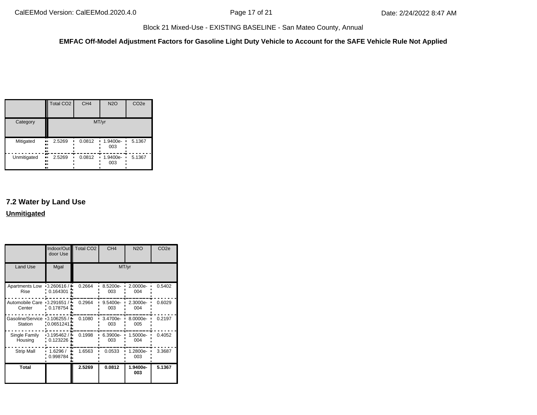**EMFAC Off-Model Adjustment Factors for Gasoline Light Duty Vehicle to Account for the SAFE Vehicle Rule Not Applied**

|                | <b>Total CO2</b>             | CH <sub>4</sub> | <b>N2O</b>        | CO <sub>2e</sub> |  |  |  |  |
|----------------|------------------------------|-----------------|-------------------|------------------|--|--|--|--|
| Category       |                              |                 | MT/yr             |                  |  |  |  |  |
| Mitigated<br>ш | 2.5269<br><br><br>.,         | 0.0812          | $1.9400e-$<br>003 | 5.1367           |  |  |  |  |
| Unmitigated    | 2.5269<br>ш,<br><br>.,<br>., | 0.0812          | 1.9400e-<br>003   | 5.1367           |  |  |  |  |

# **7.2 Water by Land Use Unmitigated**

|                                          | door Use                      | Indoor/Out Total CO2 | CH <sub>4</sub>    | <b>N2O</b>      | CO <sub>2e</sub> |  |  |  |
|------------------------------------------|-------------------------------|----------------------|--------------------|-----------------|------------------|--|--|--|
| Land Use                                 | Mgal                          |                      | MT/yr              |                 |                  |  |  |  |
| Apartments Low<br>Rise                   | $-0.260616/$<br>$0.164301$ .  | 0.2664               | 8.5200e-<br>003    | 2.0000e-<br>004 | 0.5402           |  |  |  |
| Automobile Care 0.291651 / !!<br>Center  | 0.178754                      | 0.2964               | $9.5400e -$<br>003 | 2.3000e-<br>004 | 0.6029           |  |  |  |
| Gasoline/Service 0.106255 / !<br>Station | .0.0651241                    | 0.1080               | 3.4700e-<br>003    | 8.0000e-<br>005 | 0.2197           |  |  |  |
| Single Family<br>Housing                 | $-0.195462/$<br>0.123226      | 0.1998               | 6.3900e-<br>003    | 1.5000e-<br>004 | 0.4052           |  |  |  |
| <b>Strip Mall</b>                        | 1.6296/<br>۰.<br>$0.998784$ . | 1.6563               | 0.0533             | 1.2800e-<br>003 | 3.3687           |  |  |  |
| <b>Total</b>                             |                               | 2.5269               | 0.0812             | 1.9400e-<br>003 | 5.1367           |  |  |  |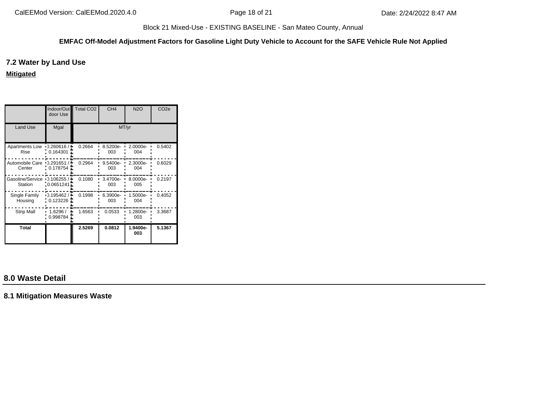#### **EMFAC Off-Model Adjustment Factors for Gasoline Light Duty Vehicle to Account for the SAFE Vehicle Rule Not Applied**

# **7.2 Water by Land Use**

**Mitigated**

|                                        | door Use                 | Indoor/Out Total CO2 | CH <sub>4</sub> | <b>N2O</b>      | CO <sub>2e</sub> |  |  |
|----------------------------------------|--------------------------|----------------------|-----------------|-----------------|------------------|--|--|
| Land Use                               | Mgal                     | MT/yr                |                 |                 |                  |  |  |
| Apartments Low<br>Rise                 | $-0.260616/$<br>0.164301 | 0.2664               | 8.5200e-<br>003 | 2.0000e-<br>004 | 0.5402           |  |  |
| Automobile Care<br>Center              | $-0.291651/$<br>0.178754 | 0.2964               | 9.5400e-<br>003 | 2.3000e-<br>004 | 0.6029           |  |  |
| Gasoline/Service 0.106255 /<br>Station | : 0.0651241              | 0.1080               | 3.4700e-<br>003 | 8.0000e-<br>005 | 0.2197           |  |  |
| Single Family<br>Housing               | $-0.195462/$<br>0.123226 | 0.1998               | 6.3900e-<br>003 | 1.5000e-<br>004 | 0.4052           |  |  |
| <b>Strip Mall</b>                      | 1.6296/<br>0.998784      | 1.6563               | 0.0533          | 1.2800e-<br>003 | 3.3687           |  |  |
| Total                                  |                          | 2.5269               | 0.0812          | 1.9400e-<br>003 | 5.1367           |  |  |

# **8.0 Waste Detail**

**8.1 Mitigation Measures Waste**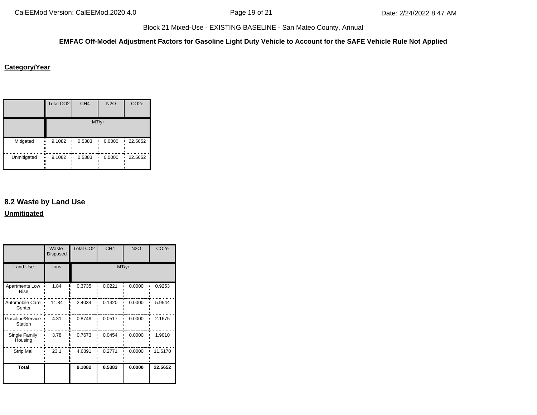#### **EMFAC Off-Model Adjustment Factors for Gasoline Light Duty Vehicle to Account for the SAFE Vehicle Rule Not Applied**

#### **Category/Year**

|             | <b>Total CO2</b>          | CH <sub>4</sub> | <b>N2O</b> | CO <sub>2e</sub> |  |  |  |  |
|-------------|---------------------------|-----------------|------------|------------------|--|--|--|--|
|             | MT/yr                     |                 |            |                  |  |  |  |  |
| Mitigated   | 9.1082<br>ш,<br><br><br>  | 0.5383          | 0.0000     | 22.5652          |  |  |  |  |
| Unmitigated | 9.1082<br>ш,<br><br><br>ш | 0.5383          | 0.0000     | 22.5652          |  |  |  |  |

# **8.2 Waste by Land Use Unmitigated**

Total CO2 CH4 N2O CO2e Waste Disposed Land Use tons MT/yr Apartments Low 1.84 0.3735 0.0221 0.0000 0.9253 Rise . . . . . . . . . 1 2.4034 0.1420 0.0000 5.9544 Automobile Care | 11.84 Center . . . . . . . . . . . . Gasoline/Service 1 4.31  $\frac{1}{2}$  0.8749 0.0517 0.0000 2.1675 Station 3.78 0.7673 0.0454 0.0000 1.9010 Single Family  $\mathbf{u}$ **Housing** Strip Mall 23.1 4.6891 0.2771 0.0000 11.6170 **Total 9.1082 0.5383 0.0000 22.5652**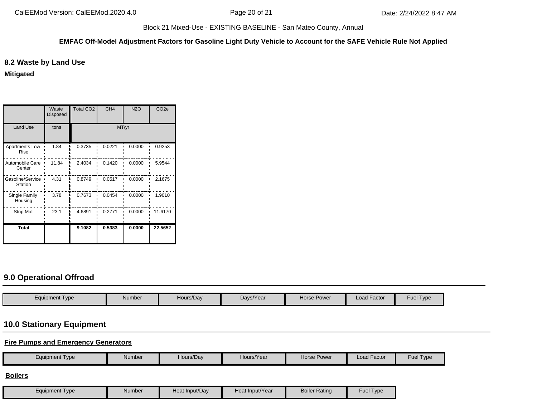#### **EMFAC Off-Model Adjustment Factors for Gasoline Light Duty Vehicle to Account for the SAFE Vehicle Rule Not Applied**

# **8.2 Waste by Land Use**

**Mitigated**

|                             | Waste<br><b>Disposed</b> | <b>Total CO2</b> | CH <sub>4</sub> | <b>N2O</b> | CO <sub>2e</sub> |
|-----------------------------|--------------------------|------------------|-----------------|------------|------------------|
| <b>Land Use</b>             | tons                     |                  |                 |            |                  |
| Apartments Low<br>Rise      | 1.84                     | 0.3735           | 0.0221          | 0.0000     | 0.9253           |
| Automobile Care<br>Center   | 11.84                    | 2.4034           | 0.1420          | 0.0000     | 5.9544           |
| Gasoline/Service<br>Station | 4.31                     | 0.8749           | 0.0517          | 0.0000     | 2.1675           |
| Single Family<br>Housing    | 3.78                     | 0.7673           | 0.0454          | 0.0000     | 1.9010           |
| <b>Strip Mall</b>           | 23.1                     | 4.6891           | 0.2771          | 0.0000     | 11.6170          |
| <b>Total</b>                |                          | 9.1082           | 0.5383          | 0.0000     | 22.5652          |

# **9.0 Operational Offroad**

| Equipment Type | Number | Hours/Dav | Days/Year | <b>Horse Power</b> | Load Factor | Fuel Type |
|----------------|--------|-----------|-----------|--------------------|-------------|-----------|

# **10.0 Stationary Equipment**

**Fire Pumps and Emergency Generators**

| <b>Equipment Type</b> | <b>Number</b> | Hours/Day      | Hours/Year      | Horse Power          | Load Factor | Fuel Type |
|-----------------------|---------------|----------------|-----------------|----------------------|-------------|-----------|
| <b>Boilers</b>        |               |                |                 |                      |             |           |
| <b>Equipment Type</b> | <b>Number</b> | Heat Input/Day | Heat Input/Year | <b>Boiler Rating</b> | Fuel Type   |           |